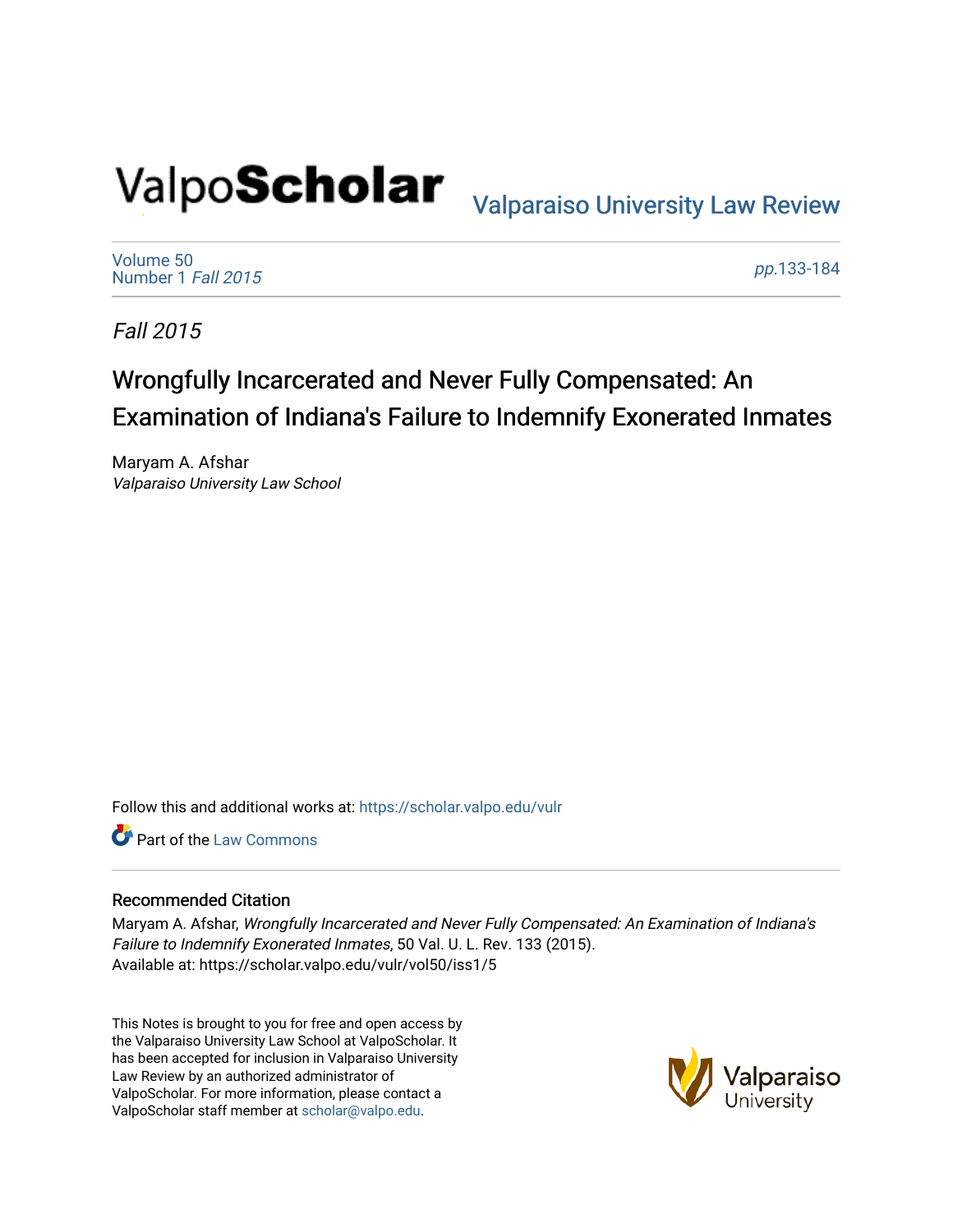# Valpo**Scholar** <sub>Valparaiso University Law Review</sub>

[Volume 50](https://scholar.valpo.edu/vulr/vol50) [Number 1](https://scholar.valpo.edu/vulr/vol50/iss1) Fall 2015

pp.[133-184](https://scholar.valpo.edu/vulr/vol50/iss1/5) 

Fall 2015

# Wrongfully Incarcerated and Never Fully Compensated: An Examination of Indiana's Failure to Indemnify Exonerated Inmates

Maryam A. Afshar Valparaiso University Law School

Follow this and additional works at: [https://scholar.valpo.edu/vulr](https://scholar.valpo.edu/vulr?utm_source=scholar.valpo.edu%2Fvulr%2Fvol50%2Fiss1%2F5&utm_medium=PDF&utm_campaign=PDFCoverPages)

**C** Part of the [Law Commons](http://network.bepress.com/hgg/discipline/578?utm_source=scholar.valpo.edu%2Fvulr%2Fvol50%2Fiss1%2F5&utm_medium=PDF&utm_campaign=PDFCoverPages)

### Recommended Citation

Maryam A. Afshar, Wrongfully Incarcerated and Never Fully Compensated: An Examination of Indiana's Failure to Indemnify Exonerated Inmates, 50 Val. U. L. Rev. 133 (2015). Available at: https://scholar.valpo.edu/vulr/vol50/iss1/5

This Notes is brought to you for free and open access by the Valparaiso University Law School at ValpoScholar. It has been accepted for inclusion in Valparaiso University Law Review by an authorized administrator of ValpoScholar. For more information, please contact a ValpoScholar staff member at [scholar@valpo.edu](mailto:scholar@valpo.edu).

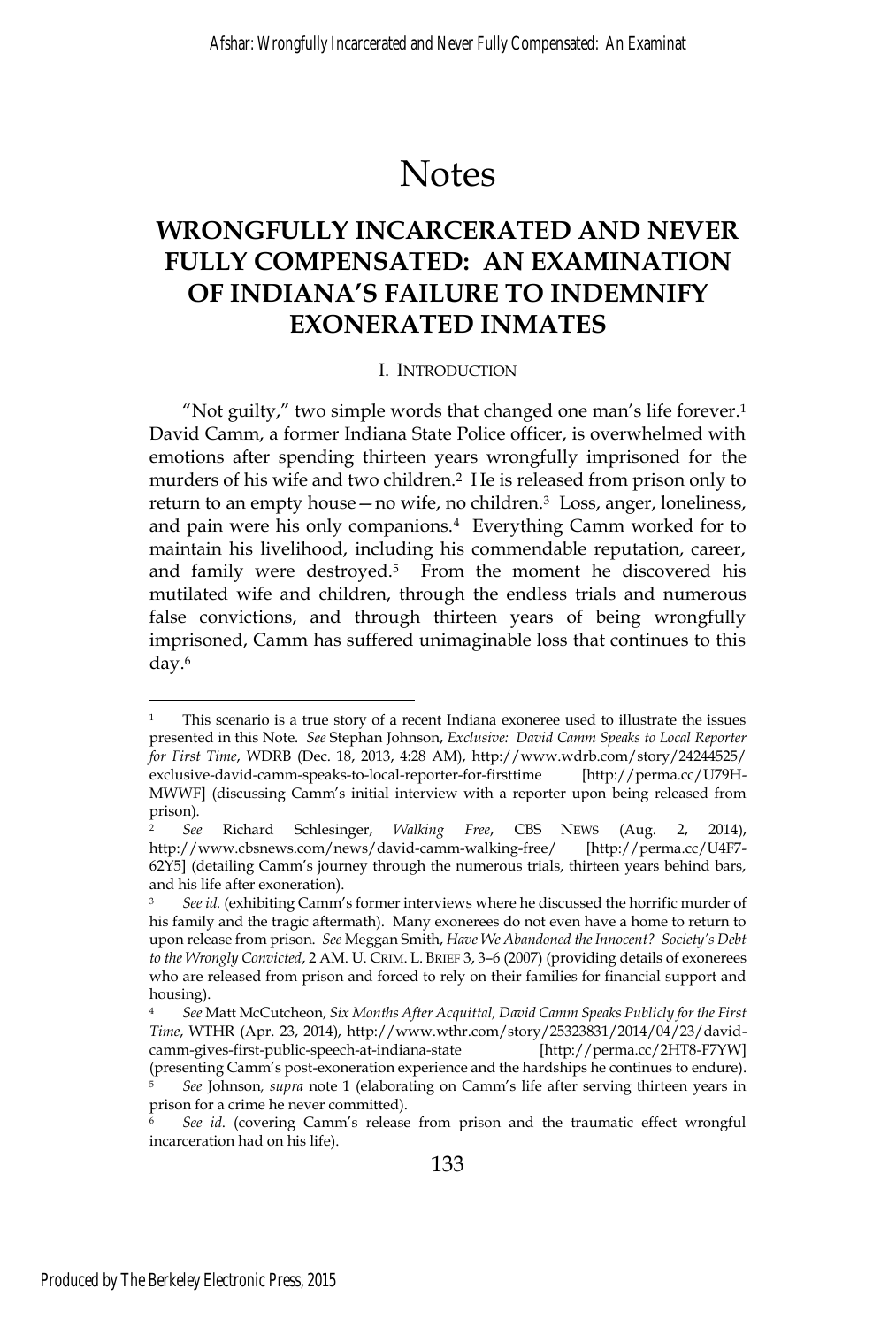# Notes

## **WRONGFULLY INCARCERATED AND NEVER FULLY COMPENSATED: AN EXAMINATION OF INDIANA'S FAILURE TO INDEMNIFY EXONERATED INMATES**

### I. INTRODUCTION

"Not guilty," two simple words that changed one man's life forever.1 David Camm, a former Indiana State Police officer, is overwhelmed with emotions after spending thirteen years wrongfully imprisoned for the murders of his wife and two children.2 He is released from prison only to return to an empty house—no wife, no children.3 Loss, anger, loneliness, and pain were his only companions.4 Everything Camm worked for to maintain his livelihood, including his commendable reputation, career, and family were destroyed.<sup>5</sup> From the moment he discovered his mutilated wife and children, through the endless trials and numerous false convictions, and through thirteen years of being wrongfully imprisoned, Camm has suffered unimaginable loss that continues to this day.6

<sup>&</sup>lt;sup>1</sup> This scenario is a true story of a recent Indiana exoneree used to illustrate the issues presented in this Note. *See* Stephan Johnson, *Exclusive: David Camm Speaks to Local Reporter for First Time*, WDRB (Dec. 18, 2013, 4:28 AM), http://www.wdrb.com/story/24244525/ exclusive-david-camm-speaks-to-local-reporter-for-firsttime [http://perma.cc/U79H-MWWF] (discussing Camm's initial interview with a reporter upon being released from prison).

<sup>2</sup> *See* Richard Schlesinger, *Walking Free*, CBS NEWS (Aug. 2, 2014), http://www.cbsnews.com/news/david-camm-walking-free/ [http://perma.cc/U4F7- 62Y5] (detailing Camm's journey through the numerous trials, thirteen years behind bars, and his life after exoneration).

<sup>3</sup> *See id.* (exhibiting Camm's former interviews where he discussed the horrific murder of his family and the tragic aftermath). Many exonerees do not even have a home to return to upon release from prison. *See* Meggan Smith, *Have We Abandoned the Innocent? Society's Debt to the Wrongly Convicted*, 2 AM. U. CRIM. L. BRIEF 3, 3–6 (2007) (providing details of exonerees who are released from prison and forced to rely on their families for financial support and housing).

<sup>4</sup> *See* Matt McCutcheon, *Six Months After Acquittal, David Camm Speaks Publicly for the First Time*, WTHR (Apr. 23, 2014), http://www.wthr.com/story/25323831/2014/04/23/davidcamm-gives-first-public-speech-at-indiana-state [http://perma.cc/2HT8-F7YW] (presenting Camm's post-exoneration experience and the hardships he continues to endure). <sup>5</sup> *See* Johnson*, supra* note 1 (elaborating on Camm's life after serving thirteen years in prison for a crime he never committed).

<sup>6</sup> *See id*. (covering Camm's release from prison and the traumatic effect wrongful incarceration had on his life).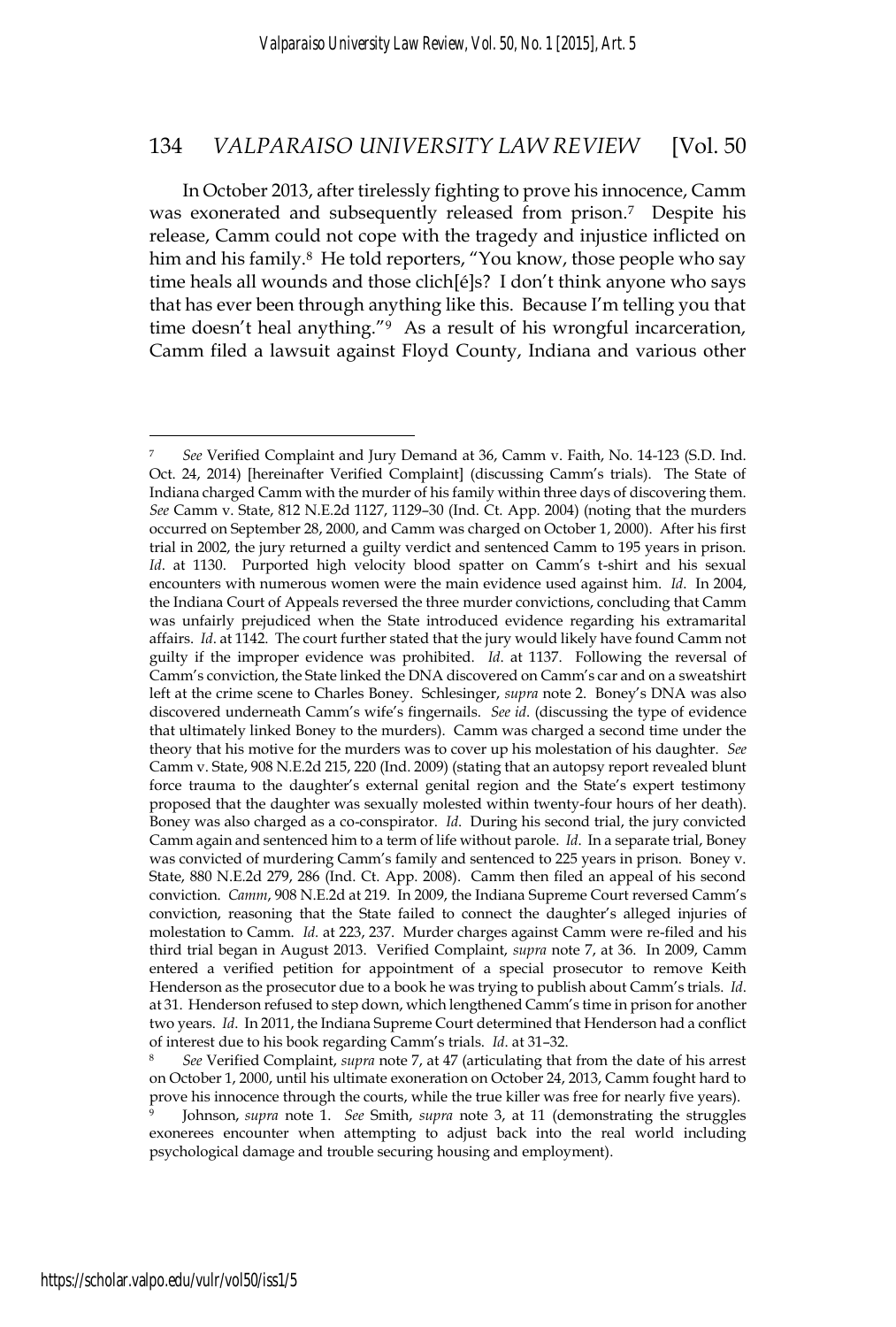In October 2013, after tirelessly fighting to prove his innocence, Camm was exonerated and subsequently released from prison.7 Despite his release, Camm could not cope with the tragedy and injustice inflicted on him and his family.<sup>8</sup> He told reporters, "You know, those people who say time heals all wounds and those clich[é]s? I don't think anyone who says that has ever been through anything like this. Because I'm telling you that time doesn't heal anything."9 As a result of his wrongful incarceration, Camm filed a lawsuit against Floyd County, Indiana and various other

on October 1, 2000, until his ultimate exoneration on October 24, 2013, Camm fought hard to prove his innocence through the courts, while the true killer was free for nearly five years).

<sup>7</sup> *See* Verified Complaint and Jury Demand at 36, Camm v. Faith, No. 14-123 (S.D. Ind. Oct. 24, 2014) [hereinafter Verified Complaint] (discussing Camm's trials). The State of Indiana charged Camm with the murder of his family within three days of discovering them. *See* Camm v. State, 812 N.E.2d 1127, 1129–30 (Ind. Ct. App. 2004) (noting that the murders occurred on September 28, 2000, and Camm was charged on October 1, 2000). After his first trial in 2002, the jury returned a guilty verdict and sentenced Camm to 195 years in prison. *Id*. at 1130. Purported high velocity blood spatter on Camm's t-shirt and his sexual encounters with numerous women were the main evidence used against him. *Id*. In 2004, the Indiana Court of Appeals reversed the three murder convictions, concluding that Camm was unfairly prejudiced when the State introduced evidence regarding his extramarital affairs. *Id*. at 1142. The court further stated that the jury would likely have found Camm not guilty if the improper evidence was prohibited. *Id*. at 1137. Following the reversal of Camm's conviction, the State linked the DNA discovered on Camm's car and on a sweatshirt left at the crime scene to Charles Boney. Schlesinger, *supra* note 2. Boney's DNA was also discovered underneath Camm's wife's fingernails. *See id*. (discussing the type of evidence that ultimately linked Boney to the murders). Camm was charged a second time under the theory that his motive for the murders was to cover up his molestation of his daughter. *See* Camm v. State, 908 N.E.2d 215, 220 (Ind. 2009) (stating that an autopsy report revealed blunt force trauma to the daughter's external genital region and the State's expert testimony proposed that the daughter was sexually molested within twenty-four hours of her death). Boney was also charged as a co-conspirator. *Id*. During his second trial, the jury convicted Camm again and sentenced him to a term of life without parole. *Id*. In a separate trial, Boney was convicted of murdering Camm's family and sentenced to 225 years in prison. Boney v. State, 880 N.E.2d 279, 286 (Ind. Ct. App. 2008). Camm then filed an appeal of his second conviction. *Camm*, 908 N.E.2d at 219. In 2009, the Indiana Supreme Court reversed Camm's conviction, reasoning that the State failed to connect the daughter's alleged injuries of molestation to Camm. *Id.* at 223, 237. Murder charges against Camm were re-filed and his third trial began in August 2013. Verified Complaint, *supra* note 7, at 36. In 2009, Camm entered a verified petition for appointment of a special prosecutor to remove Keith Henderson as the prosecutor due to a book he was trying to publish about Camm's trials. *Id*. at 31. Henderson refused to step down, which lengthened Camm's time in prison for another two years. *Id*. In 2011, the Indiana Supreme Court determined that Henderson had a conflict of interest due to his book regarding Camm's trials. *Id*. at 31–32. 8 *See* Verified Complaint, *supra* note 7, at 47 (articulating that from the date of his arrest

<sup>9</sup> Johnson, *supra* note 1. *See* Smith, *supra* note 3, at 11 (demonstrating the struggles exonerees encounter when attempting to adjust back into the real world including psychological damage and trouble securing housing and employment).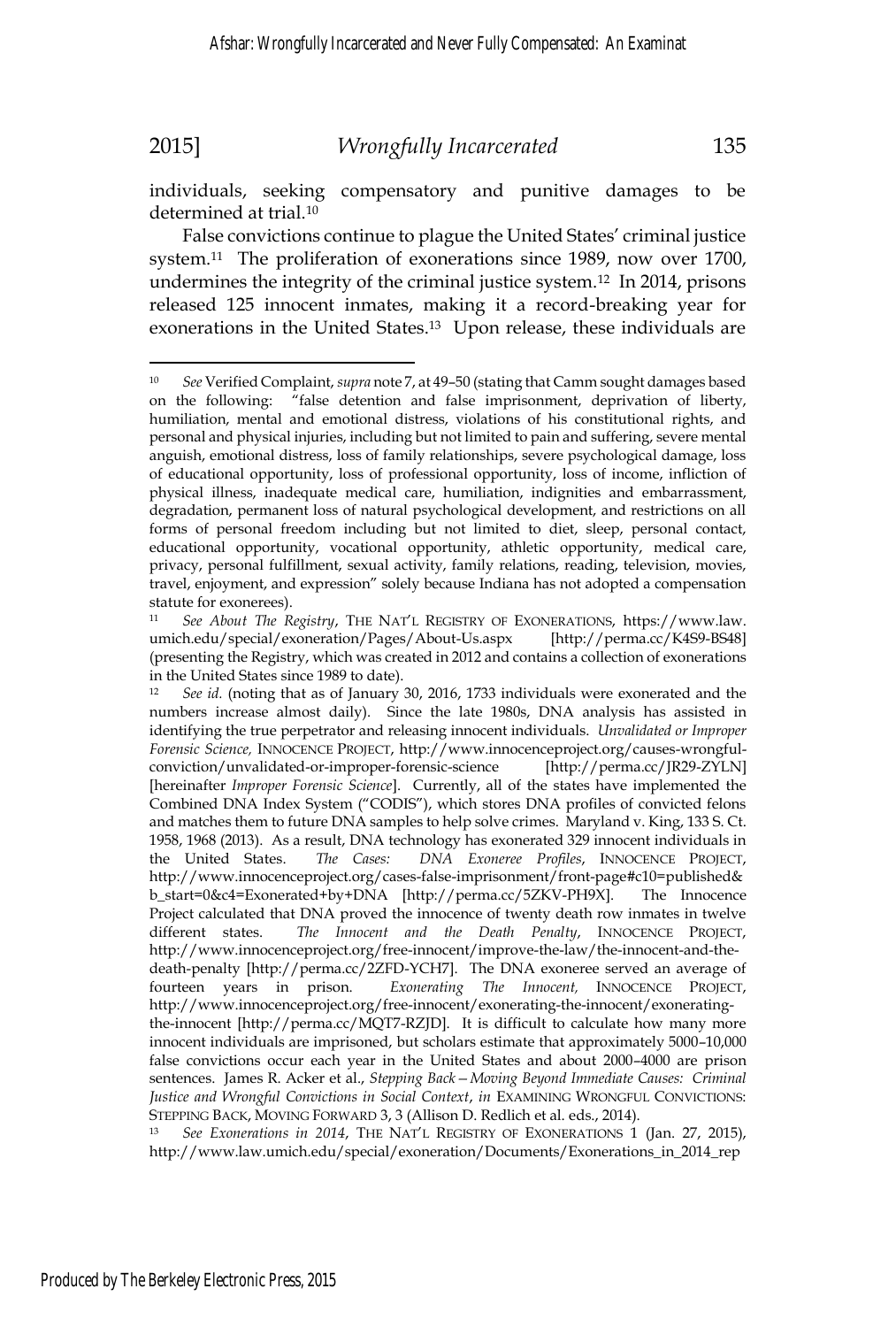$\overline{a}$ 

### 2015] *Wrongfully Incarcerated* 135

individuals, seeking compensatory and punitive damages to be determined at trial.10

False convictions continue to plague the United States' criminal justice system.11 The proliferation of exonerations since 1989, now over 1700, undermines the integrity of the criminal justice system.12 In 2014, prisons released 125 innocent inmates, making it a record-breaking year for exonerations in the United States.<sup>13</sup> Upon release, these individuals are

http://www.law.umich.edu/special/exoneration/Documents/Exonerations\_in\_2014\_rep

<sup>10</sup> *See* Verified Complaint, *supra* note 7, at 49–50 (stating that Camm sought damages based on the following: "false detention and false imprisonment, deprivation of liberty, humiliation, mental and emotional distress, violations of his constitutional rights, and personal and physical injuries, including but not limited to pain and suffering, severe mental anguish, emotional distress, loss of family relationships, severe psychological damage, loss of educational opportunity, loss of professional opportunity, loss of income, infliction of physical illness, inadequate medical care, humiliation, indignities and embarrassment, degradation, permanent loss of natural psychological development, and restrictions on all forms of personal freedom including but not limited to diet, sleep, personal contact, educational opportunity, vocational opportunity, athletic opportunity, medical care, privacy, personal fulfillment, sexual activity, family relations, reading, television, movies, travel, enjoyment, and expression" solely because Indiana has not adopted a compensation statute for exonerees).

<sup>11</sup> *See About The Registry*, THE NAT'L REGISTRY OF EXONERATIONS, https://www.law. umich.edu/special/exoneration/Pages/About-Us.aspx [http://perma.cc/K4S9-BS48] (presenting the Registry, which was created in 2012 and contains a collection of exonerations in the United States since 1989 to date).

<sup>12</sup> *See id.* (noting that as of January 30, 2016, 1733 individuals were exonerated and the numbers increase almost daily). Since the late 1980s, DNA analysis has assisted in identifying the true perpetrator and releasing innocent individuals. *Unvalidated or Improper Forensic Science,* INNOCENCE PROJECT, http://www.innocenceproject.org/causes-wrongfulconviction/unvalidated-or-improper-forensic-science [http://perma.cc/JR29-ZYLN] [hereinafter *Improper Forensic Science*]. Currently, all of the states have implemented the Combined DNA Index System ("CODIS"), which stores DNA profiles of convicted felons and matches them to future DNA samples to help solve crimes. Maryland v. King, 133 S. Ct. 1958, 1968 (2013). As a result, DNA technology has exonerated 329 innocent individuals in the United States. *The Cases: DNA Exoneree Profiles*, INNOCENCE PROJECT, http://www.innocenceproject.org/cases-false-imprisonment/front-page#c10=published& b\_start=0&c4=Exonerated+by+DNA [http://perma.cc/5ZKV-PH9X]. The Innocence Project calculated that DNA proved the innocence of twenty death row inmates in twelve different states. *The Innocent and the Death Penalty*, INNOCENCE PROJECT, http://www.innocenceproject.org/free-innocent/improve-the-law/the-innocent-and-thedeath-penalty [http://perma.cc/2ZFD-YCH7]. The DNA exoneree served an average of fourteen years in prison. *Exonerating The Innocent,* INNOCENCE PROJECT, http://www.innocenceproject.org/free-innocent/exonerating-the-innocent/exoneratingthe-innocent [http://perma.cc/MQT7-RZJD]. It is difficult to calculate how many more innocent individuals are imprisoned, but scholars estimate that approximately 5000–10,000 false convictions occur each year in the United States and about 2000–4000 are prison sentences. James R. Acker et al., *Stepping Back—Moving Beyond Immediate Causes: Criminal Justice and Wrongful Convictions in Social Context*, *in* EXAMINING WRONGFUL CONVICTIONS: STEPPING BACK, MOVING FORWARD 3, 3 (Allison D. Redlich et al. eds., 2014).<br><sup>13</sup> *See Exonerations in 2014*, THE NAT'L REGISTRY OF EXONERATIONS 1 (Jan. 27, 2015),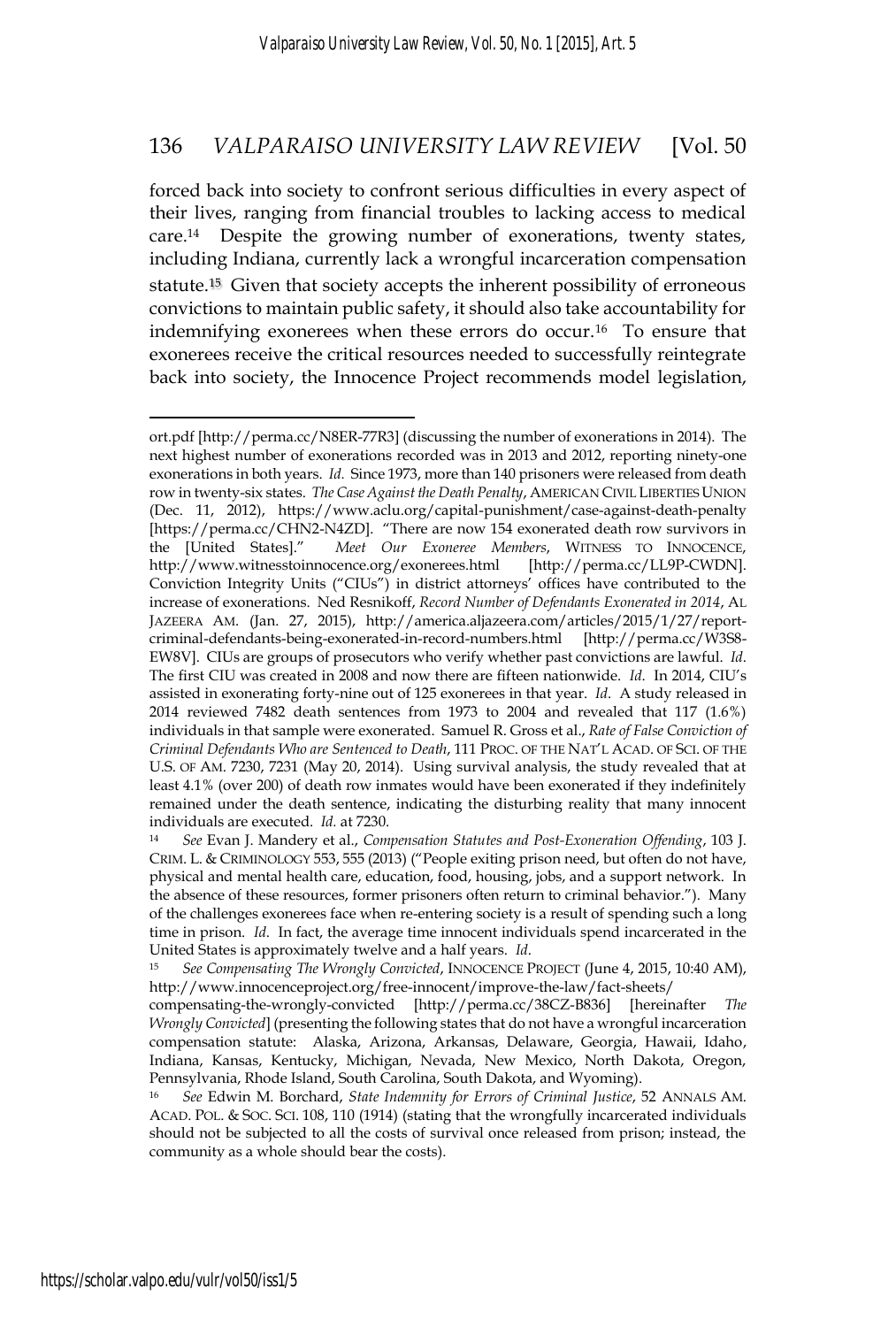forced back into society to confront serious difficulties in every aspect of their lives, ranging from financial troubles to lacking access to medical care.14 Despite the growing number of exonerations, twenty states, including Indiana, currently lack a wrongful incarceration compensation statute.15 Given that society accepts the inherent possibility of erroneous convictions to maintain public safety, it should also take accountability for indemnifying exonerees when these errors do occur.16 To ensure that exonerees receive the critical resources needed to successfully reintegrate back into society, the Innocence Project recommends model legislation,

ort.pdf [http://perma.cc/N8ER-77R3] (discussing the number of exonerations in 2014). The next highest number of exonerations recorded was in 2013 and 2012, reporting ninety-one exonerations in both years. *Id.* Since 1973, more than 140 prisoners were released from death row in twenty-six states. *The Case Against the Death Penalty*, AMERICAN CIVIL LIBERTIES UNION (Dec. 11, 2012), https://www.aclu.org/capital-punishment/case-against-death-penalty [https://perma.cc/CHN2-N4ZD]. "There are now 154 exonerated death row survivors in the [United States]." *Meet Our Exoneree Members*, WITNESS TO INNOCENCE, http://www.witnesstoinnocence.org/exonerees.html [http://perma.cc/LL9P-CWDN]. Conviction Integrity Units ("CIUs") in district attorneys' offices have contributed to the increase of exonerations. Ned Resnikoff, *Record Number of Defendants Exonerated in 2014*, AL JAZEERA AM. (Jan. 27, 2015), http://america.aljazeera.com/articles/2015/1/27/reportcriminal-defendants-being-exonerated-in-record-numbers.html [http://perma.cc/W3S8- EW8V]. CIUs are groups of prosecutors who verify whether past convictions are lawful. *Id*. The first CIU was created in 2008 and now there are fifteen nationwide. *Id*. In 2014, CIU's assisted in exonerating forty-nine out of 125 exonerees in that year. *Id*. A study released in 2014 reviewed 7482 death sentences from 1973 to 2004 and revealed that 117 (1.6%) individuals in that sample were exonerated. Samuel R. Gross et al., *Rate of False Conviction of Criminal Defendants Who are Sentenced to Death*, 111 PROC. OF THE NAT'L ACAD. OF SCI. OF THE U.S. OF AM. 7230, 7231 (May 20, 2014). Using survival analysis, the study revealed that at least 4.1% (over 200) of death row inmates would have been exonerated if they indefinitely remained under the death sentence, indicating the disturbing reality that many innocent individuals are executed. *Id.* at 7230.<br><sup>14</sup> *See* Evan J. Mandery et al., *Compensation Statutes and Post-Exoneration Offending*, 103 J.

CRIM. L. & CRIMINOLOGY 553, 555 (2013) ("People exiting prison need, but often do not have, physical and mental health care, education, food, housing, jobs, and a support network. In the absence of these resources, former prisoners often return to criminal behavior."). Many of the challenges exonerees face when re-entering society is a result of spending such a long time in prison. *Id*. In fact, the average time innocent individuals spend incarcerated in the United States is approximately twelve and a half years. *Id*. *15 See Compensating The Wrongly Convicted*, INNOCENCE PROJECT (June 4, 2015, 10:40 AM),

http://www.innocenceproject.org/free-innocent/improve-the-law/fact-sheets/

compensating-the-wrongly-convicted [http://perma.cc/38CZ-B836] [hereinafter *The Wrongly Convicted*] (presenting the following states that do not have a wrongful incarceration compensation statute: Alaska, Arizona, Arkansas, Delaware, Georgia, Hawaii, Idaho, Indiana, Kansas, Kentucky, Michigan, Nevada, New Mexico, North Dakota, Oregon, Pennsylvania, Rhode Island, South Carolina, South Dakota, and Wyoming).

<sup>16</sup> *See* Edwin M. Borchard, *State Indemnity for Errors of Criminal Justice*, 52 ANNALS AM. ACAD. POL. & SOC. SCI. 108, 110 (1914) (stating that the wrongfully incarcerated individuals should not be subjected to all the costs of survival once released from prison; instead, the community as a whole should bear the costs).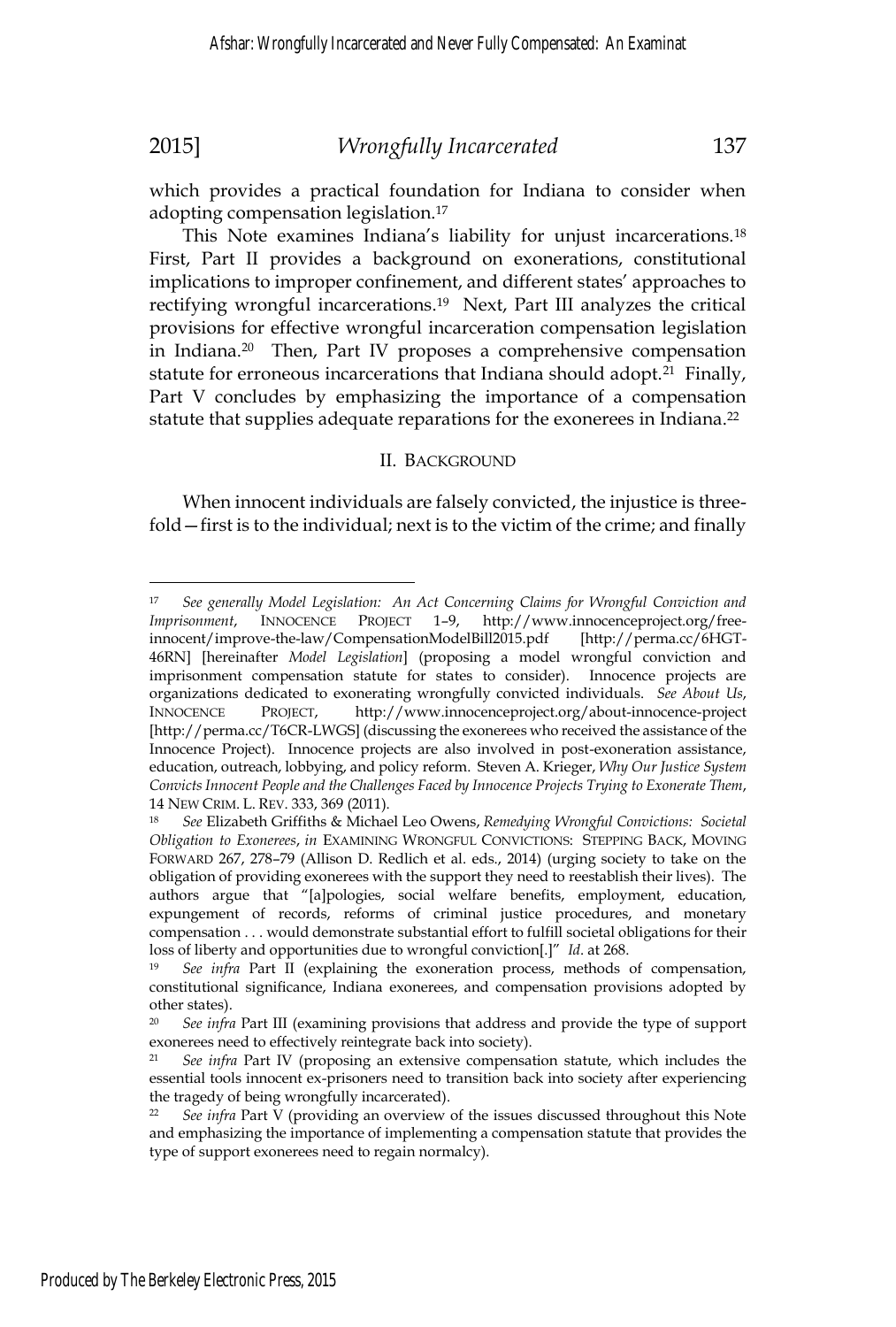which provides a practical foundation for Indiana to consider when adopting compensation legislation.17

This Note examines Indiana's liability for unjust incarcerations.18 First, Part II provides a background on exonerations, constitutional implications to improper confinement, and different states' approaches to rectifying wrongful incarcerations.<sup>19</sup> Next, Part III analyzes the critical provisions for effective wrongful incarceration compensation legislation in Indiana.20 Then, Part IV proposes a comprehensive compensation statute for erroneous incarcerations that Indiana should adopt.<sup>21</sup> Finally, Part V concludes by emphasizing the importance of a compensation statute that supplies adequate reparations for the exonerees in Indiana.<sup>22</sup>

#### II. BACKGROUND

When innocent individuals are falsely convicted, the injustice is threefold—first is to the individual; next is to the victim of the crime; and finally

<sup>17</sup> *See generally Model Legislation: An Act Concerning Claims for Wrongful Conviction and Imprisonment*, INNOCENCE PROJECT 1–9, http://www.innocenceproject.org/freeinnocent/improve-the-law/CompensationModelBill2015.pdf [http://perma.cc/6HGT-46RN] [hereinafter *Model Legislation*] (proposing a model wrongful conviction and imprisonment compensation statute for states to consider). Innocence projects are organizations dedicated to exonerating wrongfully convicted individuals. *See About Us*, INNOCENCE PROJECT, http://www.innocenceproject.org/about-innocence-project [http://perma.cc/T6CR-LWGS] (discussing the exonerees who received the assistance of the Innocence Project). Innocence projects are also involved in post-exoneration assistance, education, outreach, lobbying, and policy reform. Steven A. Krieger, *Why Our Justice System Convicts Innocent People and the Challenges Faced by Innocence Projects Trying to Exonerate Them*, 14 NEW CRIM. L. REV. 333, 369 (2011). 18 *See* Elizabeth Griffiths & Michael Leo Owens, *Remedying Wrongful Convictions: Societal* 

*Obligation to Exonerees*, *in* EXAMINING WRONGFUL CONVICTIONS: STEPPING BACK, MOVING FORWARD 267, 278–79 (Allison D. Redlich et al. eds., 2014) (urging society to take on the obligation of providing exonerees with the support they need to reestablish their lives). The authors argue that "[a]pologies, social welfare benefits, employment, education, expungement of records, reforms of criminal justice procedures, and monetary compensation . . . would demonstrate substantial effort to fulfill societal obligations for their loss of liberty and opportunities due to wrongful conviction[.]" *Id*. at 268. 19 *See infra* Part II (explaining the exoneration process, methods of compensation,

constitutional significance, Indiana exonerees, and compensation provisions adopted by other states).

<sup>20</sup> *See infra* Part III (examining provisions that address and provide the type of support exonerees need to effectively reintegrate back into society).

<sup>21</sup> *See infra* Part IV (proposing an extensive compensation statute, which includes the essential tools innocent ex-prisoners need to transition back into society after experiencing the tragedy of being wrongfully incarcerated).

<sup>22</sup> *See infra* Part V (providing an overview of the issues discussed throughout this Note and emphasizing the importance of implementing a compensation statute that provides the type of support exonerees need to regain normalcy).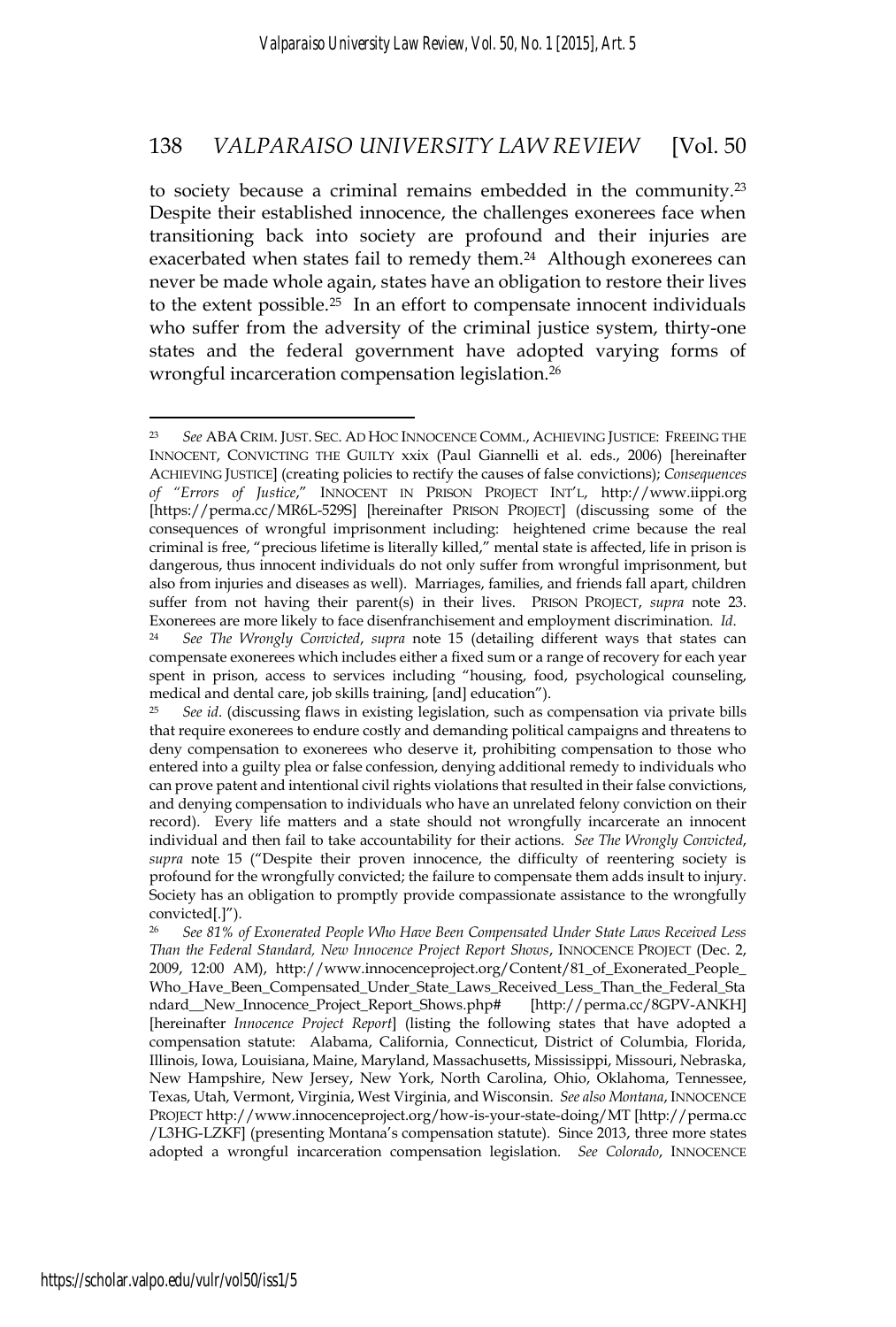to society because a criminal remains embedded in the community.23 Despite their established innocence, the challenges exonerees face when transitioning back into society are profound and their injuries are exacerbated when states fail to remedy them.<sup>24</sup> Although exonerees can never be made whole again, states have an obligation to restore their lives to the extent possible.25 In an effort to compensate innocent individuals who suffer from the adversity of the criminal justice system, thirty-one states and the federal government have adopted varying forms of wrongful incarceration compensation legislation.26

 $\overline{a}$ <sup>23</sup> *See* ABA CRIM. JUST. SEC. AD HOC INNOCENCE COMM., ACHIEVING JUSTICE: FREEING THE INNOCENT, CONVICTING THE GUILTY xxix (Paul Giannelli et al. eds., 2006) [hereinafter ACHIEVING JUSTICE] (creating policies to rectify the causes of false convictions); *Consequences of "Errors of Justice*," INNOCENT IN PRISON PROJECT INT'L, http://www.iippi.org [https://perma.cc/MR6L-529S] [hereinafter PRISON PROJECT] (discussing some of the consequences of wrongful imprisonment including: heightened crime because the real criminal is free, "precious lifetime is literally killed," mental state is affected, life in prison is dangerous, thus innocent individuals do not only suffer from wrongful imprisonment, but also from injuries and diseases as well). Marriages, families, and friends fall apart, children suffer from not having their parent(s) in their lives. PRISON PROJECT, *supra* note 23. Exonerees are more likely to face disenfranchisement and employment discrimination. *Id*. 24 *See The Wrongly Convicted*, *supra* note 15 (detailing different ways that states can

compensate exonerees which includes either a fixed sum or a range of recovery for each year spent in prison, access to services including "housing, food, psychological counseling, medical and dental care, job skills training, [and] education").

<sup>25</sup> *See id*. (discussing flaws in existing legislation, such as compensation via private bills that require exonerees to endure costly and demanding political campaigns and threatens to deny compensation to exonerees who deserve it, prohibiting compensation to those who entered into a guilty plea or false confession, denying additional remedy to individuals who can prove patent and intentional civil rights violations that resulted in their false convictions, and denying compensation to individuals who have an unrelated felony conviction on their record). Every life matters and a state should not wrongfully incarcerate an innocent individual and then fail to take accountability for their actions. *See The Wrongly Convicted*, *supra* note 15 ("Despite their proven innocence, the difficulty of reentering society is profound for the wrongfully convicted; the failure to compensate them adds insult to injury. Society has an obligation to promptly provide compassionate assistance to the wrongfully convicted[.]").

<sup>26</sup> *See 81% of Exonerated People Who Have Been Compensated Under State Laws Received Less Than the Federal Standard, New Innocence Project Report Shows*, INNOCENCE PROJECT (Dec. 2, 2009, 12:00 AM), http://www.innocenceproject.org/Content/81\_of\_Exonerated\_People\_ Who\_Have\_Been\_Compensated\_Under\_State\_Laws\_Received\_Less\_Than\_the\_Federal\_Sta ndard\_\_New\_Innocence\_Project\_Report\_Shows.php# [http://perma.cc/8GPV-ANKH] [hereinafter *Innocence Project Report*] (listing the following states that have adopted a compensation statute: Alabama, California, Connecticut, District of Columbia, Florida, Illinois, Iowa, Louisiana, Maine, Maryland, Massachusetts, Mississippi, Missouri, Nebraska, New Hampshire, New Jersey, New York, North Carolina, Ohio, Oklahoma, Tennessee, Texas, Utah, Vermont, Virginia, West Virginia, and Wisconsin. *See also Montana*, INNOCENCE PROJECT http://www.innocenceproject.org/how-is-your-state-doing/MT [http://perma.cc /L3HG-LZKF] (presenting Montana's compensation statute). Since 2013, three more states adopted a wrongful incarceration compensation legislation. *See Colorado*, INNOCENCE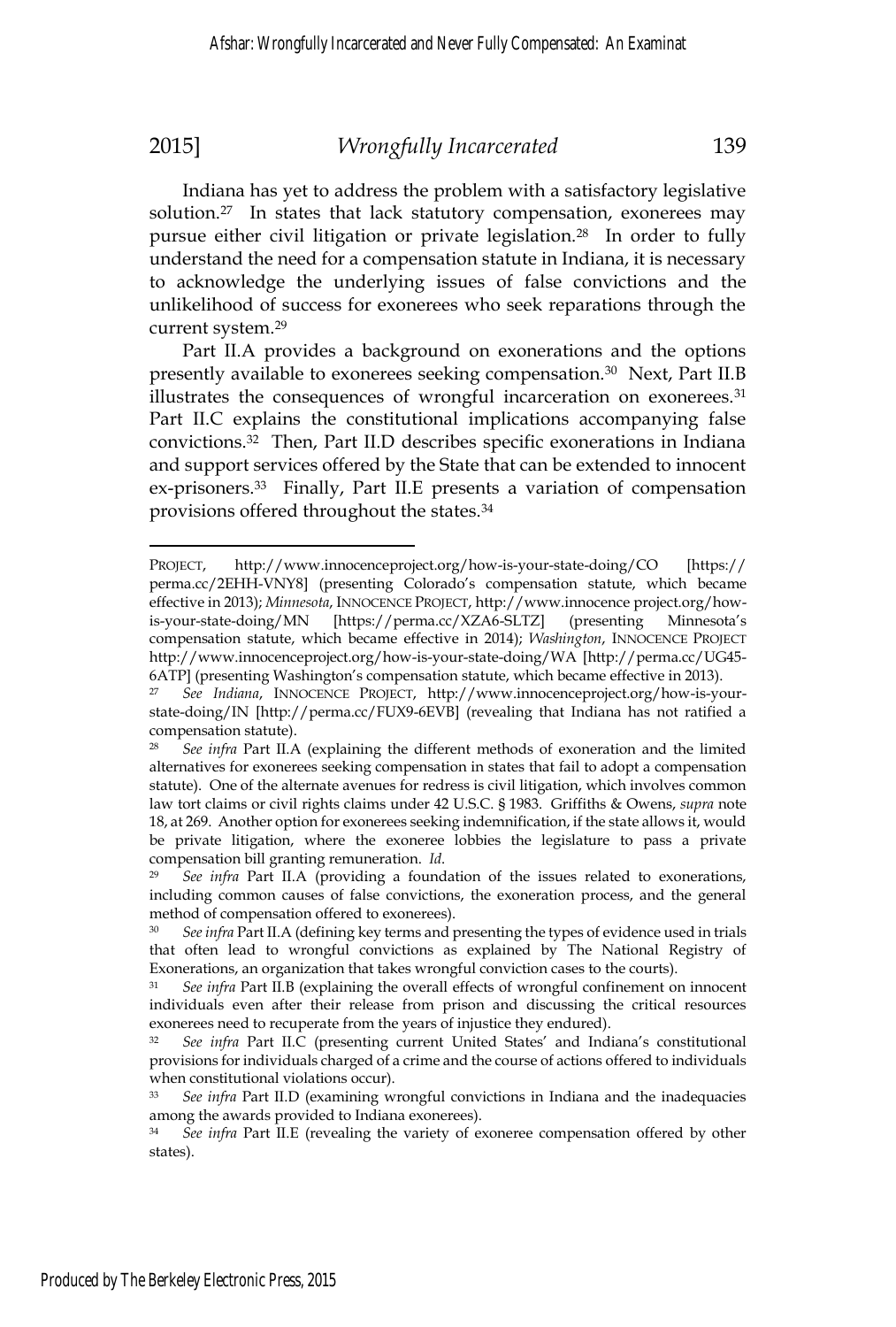Indiana has yet to address the problem with a satisfactory legislative solution.<sup>27</sup> In states that lack statutory compensation, exonerees may pursue either civil litigation or private legislation.28 In order to fully understand the need for a compensation statute in Indiana, it is necessary to acknowledge the underlying issues of false convictions and the unlikelihood of success for exonerees who seek reparations through the current system.29

Part II.A provides a background on exonerations and the options presently available to exonerees seeking compensation.30 Next, Part II.B illustrates the consequences of wrongful incarceration on exonerees.<sup>31</sup> Part II.C explains the constitutional implications accompanying false convictions.32 Then, Part II.D describes specific exonerations in Indiana and support services offered by the State that can be extended to innocent ex-prisoners.<sup>33</sup> Finally, Part II.E presents a variation of compensation provisions offered throughout the states.34

PROJECT, http://www.innocenceproject.org/how-is-your-state-doing/CO [https:// perma.cc/2EHH-VNY8] (presenting Colorado's compensation statute, which became effective in 2013); *Minnesota*, INNOCENCE PROJECT, http://www.innocence project.org/howis-your-state-doing/MN [https://perma.cc/XZA6-SLTZ] (presenting Minnesota's compensation statute, which became effective in 2014); *Washington*, INNOCENCE PROJECT http://www.innocenceproject.org/how-is-your-state-doing/WA [http://perma.cc/UG45- 6ATP] (presenting Washington's compensation statute, which became effective in 2013).

<sup>27</sup> *See Indiana*, INNOCENCE PROJECT, http://www.innocenceproject.org/how-is-yourstate-doing/IN [http://perma.cc/FUX9-6EVB] (revealing that Indiana has not ratified a compensation statute).

<sup>28</sup> *See infra* Part II.A (explaining the different methods of exoneration and the limited alternatives for exonerees seeking compensation in states that fail to adopt a compensation statute). One of the alternate avenues for redress is civil litigation, which involves common law tort claims or civil rights claims under 42 U.S.C. § 1983. Griffiths & Owens, *supra* note 18, at 269. Another option for exonerees seeking indemnification, if the state allows it, would be private litigation, where the exoneree lobbies the legislature to pass a private compensation bill granting remuneration. *Id*. 29 *See infra* Part II.A (providing a foundation of the issues related to exonerations,

including common causes of false convictions, the exoneration process, and the general method of compensation offered to exonerees).

<sup>30</sup> *See infra* Part II.A (defining key terms and presenting the types of evidence used in trials that often lead to wrongful convictions as explained by The National Registry of Exonerations, an organization that takes wrongful conviction cases to the courts).

See infra Part II.B (explaining the overall effects of wrongful confinement on innocent individuals even after their release from prison and discussing the critical resources exonerees need to recuperate from the years of injustice they endured).

<sup>32</sup> *See infra* Part II.C (presenting current United States' and Indiana's constitutional provisions for individuals charged of a crime and the course of actions offered to individuals when constitutional violations occur).

<sup>33</sup> *See infra* Part II.D (examining wrongful convictions in Indiana and the inadequacies among the awards provided to Indiana exonerees).

<sup>34</sup> *See infra* Part II.E (revealing the variety of exoneree compensation offered by other states).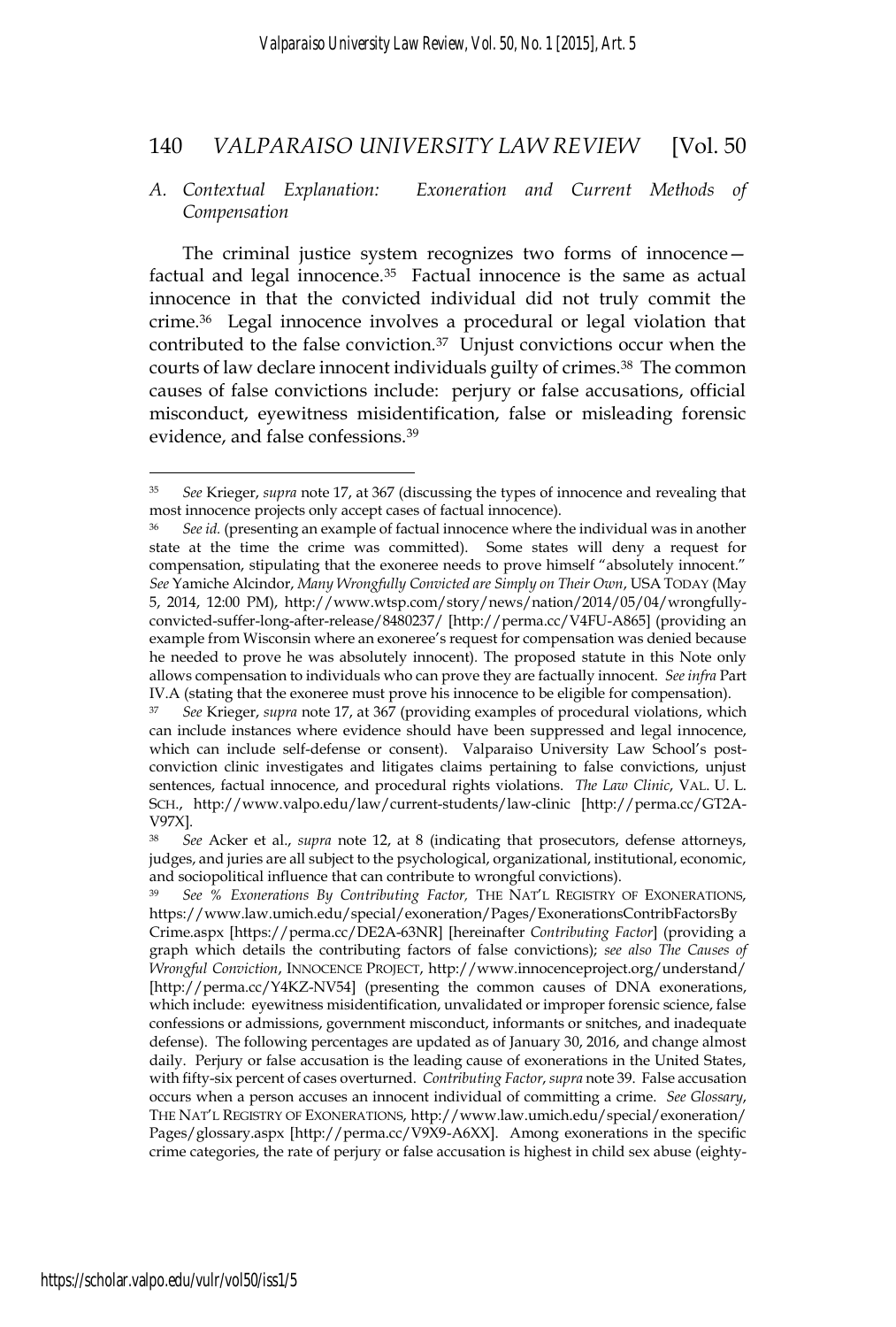### *A. Contextual Explanation: Exoneration and Current Methods of Compensation*

The criminal justice system recognizes two forms of innocence factual and legal innocence.<sup>35</sup> Factual innocence is the same as actual innocence in that the convicted individual did not truly commit the crime.36 Legal innocence involves a procedural or legal violation that contributed to the false conviction.37 Unjust convictions occur when the courts of law declare innocent individuals guilty of crimes.<sup>38</sup> The common causes of false convictions include: perjury or false accusations, official misconduct, eyewitness misidentification, false or misleading forensic evidence, and false confessions.39

<sup>35</sup> *See* Krieger, *supra* note 17, at 367 (discussing the types of innocence and revealing that most innocence projects only accept cases of factual innocence).

<sup>36</sup> *See id.* (presenting an example of factual innocence where the individual was in another state at the time the crime was committed). Some states will deny a request for compensation, stipulating that the exoneree needs to prove himself "absolutely innocent." *See* Yamiche Alcindor, *Many Wrongfully Convicted are Simply on Their Own*, USA TODAY (May 5, 2014, 12:00 PM), http://www.wtsp.com/story/news/nation/2014/05/04/wrongfullyconvicted-suffer-long-after-release/8480237/ [http://perma.cc/V4FU-A865] (providing an example from Wisconsin where an exoneree's request for compensation was denied because he needed to prove he was absolutely innocent)*.* The proposed statute in this Note only allows compensation to individuals who can prove they are factually innocent. *See infra* Part IV.A (stating that the exoneree must prove his innocence to be eligible for compensation).

<sup>37</sup> *See* Krieger, *supra* note 17, at 367 (providing examples of procedural violations, which can include instances where evidence should have been suppressed and legal innocence, which can include self-defense or consent). Valparaiso University Law School's postconviction clinic investigates and litigates claims pertaining to false convictions, unjust sentences, factual innocence, and procedural rights violations. *The Law Clinic*, VAL. U. L. SCH., http://www.valpo.edu/law/current-students/law-clinic [http://perma.cc/GT2A-V97X].

<sup>38</sup> *See* Acker et al., *supra* note 12, at 8 (indicating that prosecutors, defense attorneys, judges, and juries are all subject to the psychological, organizational, institutional, economic, and sociopolitical influence that can contribute to wrongful convictions).

<sup>39</sup> *See % Exonerations By Contributing Factor,* THE NAT'L REGISTRY OF EXONERATIONS, https://www.law.umich.edu/special/exoneration/Pages/ExonerationsContribFactorsBy Crime.aspx [https://perma.cc/DE2A-63NR] [hereinafter *Contributing Factor*] (providing a graph which details the contributing factors of false convictions); *see also The Causes of Wrongful Conviction*, INNOCENCE PROJECT, http://www.innocenceproject.org/understand/ [http://perma.cc/Y4KZ-NV54] (presenting the common causes of DNA exonerations, which include: eyewitness misidentification, unvalidated or improper forensic science, false confessions or admissions, government misconduct, informants or snitches, and inadequate defense). The following percentages are updated as of January 30, 2016, and change almost daily. Perjury or false accusation is the leading cause of exonerations in the United States, with fifty-six percent of cases overturned. *Contributing Factor*, *supra* note 39. False accusation occurs when a person accuses an innocent individual of committing a crime. *See Glossary*, THE NAT'L REGISTRY OF EXONERATIONS, http://www.law.umich.edu/special/exoneration/ Pages/glossary.aspx [http://perma.cc/V9X9-A6XX]. Among exonerations in the specific crime categories, the rate of perjury or false accusation is highest in child sex abuse (eighty-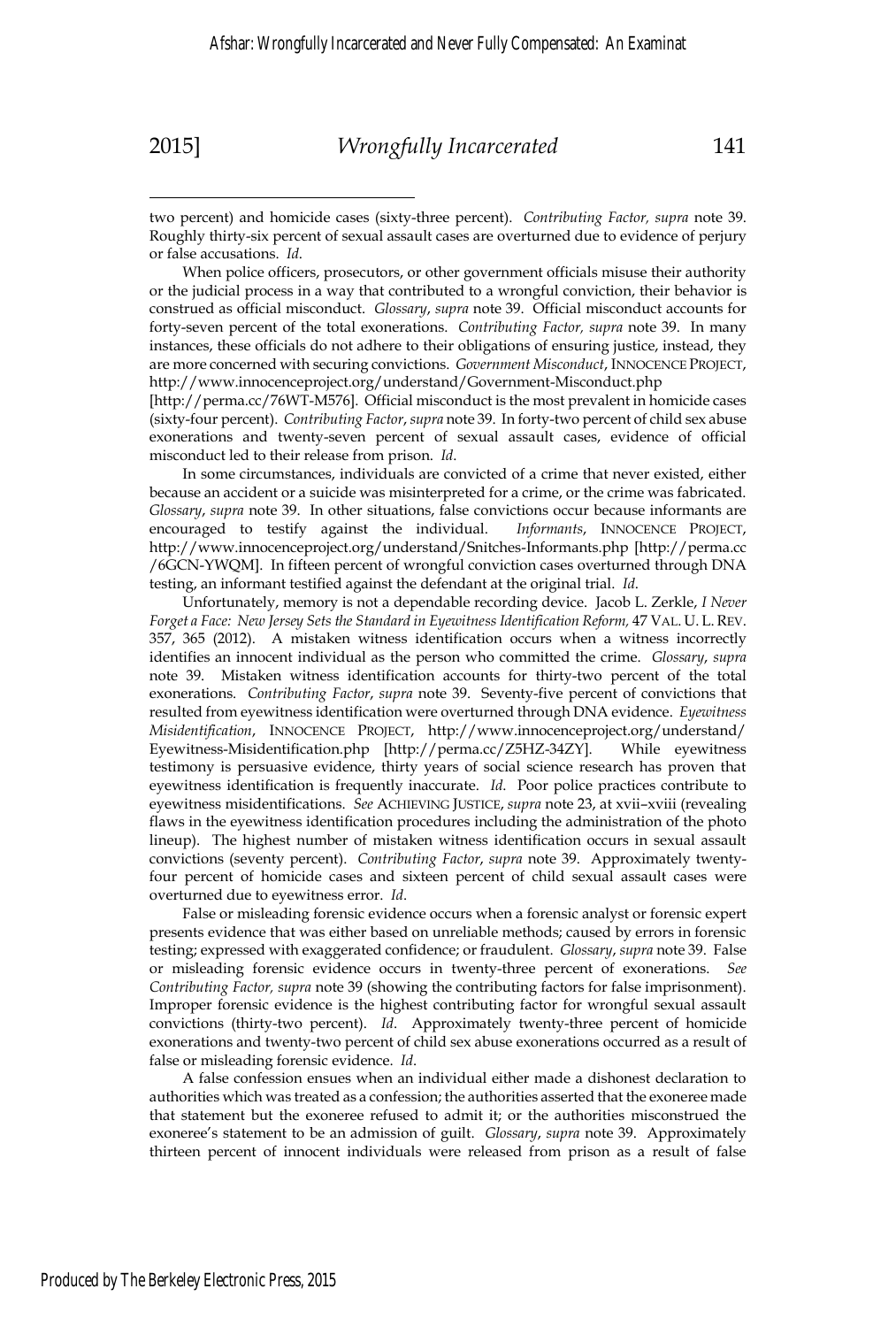$\overline{a}$ 

two percent) and homicide cases (sixty-three percent). *Contributing Factor, supra* note 39. Roughly thirty-six percent of sexual assault cases are overturned due to evidence of perjury or false accusations. *Id*.

 When police officers, prosecutors, or other government officials misuse their authority or the judicial process in a way that contributed to a wrongful conviction, their behavior is construed as official misconduct. *Glossary*, *supra* note 39. Official misconduct accounts for forty-seven percent of the total exonerations. *Contributing Factor, supra* note 39. In many instances, these officials do not adhere to their obligations of ensuring justice, instead, they are more concerned with securing convictions. *Government Misconduct*, INNOCENCE PROJECT, http://www.innocenceproject.org/understand/Government-Misconduct.php

[http://perma.cc/76WT-M576]. Official misconduct is the most prevalent in homicide cases (sixty-four percent). *Contributing Factor*, *supra* note 39. In forty-two percent of child sex abuse exonerations and twenty-seven percent of sexual assault cases, evidence of official misconduct led to their release from prison. *Id*.

 In some circumstances, individuals are convicted of a crime that never existed, either because an accident or a suicide was misinterpreted for a crime, or the crime was fabricated. *Glossary, supra* note 39. In other situations, false convictions occur because informants are encouraged to testify against the individual. *Informants*, INNOCENCE PROJECT, encouraged to testify against the individual. http://www.innocenceproject.org/understand/Snitches-Informants.php [http://perma.cc /6GCN-YWQM]. In fifteen percent of wrongful conviction cases overturned through DNA testing, an informant testified against the defendant at the original trial. *Id*.

 Unfortunately, memory is not a dependable recording device. Jacob L. Zerkle, *I Never*  Forget a Face: New Jersey Sets the Standard in Eyewitness Identification Reform, 47 VAL. U. L. REV. 357, 365 (2012). A mistaken witness identification occurs when a witness incorrectly identifies an innocent individual as the person who committed the crime. *Glossary*, *supra* note 39. Mistaken witness identification accounts for thirty-two percent of the total exonerations. *Contributing Factor*, *supra* note 39. Seventy-five percent of convictions that resulted from eyewitness identification were overturned through DNA evidence. *Eyewitness Misidentification*, INNOCENCE PROJECT, http://www.innocenceproject.org/understand/ Eyewitness-Misidentification.php [http://perma.cc/Z5HZ-34ZY]. While eyewitness testimony is persuasive evidence, thirty years of social science research has proven that eyewitness identification is frequently inaccurate. *Id*. Poor police practices contribute to eyewitness misidentifications. *See* ACHIEVING JUSTICE, *supra* note 23, at xvii–xviii (revealing flaws in the eyewitness identification procedures including the administration of the photo lineup). The highest number of mistaken witness identification occurs in sexual assault convictions (seventy percent). *Contributing Factor*, *supra* note 39. Approximately twentyfour percent of homicide cases and sixteen percent of child sexual assault cases were overturned due to eyewitness error. *Id*.

 False or misleading forensic evidence occurs when a forensic analyst or forensic expert presents evidence that was either based on unreliable methods; caused by errors in forensic testing; expressed with exaggerated confidence; or fraudulent. *Glossary*, *supra* note 39. False or misleading forensic evidence occurs in twenty-three percent of exonerations. *See Contributing Factor, supra* note 39 (showing the contributing factors for false imprisonment). Improper forensic evidence is the highest contributing factor for wrongful sexual assault convictions (thirty-two percent). *Id*. Approximately twenty-three percent of homicide exonerations and twenty-two percent of child sex abuse exonerations occurred as a result of false or misleading forensic evidence. *Id*.

 A false confession ensues when an individual either made a dishonest declaration to authorities which was treated as a confession; the authorities asserted that the exoneree made that statement but the exoneree refused to admit it; or the authorities misconstrued the exoneree's statement to be an admission of guilt. *Glossary*, *supra* note 39. Approximately thirteen percent of innocent individuals were released from prison as a result of false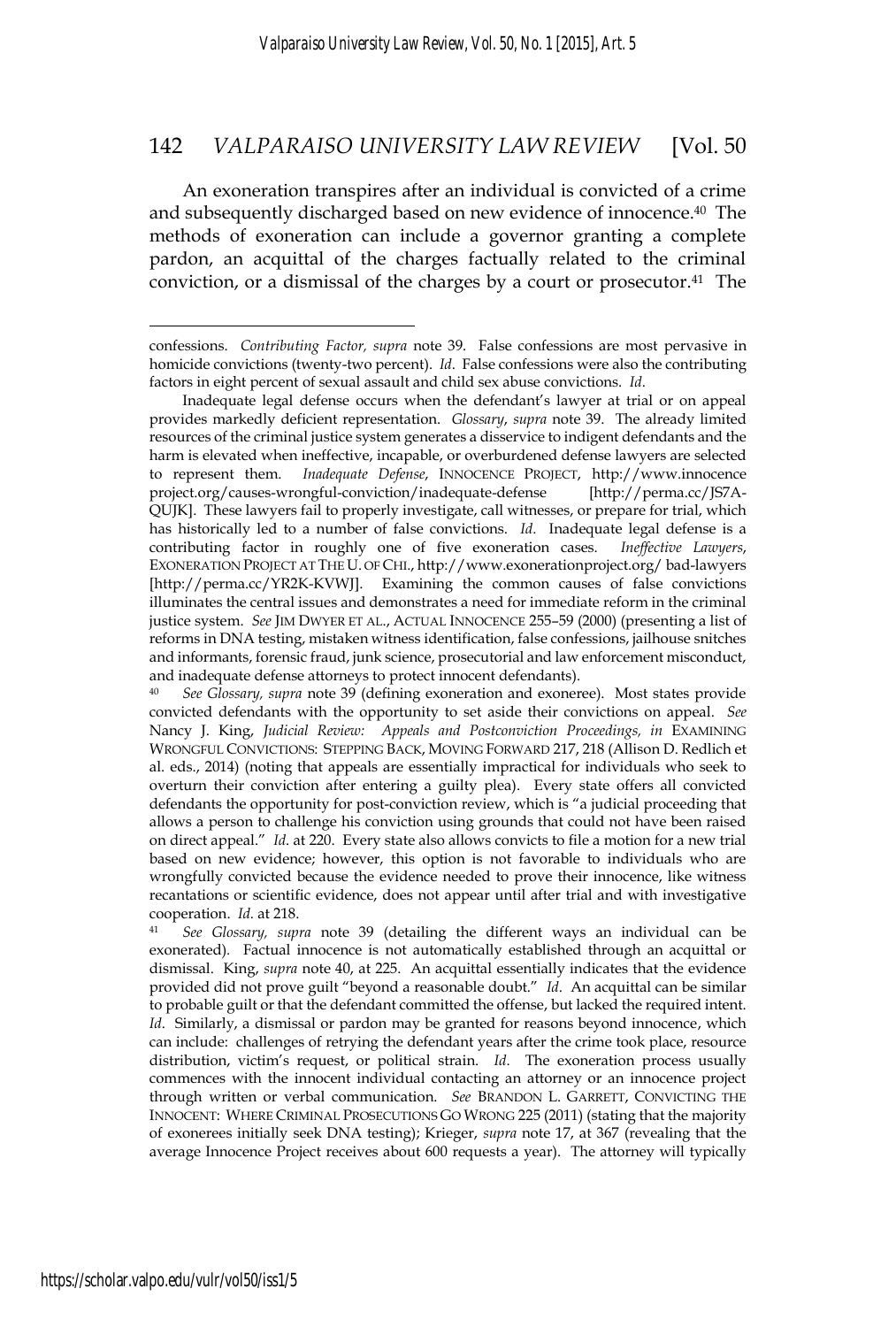An exoneration transpires after an individual is convicted of a crime and subsequently discharged based on new evidence of innocence.40 The methods of exoneration can include a governor granting a complete pardon, an acquittal of the charges factually related to the criminal conviction, or a dismissal of the charges by a court or prosecutor.<sup>41</sup> The

confessions. *Contributing Factor, supra* note 39. False confessions are most pervasive in homicide convictions (twenty-two percent). *Id*. False confessions were also the contributing factors in eight percent of sexual assault and child sex abuse convictions. *Id*.

Inadequate legal defense occurs when the defendant's lawyer at trial or on appeal provides markedly deficient representation. *Glossary*, *supra* note 39. The already limited resources of the criminal justice system generates a disservice to indigent defendants and the harm is elevated when ineffective, incapable, or overburdened defense lawyers are selected to represent them. *Inadequate Defense*, INNOCENCE PROJECT, http://www.innocence project.org/causes-wrongful-conviction/inadequate-defense [http://perma.cc/JS7A-QUJK]. These lawyers fail to properly investigate, call witnesses, or prepare for trial, which has historically led to a number of false convictions. *Id*. Inadequate legal defense is a contributing factor in roughly one of five exoneration cases. *Ineffective Lawyers*, EXONERATION PROJECT AT THE U. OF CHI., http://www.exonerationproject.org/ bad-lawyers [http://perma.cc/YR2K-KVWJ]. Examining the common causes of false convictions illuminates the central issues and demonstrates a need for immediate reform in the criminal justice system. *See* JIM DWYER ET AL., ACTUAL INNOCENCE 255–59 (2000) (presenting a list of reforms in DNA testing, mistaken witness identification, false confessions, jailhouse snitches and informants, forensic fraud, junk science, prosecutorial and law enforcement misconduct, and inadequate defense attorneys to protect innocent defendants).

<sup>40</sup> *See Glossary, supra* note 39 (defining exoneration and exoneree). Most states provide convicted defendants with the opportunity to set aside their convictions on appeal. *See* Nancy J. King, *Judicial Review: Appeals and Postconviction Proceedings, in* EXAMINING WRONGFUL CONVICTIONS: STEPPING BACK, MOVING FORWARD 217, 218 (Allison D. Redlich et al. eds., 2014) (noting that appeals are essentially impractical for individuals who seek to overturn their conviction after entering a guilty plea). Every state offers all convicted defendants the opportunity for post-conviction review, which is "a judicial proceeding that allows a person to challenge his conviction using grounds that could not have been raised on direct appeal." *Id*. at 220. Every state also allows convicts to file a motion for a new trial based on new evidence; however, this option is not favorable to individuals who are wrongfully convicted because the evidence needed to prove their innocence, like witness recantations or scientific evidence, does not appear until after trial and with investigative cooperation. *Id.* at 218. 41 *See Glossary, supra* note 39 (detailing the different ways an individual can be

exonerated)*.* Factual innocence is not automatically established through an acquittal or dismissal. King, *supra* note 40, at 225. An acquittal essentially indicates that the evidence provided did not prove guilt "beyond a reasonable doubt." *Id*. An acquittal can be similar to probable guilt or that the defendant committed the offense, but lacked the required intent. *Id*. Similarly, a dismissal or pardon may be granted for reasons beyond innocence, which can include: challenges of retrying the defendant years after the crime took place, resource distribution, victim's request, or political strain. *Id*. The exoneration process usually commences with the innocent individual contacting an attorney or an innocence project through written or verbal communication. *See* BRANDON L. GARRETT, CONVICTING THE INNOCENT: WHERE CRIMINAL PROSECUTIONS GO WRONG 225 (2011) (stating that the majority of exonerees initially seek DNA testing); Krieger, *supra* note 17, at 367 (revealing that the average Innocence Project receives about 600 requests a year). The attorney will typically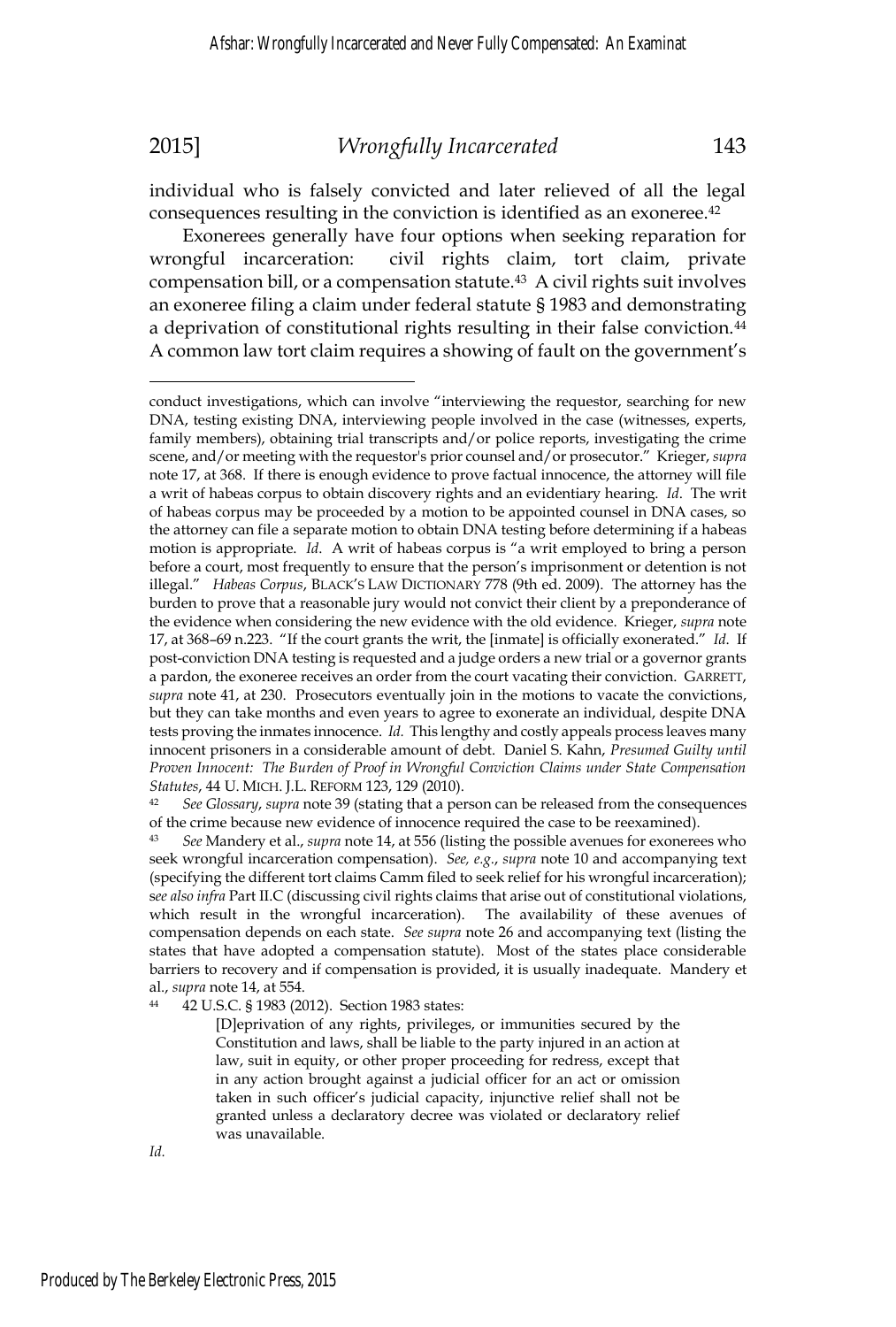individual who is falsely convicted and later relieved of all the legal consequences resulting in the conviction is identified as an exoneree.42

Exonerees generally have four options when seeking reparation for wrongful incarceration: civil rights claim, tort claim, private compensation bill, or a compensation statute.43 A civil rights suit involves an exoneree filing a claim under federal statute § 1983 and demonstrating a deprivation of constitutional rights resulting in their false conviction.<sup>44</sup> A common law tort claim requires a showing of fault on the government's

of the crime because new evidence of innocence required the case to be reexamined).

[D]eprivation of any rights, privileges, or immunities secured by the Constitution and laws, shall be liable to the party injured in an action at law, suit in equity, or other proper proceeding for redress, except that in any action brought against a judicial officer for an act or omission taken in such officer's judicial capacity, injunctive relief shall not be granted unless a declaratory decree was violated or declaratory relief was unavailable.

*Id.* 

conduct investigations, which can involve "interviewing the requestor, searching for new DNA, testing existing DNA, interviewing people involved in the case (witnesses, experts, family members), obtaining trial transcripts and/or police reports, investigating the crime scene, and/or meeting with the requestor's prior counsel and/or prosecutor." Krieger, *supra*  note 17, at 368. If there is enough evidence to prove factual innocence, the attorney will file a writ of habeas corpus to obtain discovery rights and an evidentiary hearing. *Id*. The writ of habeas corpus may be proceeded by a motion to be appointed counsel in DNA cases, so the attorney can file a separate motion to obtain DNA testing before determining if a habeas motion is appropriate. *Id*. A writ of habeas corpus is "a writ employed to bring a person before a court, most frequently to ensure that the person's imprisonment or detention is not illegal." *Habeas Corpus*, BLACK'S LAW DICTIONARY 778 (9th ed. 2009). The attorney has the burden to prove that a reasonable jury would not convict their client by a preponderance of the evidence when considering the new evidence with the old evidence. Krieger, *supra* note 17, at 368–69 n.223. "If the court grants the writ, the [inmate] is officially exonerated." *Id*. If post-conviction DNA testing is requested and a judge orders a new trial or a governor grants a pardon, the exoneree receives an order from the court vacating their conviction. GARRETT, *supra* note 41, at 230. Prosecutors eventually join in the motions to vacate the convictions, but they can take months and even years to agree to exonerate an individual, despite DNA tests proving the inmates innocence. *Id.* This lengthy and costly appeals process leaves many innocent prisoners in a considerable amount of debt. Daniel S. Kahn, *Presumed Guilty until Proven Innocent: The Burden of Proof in Wrongful Conviction Claims under State Compensation Statutes*, 44 U. MICH. J.L. REFORM 123, 129 (2010).<br><sup>42</sup> *See Glossary, supra* note 39 (stating that a person can be released from the consequences

<sup>43</sup> *See* Mandery et al., *supra* note 14, at 556 (listing the possible avenues for exonerees who seek wrongful incarceration compensation). *See, e.g.*, *supra* note 10 and accompanying text (specifying the different tort claims Camm filed to seek relief for his wrongful incarceration); s*ee also infra* Part II.C (discussing civil rights claims that arise out of constitutional violations, which result in the wrongful incarceration). The availability of these avenues of compensation depends on each state. *See supra* note 26 and accompanying text (listing the states that have adopted a compensation statute). Most of the states place considerable barriers to recovery and if compensation is provided, it is usually inadequate. Mandery et al., *supra* note 14, at 554.<br><sup>44</sup> 42 U.S.C. § 1983 (2012). Section 1983 states: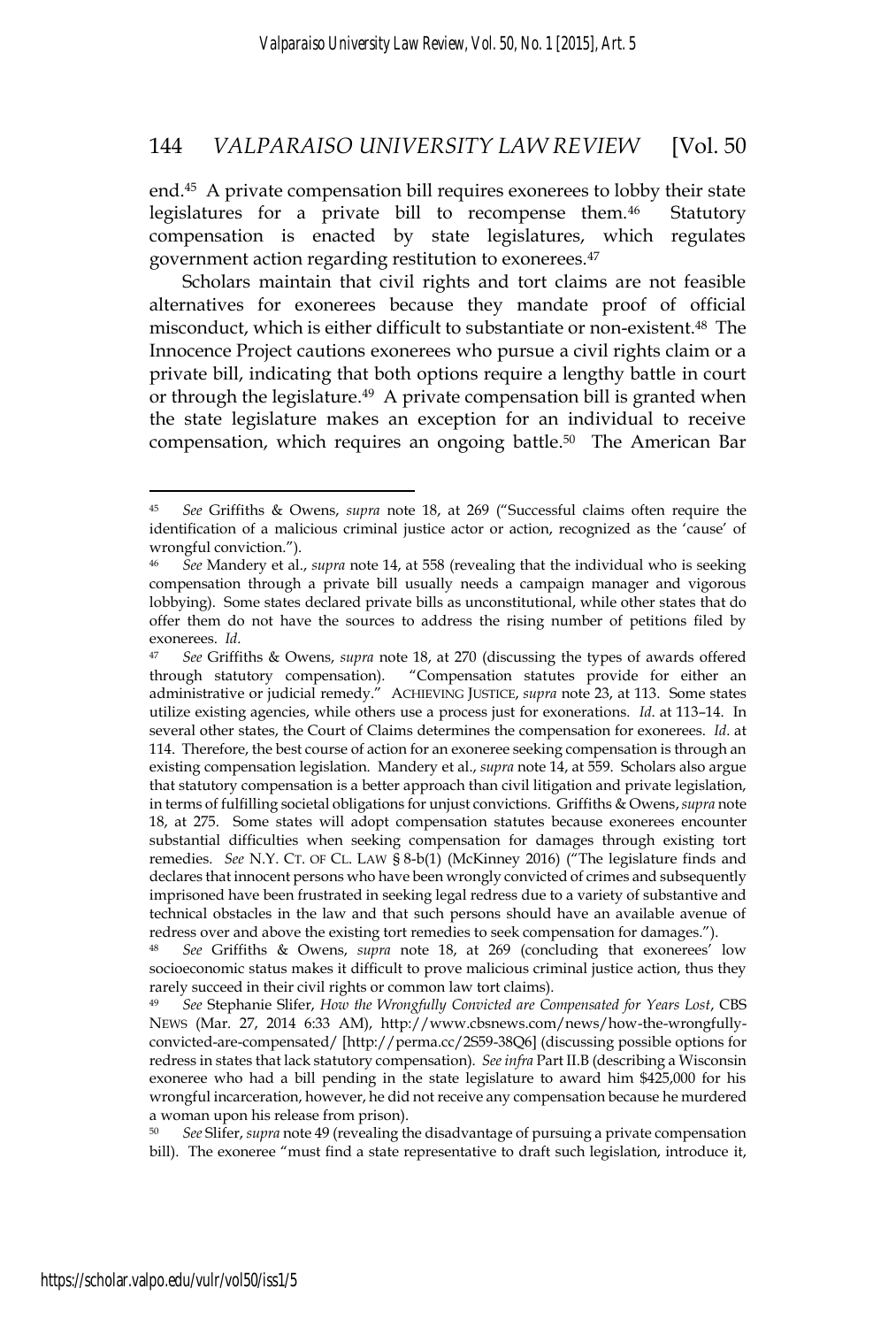end.45 A private compensation bill requires exonerees to lobby their state legislatures for a private bill to recompense them.<sup>46</sup> Statutory compensation is enacted by state legislatures, which regulates government action regarding restitution to exonerees.47

Scholars maintain that civil rights and tort claims are not feasible alternatives for exonerees because they mandate proof of official misconduct, which is either difficult to substantiate or non-existent.48 The Innocence Project cautions exonerees who pursue a civil rights claim or a private bill, indicating that both options require a lengthy battle in court or through the legislature.49 A private compensation bill is granted when the state legislature makes an exception for an individual to receive compensation, which requires an ongoing battle.<sup>50</sup> The American Bar

<sup>50</sup> *See* Slifer, *supra* note 49 (revealing the disadvantage of pursuing a private compensation bill). The exoneree "must find a state representative to draft such legislation, introduce it,

<sup>45</sup> *See* Griffiths & Owens, *supra* note 18, at 269 ("Successful claims often require the identification of a malicious criminal justice actor or action, recognized as the 'cause' of wrongful conviction.").

<sup>46</sup> *See* Mandery et al., *supra* note 14, at 558 (revealing that the individual who is seeking compensation through a private bill usually needs a campaign manager and vigorous lobbying). Some states declared private bills as unconstitutional, while other states that do offer them do not have the sources to address the rising number of petitions filed by exonerees. *Id*. 47 *See* Griffiths & Owens, *supra* note 18, at 270 (discussing the types of awards offered

through statutory compensation). "Compensation statutes provide for either an administrative or judicial remedy." ACHIEVING JUSTICE, *supra* note 23, at 113. Some states utilize existing agencies, while others use a process just for exonerations. *Id*. at 113–14. In several other states, the Court of Claims determines the compensation for exonerees. *Id*. at 114. Therefore, the best course of action for an exoneree seeking compensation is through an existing compensation legislation. Mandery et al., *supra* note 14, at 559. Scholars also argue that statutory compensation is a better approach than civil litigation and private legislation, in terms of fulfilling societal obligations for unjust convictions. Griffiths & Owens,*supra* note 18, at 275. Some states will adopt compensation statutes because exonerees encounter substantial difficulties when seeking compensation for damages through existing tort remedies. *See* N.Y. CT. OF CL. LAW § 8-b(1) (McKinney 2016) ("The legislature finds and declares that innocent persons who have been wrongly convicted of crimes and subsequently imprisoned have been frustrated in seeking legal redress due to a variety of substantive and technical obstacles in the law and that such persons should have an available avenue of redress over and above the existing tort remedies to seek compensation for damages.").

<sup>48</sup> *See* Griffiths & Owens, *supra* note 18, at 269 (concluding that exonerees' low socioeconomic status makes it difficult to prove malicious criminal justice action, thus they rarely succeed in their civil rights or common law tort claims).

<sup>49</sup> *See* Stephanie Slifer, *How the Wrongfully Convicted are Compensated for Years Lost*, CBS NEWS (Mar. 27, 2014 6:33 AM), http://www.cbsnews.com/news/how-the-wrongfullyconvicted-are-compensated/ [http://perma.cc/2S59-38Q6] (discussing possible options for redress in states that lack statutory compensation). *See infra* Part II.B (describing a Wisconsin exoneree who had a bill pending in the state legislature to award him \$425,000 for his wrongful incarceration, however, he did not receive any compensation because he murdered a woman upon his release from prison).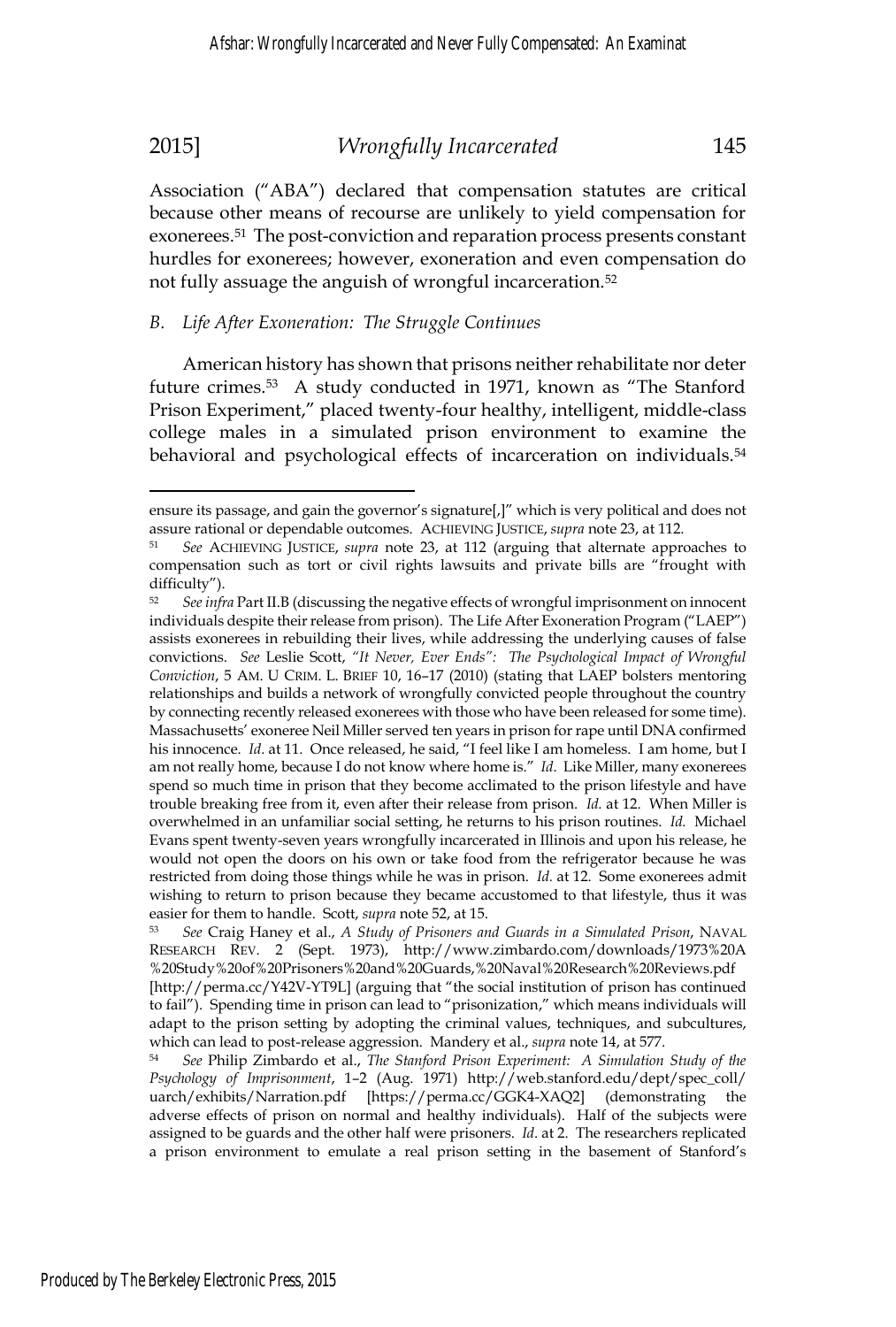Association ("ABA") declared that compensation statutes are critical because other means of recourse are unlikely to yield compensation for exonerees.51 The post-conviction and reparation process presents constant hurdles for exonerees; however, exoneration and even compensation do not fully assuage the anguish of wrongful incarceration.<sup>52</sup>

### *B. Life After Exoneration: The Struggle Continues*

American history has shown that prisons neither rehabilitate nor deter future crimes.53 A study conducted in 1971, known as "The Stanford Prison Experiment," placed twenty-four healthy, intelligent, middle-class college males in a simulated prison environment to examine the behavioral and psychological effects of incarceration on individuals.<sup>54</sup>

ensure its passage, and gain the governor's signature[,]" which is very political and does not assure rational or dependable outcomes. ACHIEVING JUSTICE, *supra* note 23, at 112. 51 *See* ACHIEVING JUSTICE, *supra* note 23, at 112 (arguing that alternate approaches to

compensation such as tort or civil rights lawsuits and private bills are "frought with difficulty").

<sup>52</sup> *See infra* Part II.B (discussing the negative effects of wrongful imprisonment on innocent individuals despite their release from prison). The Life After Exoneration Program ("LAEP") assists exonerees in rebuilding their lives, while addressing the underlying causes of false convictions. *See* Leslie Scott, *"It Never, Ever Ends": The Psychological Impact of Wrongful Conviction*, 5 AM. U CRIM. L. BRIEF 10, 16–17 (2010) (stating that LAEP bolsters mentoring relationships and builds a network of wrongfully convicted people throughout the country by connecting recently released exonerees with those who have been released for some time). Massachusetts' exoneree Neil Miller served ten years in prison for rape until DNA confirmed his innocence. *Id*. at 11. Once released, he said, "I feel like I am homeless. I am home, but I am not really home, because I do not know where home is." *Id*. Like Miller, many exonerees spend so much time in prison that they become acclimated to the prison lifestyle and have trouble breaking free from it, even after their release from prison. *Id.* at 12. When Miller is overwhelmed in an unfamiliar social setting, he returns to his prison routines. *Id.* Michael Evans spent twenty-seven years wrongfully incarcerated in Illinois and upon his release, he would not open the doors on his own or take food from the refrigerator because he was restricted from doing those things while he was in prison. *Id.* at 12. Some exonerees admit wishing to return to prison because they became accustomed to that lifestyle, thus it was easier for them to handle. Scott, *supra* note 52, at 15.<br><sup>53</sup> *See* Craig Haney et al., *A Study of Prisoners and Guards in a Simulated Prison*, NAVAL

RESEARCH REV. 2 (Sept. 1973), http://www.zimbardo.com/downloads/1973%20A %20Study%20of%20Prisoners%20and%20Guards,%20Naval%20Research%20Reviews.pdf [http://perma.cc/Y42V-YT9L] (arguing that "the social institution of prison has continued to fail"). Spending time in prison can lead to "prisonization," which means individuals will adapt to the prison setting by adopting the criminal values, techniques, and subcultures, which can lead to post-release aggression. Mandery et al., *supra* note 14, at 577.<br><sup>54</sup> *See Philip Zimbardo et al., The Stanford Prison Experiment: A Simulation Study of the* 

*Psychology of Imprisonment*, 1–2 (Aug. 1971) http://web.stanford.edu/dept/spec\_coll/ uarch/exhibits/Narration.pdf [https://perma.cc/GGK4-XAQ2] (demonstrating the adverse effects of prison on normal and healthy individuals). Half of the subjects were assigned to be guards and the other half were prisoners. *Id*. at 2. The researchers replicated a prison environment to emulate a real prison setting in the basement of Stanford's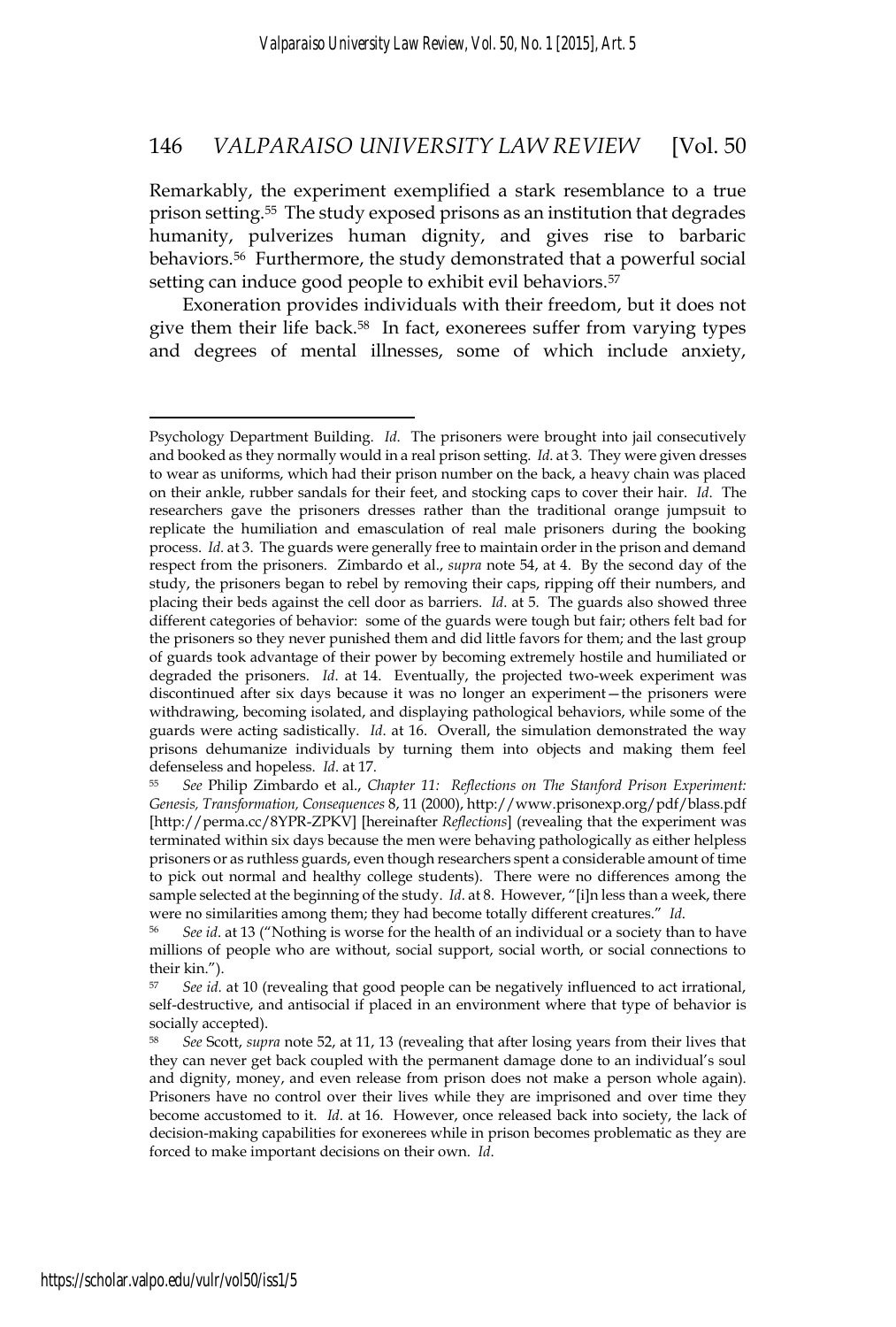Remarkably, the experiment exemplified a stark resemblance to a true prison setting.55 The study exposed prisons as an institution that degrades humanity, pulverizes human dignity, and gives rise to barbaric behaviors.56 Furthermore, the study demonstrated that a powerful social setting can induce good people to exhibit evil behaviors.<sup>57</sup>

Exoneration provides individuals with their freedom, but it does not give them their life back.<sup>58</sup> In fact, exonerees suffer from varying types and degrees of mental illnesses, some of which include anxiety,

Psychology Department Building. *Id*. The prisoners were brought into jail consecutively and booked as they normally would in a real prison setting. *Id*. at 3. They were given dresses to wear as uniforms, which had their prison number on the back, a heavy chain was placed on their ankle, rubber sandals for their feet, and stocking caps to cover their hair. *Id*. The researchers gave the prisoners dresses rather than the traditional orange jumpsuit to replicate the humiliation and emasculation of real male prisoners during the booking process. *Id.* at 3. The guards were generally free to maintain order in the prison and demand respect from the prisoners. Zimbardo et al., *supra* note 54, at 4. By the second day of the study, the prisoners began to rebel by removing their caps, ripping off their numbers, and placing their beds against the cell door as barriers. *Id*. at 5. The guards also showed three different categories of behavior: some of the guards were tough but fair; others felt bad for the prisoners so they never punished them and did little favors for them; and the last group of guards took advantage of their power by becoming extremely hostile and humiliated or degraded the prisoners. *Id*. at 14. Eventually, the projected two-week experiment was discontinued after six days because it was no longer an experiment—the prisoners were withdrawing, becoming isolated, and displaying pathological behaviors, while some of the guards were acting sadistically. *Id*. at 16. Overall, the simulation demonstrated the way prisons dehumanize individuals by turning them into objects and making them feel defenseless and hopeless. *Id.* at 17.<br><sup>55</sup> *See* Philip Zimbardo et al., *Chapter 11: Reflections on The Stanford Prison Experiment:* 

*Genesis, Transformation, Consequences* 8, 11 (2000), http://www.prisonexp.org/pdf/blass.pdf [http://perma.cc/8YPR-ZPKV] [hereinafter *Reflections*] (revealing that the experiment was terminated within six days because the men were behaving pathologically as either helpless prisoners or as ruthless guards, even though researchers spent a considerable amount of time to pick out normal and healthy college students). There were no differences among the sample selected at the beginning of the study. *Id.* at 8. However, "[i]n less than a week, there were no similarities among them; they had become totally different creatures." *Id*.<br><sup>56</sup> *See id*. at 13 ("Nothing is worse for the health of an individual or a society than to have

millions of people who are without, social support, social worth, or social connections to their kin.").

<sup>57</sup> *See id.* at 10 (revealing that good people can be negatively influenced to act irrational, self-destructive, and antisocial if placed in an environment where that type of behavior is socially accepted).

<sup>58</sup> *See* Scott, *supra* note 52, at 11, 13 (revealing that after losing years from their lives that they can never get back coupled with the permanent damage done to an individual's soul and dignity, money, and even release from prison does not make a person whole again). Prisoners have no control over their lives while they are imprisoned and over time they become accustomed to it. *Id*. at 16. However, once released back into society, the lack of decision-making capabilities for exonerees while in prison becomes problematic as they are forced to make important decisions on their own. *Id*.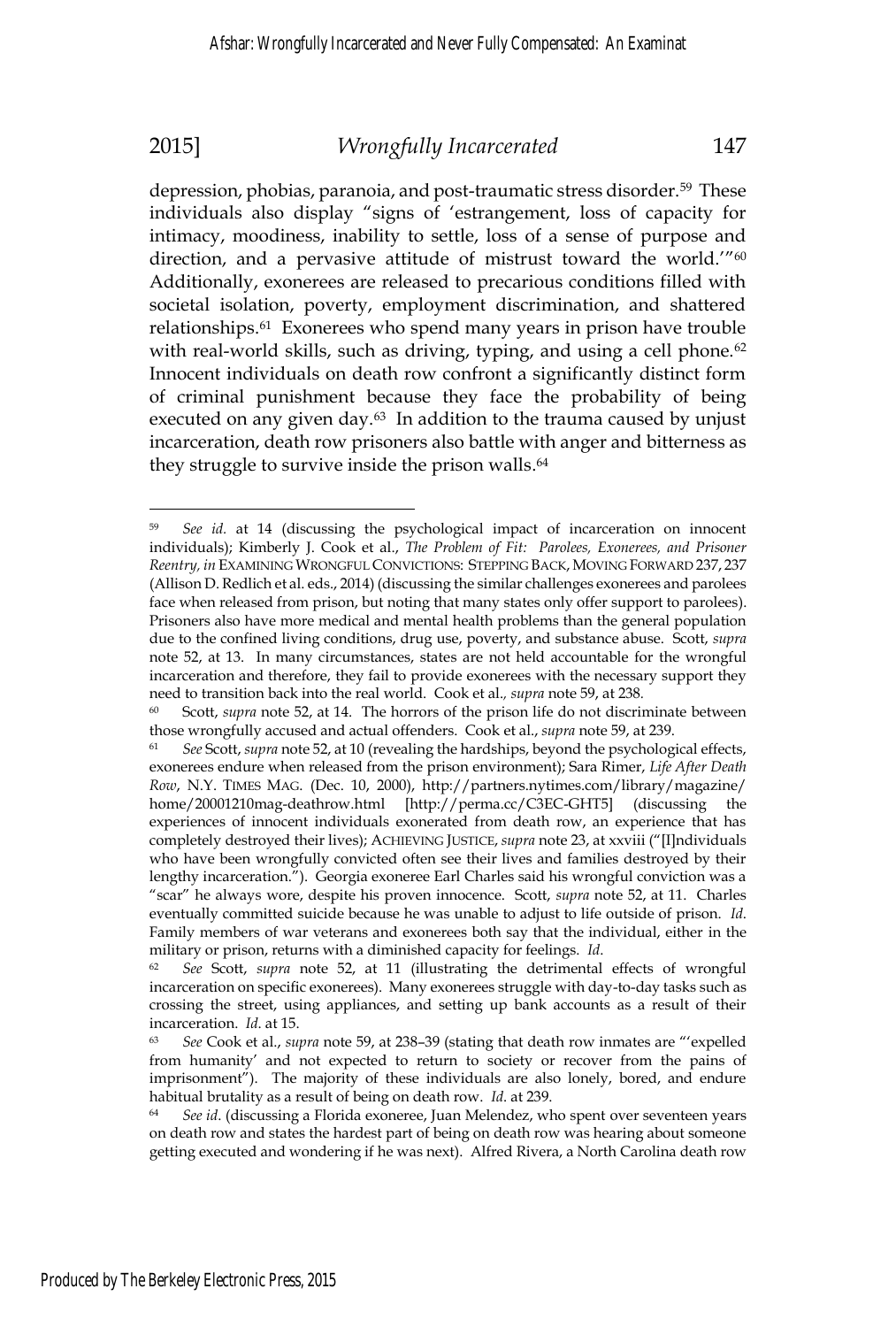depression, phobias, paranoia, and post-traumatic stress disorder.59 These individuals also display "signs of 'estrangement, loss of capacity for intimacy, moodiness, inability to settle, loss of a sense of purpose and direction, and a pervasive attitude of mistrust toward the world."<sup>60</sup> Additionally, exonerees are released to precarious conditions filled with societal isolation, poverty, employment discrimination, and shattered relationships.61 Exonerees who spend many years in prison have trouble with real-world skills, such as driving, typing, and using a cell phone.<sup>62</sup> Innocent individuals on death row confront a significantly distinct form of criminal punishment because they face the probability of being executed on any given day.<sup>63</sup> In addition to the trauma caused by unjust incarceration, death row prisoners also battle with anger and bitterness as they struggle to survive inside the prison walls.<sup>64</sup>

<sup>59</sup> *See id.* at 14 (discussing the psychological impact of incarceration on innocent individuals); Kimberly J. Cook et al., *The Problem of Fit: Parolees, Exonerees, and Prisoner Reentry, in* EXAMINING WRONGFUL CONVICTIONS: STEPPING BACK, MOVING FORWARD 237, 237 (Allison D. Redlich et al. eds., 2014) (discussing the similar challenges exonerees and parolees face when released from prison, but noting that many states only offer support to parolees). Prisoners also have more medical and mental health problems than the general population due to the confined living conditions, drug use, poverty, and substance abuse. Scott, *supra* note 52, at 13. In many circumstances, states are not held accountable for the wrongful incarceration and therefore, they fail to provide exonerees with the necessary support they need to transition back into the real world. d. Cook et al.*, supra* note 59, at 238*.*

<sup>60</sup> Scott, *supra* note 52, at 14. The horrors of the prison life do not discriminate between those wrongfully accused and actual offenders. Cook et al., *supra* note 59, at 239.<br><sup>61</sup> *See* Scott, *supra* note 52, at 10 (revealing the hardships, beyond the psychological effects,

exonerees endure when released from the prison environment); Sara Rimer, *Life After Death Row*, N.Y. TIMES MAG. (Dec. 10, 2000), http://partners.nytimes.com/library/magazine/ home/20001210mag-deathrow.html [http://perma.cc/C3EC-GHT5] (discussing the experiences of innocent individuals exonerated from death row, an experience that has completely destroyed their lives); ACHIEVING JUSTICE, *supra* note 23, at xxviii ("[I]ndividuals who have been wrongfully convicted often see their lives and families destroyed by their lengthy incarceration."). Georgia exoneree Earl Charles said his wrongful conviction was a "scar" he always wore, despite his proven innocence. Scott, *supra* note 52, at 11. Charles eventually committed suicide because he was unable to adjust to life outside of prison. *Id*. Family members of war veterans and exonerees both say that the individual, either in the military or prison, returns with a diminished capacity for feelings. *Id*.<br><sup>62</sup> *See* Scott, *supra* note 52, at 11 (illustrating the detrimental effects of wrongful

incarceration on specific exonerees). Many exonerees struggle with day-to-day tasks such as crossing the street, using appliances, and setting up bank accounts as a result of their incarceration. *Id.* at 15.<br><sup>63</sup> *See* Cook et al., *supra* note 59, at 238–39 (stating that death row inmates are "'expelled

from humanity' and not expected to return to society or recover from the pains of imprisonment"). The majority of these individuals are also lonely, bored, and endure habitual brutality as a result of being on death row. *Id.* at 239.<br><sup>64</sup> *See id.* (discussing a Florida exoneree, Juan Melendez, who spent over seventeen years

on death row and states the hardest part of being on death row was hearing about someone getting executed and wondering if he was next). Alfred Rivera, a North Carolina death row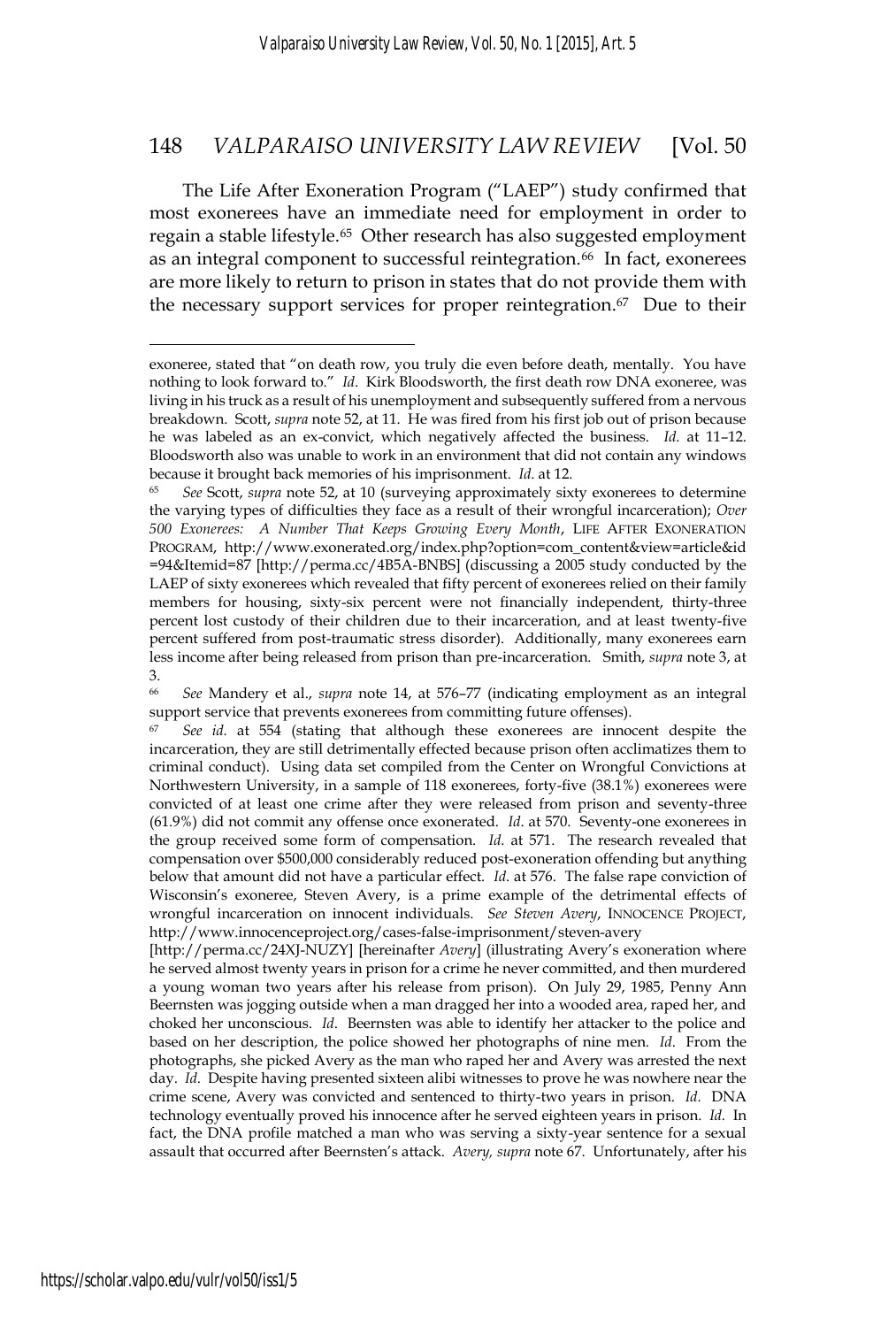The Life After Exoneration Program ("LAEP") study confirmed that most exonerees have an immediate need for employment in order to regain a stable lifestyle.<sup>65</sup> Other research has also suggested employment as an integral component to successful reintegration.<sup>66</sup> In fact, exonerees are more likely to return to prison in states that do not provide them with the necessary support services for proper reintegration. $67$  Due to their

exoneree, stated that "on death row, you truly die even before death, mentally. You have nothing to look forward to." *Id*. Kirk Bloodsworth, the first death row DNA exoneree, was living in his truck as a result of his unemployment and subsequently suffered from a nervous breakdown. Scott, *supra* note 52, at 11. He was fired from his first job out of prison because he was labeled as an ex-convict, which negatively affected the business. *Id*. at 11–12. Bloodsworth also was unable to work in an environment that did not contain any windows because it brought back memories of his imprisonment. *Id*. at 12.<br><sup>65</sup> *See* Scott, *supra* note 52, at 10 (surveying approximately sixty exonerees to determine

the varying types of difficulties they face as a result of their wrongful incarceration); *Over 500 Exonerees: A Number That Keeps Growing Every Month*, LIFE AFTER EXONERATION PROGRAM, http://www.exonerated.org/index.php?option=com\_content&view=article&id =94&Itemid=87 [http://perma.cc/4B5A-BNBS] (discussing a 2005 study conducted by the LAEP of sixty exonerees which revealed that fifty percent of exonerees relied on their family members for housing, sixty-six percent were not financially independent, thirty-three percent lost custody of their children due to their incarceration, and at least twenty-five percent suffered from post-traumatic stress disorder). Additionally, many exonerees earn less income after being released from prison than pre-incarceration. Smith, *supra* note 3, at 3.

<sup>66</sup> *See* Mandery et al., *supra* note 14, at 576–77 (indicating employment as an integral support service that prevents exonerees from committing future offenses).

<sup>67</sup> *See id.* at 554 (stating that although these exonerees are innocent despite the incarceration, they are still detrimentally effected because prison often acclimatizes them to criminal conduct). Using data set compiled from the Center on Wrongful Convictions at Northwestern University, in a sample of 118 exonerees, forty-five (38.1%) exonerees were convicted of at least one crime after they were released from prison and seventy-three (61.9%) did not commit any offense once exonerated. *Id*. at 570. Seventy-one exonerees in the group received some form of compensation. *Id*. at 571. The research revealed that compensation over \$500,000 considerably reduced post-exoneration offending but anything below that amount did not have a particular effect. *Id*. at 576. The false rape conviction of Wisconsin's exoneree, Steven Avery, is a prime example of the detrimental effects of wrongful incarceration on innocent individuals. *See Steven Avery*, INNOCENCE PROJECT, http://www.innocenceproject.org/cases-false-imprisonment/steven-avery

<sup>[</sup>http://perma.cc/24XJ-NUZY] [hereinafter *Avery*] (illustrating Avery's exoneration where he served almost twenty years in prison for a crime he never committed, and then murdered a young woman two years after his release from prison). On July 29, 1985, Penny Ann Beernsten was jogging outside when a man dragged her into a wooded area, raped her, and choked her unconscious. *Id*. Beernsten was able to identify her attacker to the police and based on her description, the police showed her photographs of nine men. *Id*. From the photographs, she picked Avery as the man who raped her and Avery was arrested the next day. *Id*. Despite having presented sixteen alibi witnesses to prove he was nowhere near the crime scene, Avery was convicted and sentenced to thirty-two years in prison. *Id*. DNA technology eventually proved his innocence after he served eighteen years in prison. *Id.* In fact, the DNA profile matched a man who was serving a sixty-year sentence for a sexual assault that occurred after Beernsten's attack. *Avery, supra* note 67. Unfortunately, after his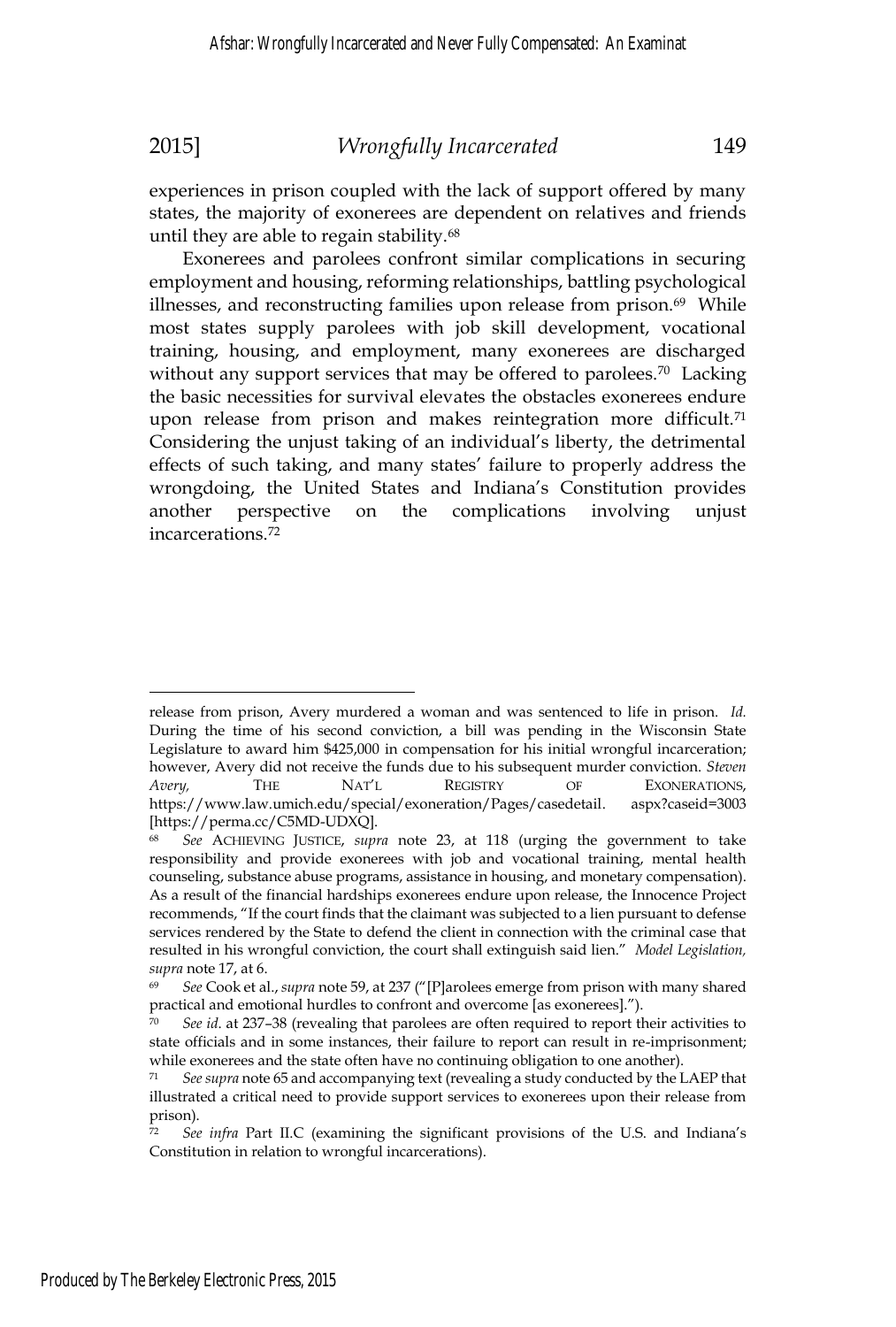experiences in prison coupled with the lack of support offered by many states, the majority of exonerees are dependent on relatives and friends until they are able to regain stability.<sup>68</sup>

Exonerees and parolees confront similar complications in securing employment and housing, reforming relationships, battling psychological illnesses, and reconstructing families upon release from prison.<sup>69</sup> While most states supply parolees with job skill development, vocational training, housing, and employment, many exonerees are discharged without any support services that may be offered to parolees.<sup>70</sup> Lacking the basic necessities for survival elevates the obstacles exonerees endure upon release from prison and makes reintegration more difficult.<sup>71</sup> Considering the unjust taking of an individual's liberty, the detrimental effects of such taking, and many states' failure to properly address the wrongdoing, the United States and Indiana's Constitution provides another perspective on the complications involving unjust incarcerations.72

release from prison, Avery murdered a woman and was sentenced to life in prison. *Id.*  During the time of his second conviction, a bill was pending in the Wisconsin State Legislature to award him \$425,000 in compensation for his initial wrongful incarceration; however, Avery did not receive the funds due to his subsequent murder conviction. *Steven Avery,* THE NAT'L REGISTRY OF EXONERATIONS, https://www.law.umich.edu/special/exoneration/Pages/casedetail. aspx?caseid=3003 [https://perma.cc/C5MD-UDXQ].

<sup>68</sup> *See* ACHIEVING JUSTICE, *supra* note 23, at 118 (urging the government to take responsibility and provide exonerees with job and vocational training, mental health counseling, substance abuse programs, assistance in housing, and monetary compensation). As a result of the financial hardships exonerees endure upon release, the Innocence Project recommends, "If the court finds that the claimant was subjected to a lien pursuant to defense services rendered by the State to defend the client in connection with the criminal case that resulted in his wrongful conviction, the court shall extinguish said lien." *Model Legislation, supra* note 17, at 6.<br><sup>69</sup> *See* Cook et al., *supra* note 59, at 237 ("[P]arolees emerge from prison with many shared

practical and emotional hurdles to confront and overcome [as exonerees].").

<sup>70</sup> *See id*. at 237–38 (revealing that parolees are often required to report their activities to state officials and in some instances, their failure to report can result in re-imprisonment; while exonerees and the state often have no continuing obligation to one another).

<sup>71</sup> *See supra* note 65 and accompanying text (revealing a study conducted by the LAEP that illustrated a critical need to provide support services to exonerees upon their release from prison).

<sup>72</sup> *See infra* Part II.C (examining the significant provisions of the U.S. and Indiana's Constitution in relation to wrongful incarcerations).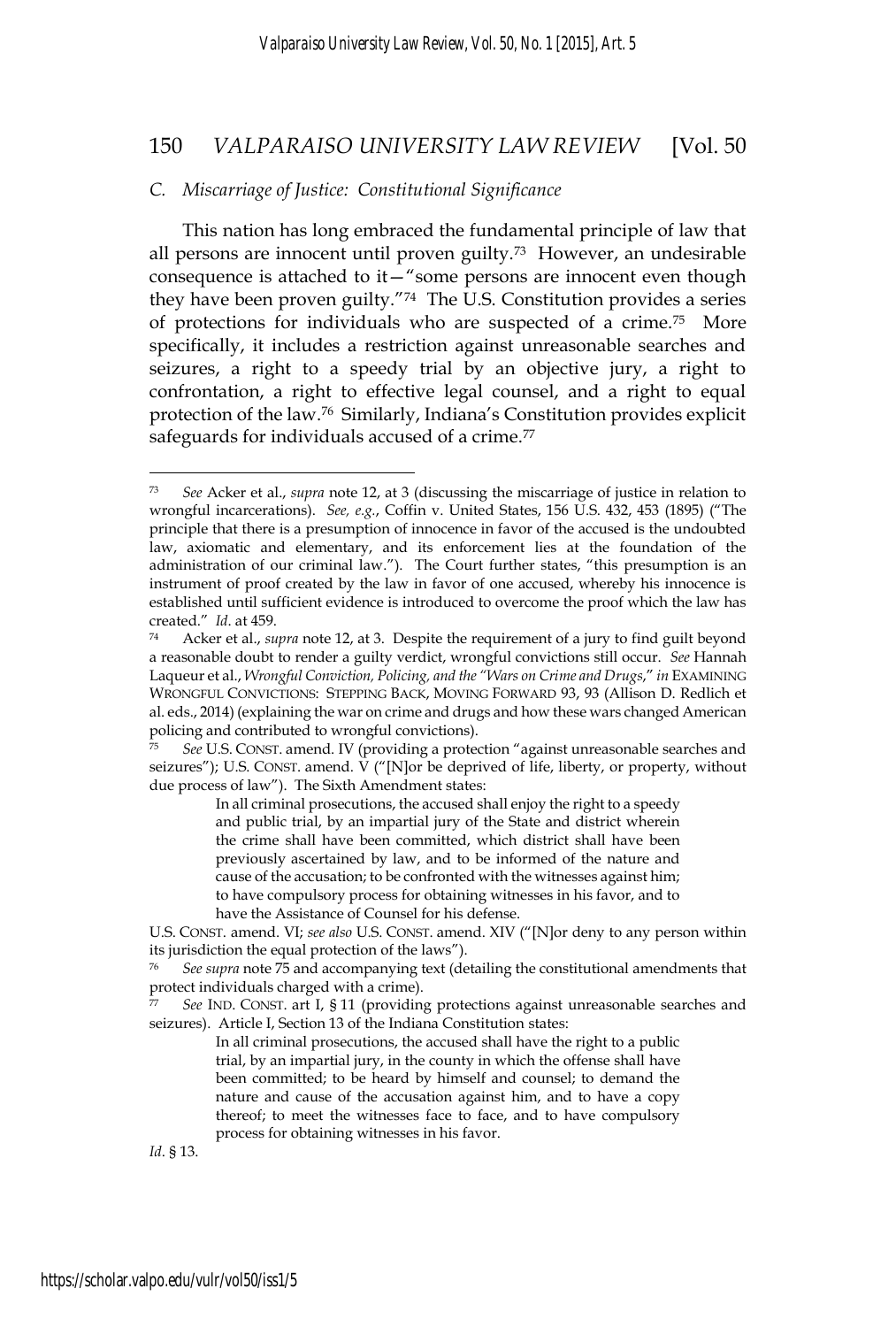### *C. Miscarriage of Justice: Constitutional Significance*

This nation has long embraced the fundamental principle of law that all persons are innocent until proven guilty.<sup>73</sup> However, an undesirable consequence is attached to it—"some persons are innocent even though they have been proven guilty."74 The U.S. Constitution provides a series of protections for individuals who are suspected of a crime.75 More specifically, it includes a restriction against unreasonable searches and seizures, a right to a speedy trial by an objective jury, a right to confrontation, a right to effective legal counsel, and a right to equal protection of the law.76 Similarly, Indiana's Constitution provides explicit safeguards for individuals accused of a crime.<sup>77</sup>

In all criminal prosecutions, the accused shall enjoy the right to a speedy and public trial, by an impartial jury of the State and district wherein the crime shall have been committed, which district shall have been previously ascertained by law, and to be informed of the nature and cause of the accusation; to be confronted with the witnesses against him; to have compulsory process for obtaining witnesses in his favor, and to have the Assistance of Counsel for his defense.

U.S. CONST. amend. VI; *see also* U.S. CONST. amend. XIV ("[N]or deny to any person within its jurisdiction the equal protection of the laws").

<sup>76</sup> *See supra* note 75 and accompanying text (detailing the constitutional amendments that protect individuals charged with a crime).

See IND. CONST. art I, § 11 (providing protections against unreasonable searches and seizures). Article I, Section 13 of the Indiana Constitution states:

> In all criminal prosecutions, the accused shall have the right to a public trial, by an impartial jury, in the county in which the offense shall have been committed; to be heard by himself and counsel; to demand the nature and cause of the accusation against him, and to have a copy thereof; to meet the witnesses face to face, and to have compulsory process for obtaining witnesses in his favor.

*Id*. § 13.

<sup>73</sup> *See* Acker et al., *supra* note 12, at 3 (discussing the miscarriage of justice in relation to wrongful incarcerations). *See, e.g.*, Coffin v. United States, 156 U.S. 432, 453 (1895) ("The principle that there is a presumption of innocence in favor of the accused is the undoubted law, axiomatic and elementary, and its enforcement lies at the foundation of the administration of our criminal law."). The Court further states, "this presumption is an instrument of proof created by the law in favor of one accused, whereby his innocence is established until sufficient evidence is introduced to overcome the proof which the law has created." *Id.* at 459.<br><sup>74</sup> Acker et al., *supra* note 12, at 3. Despite the requirement of a jury to find guilt beyond

a reasonable doubt to render a guilty verdict, wrongful convictions still occur. *See* Hannah Laqueur et al., *Wrongful Conviction, Policing, and the "Wars on Crime and Drugs*," *in* EXAMINING WRONGFUL CONVICTIONS: STEPPING BACK, MOVING FORWARD 93, 93 (Allison D. Redlich et al. eds., 2014) (explaining the war on crime and drugs and how these wars changed American policing and contributed to wrongful convictions).

<sup>75</sup> *See* U.S. CONST. amend. IV (providing a protection "against unreasonable searches and seizures"); U.S. CONST. amend.  $\vec{V}$  ("[N]or be deprived of life, liberty, or property, without due process of law"). The Sixth Amendment states: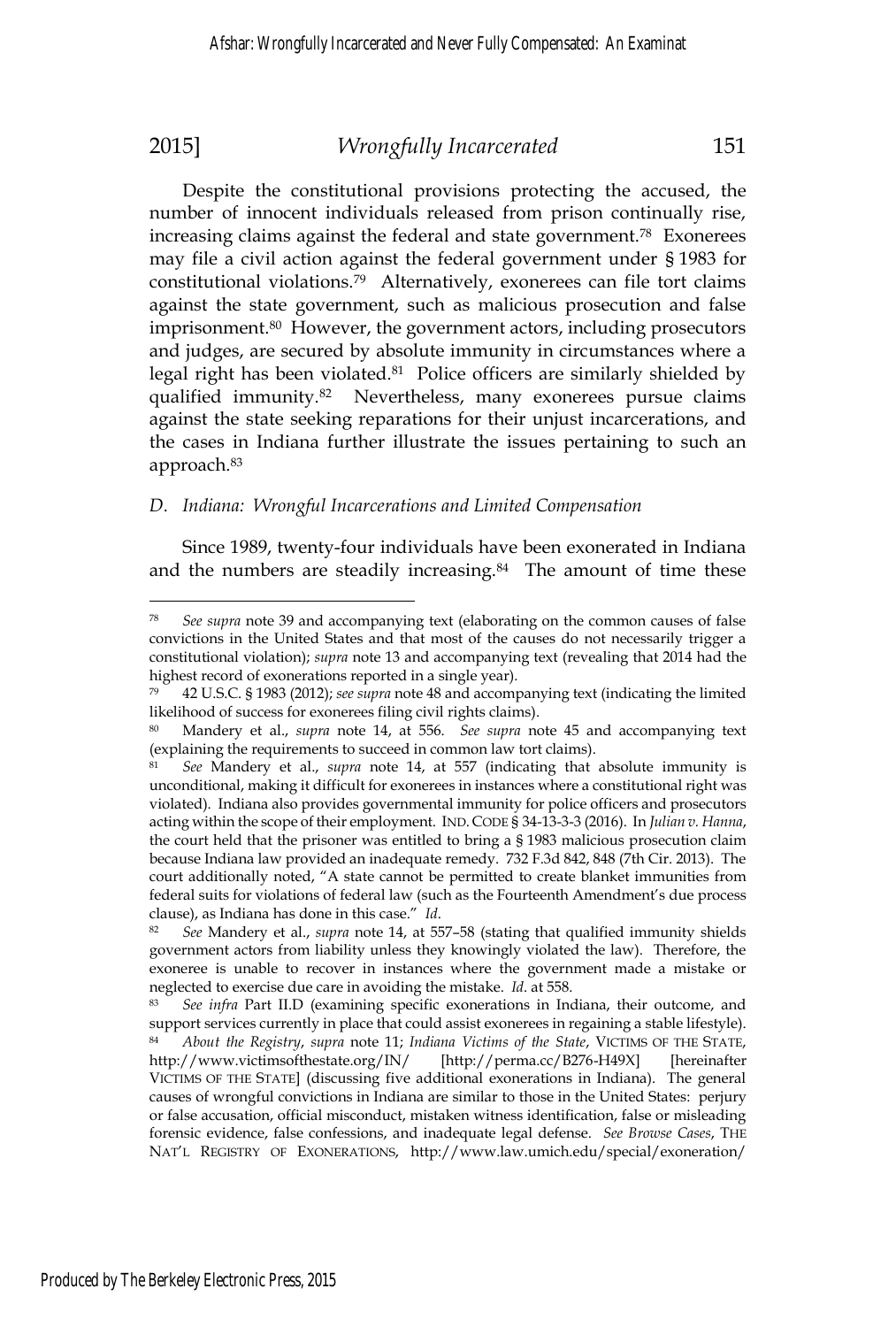Despite the constitutional provisions protecting the accused, the number of innocent individuals released from prison continually rise, increasing claims against the federal and state government.78 Exonerees may file a civil action against the federal government under § 1983 for constitutional violations.79 Alternatively, exonerees can file tort claims against the state government, such as malicious prosecution and false imprisonment.80 However, the government actors, including prosecutors and judges, are secured by absolute immunity in circumstances where a legal right has been violated. $81$  Police officers are similarly shielded by qualified immunity.82 Nevertheless, many exonerees pursue claims against the state seeking reparations for their unjust incarcerations, and the cases in Indiana further illustrate the issues pertaining to such an approach.83

### *D. Indiana: Wrongful Incarcerations and Limited Compensation*

Since 1989, twenty-four individuals have been exonerated in Indiana and the numbers are steadily increasing.<sup>84</sup> The amount of time these

See supra note 39 and accompanying text (elaborating on the common causes of false convictions in the United States and that most of the causes do not necessarily trigger a constitutional violation); *supra* note 13 and accompanying text (revealing that 2014 had the highest record of exonerations reported in a single year).

<sup>79 42</sup> U.S.C. § 1983 (2012); *see supra* note 48 and accompanying text (indicating the limited likelihood of success for exonerees filing civil rights claims).

<sup>80</sup> Mandery et al., *supra* note 14, at 556. *See supra* note 45 and accompanying text (explaining the requirements to succeed in common law tort claims).

<sup>81</sup> *See* Mandery et al., *supra* note 14, at 557 (indicating that absolute immunity is unconditional, making it difficult for exonerees in instances where a constitutional right was violated). Indiana also provides governmental immunity for police officers and prosecutors acting within the scope of their employment. IND. CODE § 34-13-3-3 (2016). In *Julian v. Hanna*, the court held that the prisoner was entitled to bring a § 1983 malicious prosecution claim because Indiana law provided an inadequate remedy. 732 F.3d 842, 848 (7th Cir. 2013). The court additionally noted, "A state cannot be permitted to create blanket immunities from federal suits for violations of federal law (such as the Fourteenth Amendment's due process clause), as Indiana has done in this case." *Id*.<br><sup>82</sup> *See* Mandery et al., *supra* note 14, at 557–58 (stating that qualified immunity shields

government actors from liability unless they knowingly violated the law). Therefore, the exoneree is unable to recover in instances where the government made a mistake or neglected to exercise due care in avoiding the mistake. *Id*. at 558.<br><sup>83</sup> *See infra* Part II.D (examining specific exonerations in Indiana, their outcome, and

support services currently in place that could assist exonerees in regaining a stable lifestyle). <sup>84</sup> *About the Registry*, *supra* note 11; *Indiana Victims of the State*, VICTIMS OF THE STATE, http://www.victimsofthestate.org/IN/ [http://perma.cc/B276-H49X] [hereinafter VICTIMS OF THE STATE] (discussing five additional exonerations in Indiana). The general causes of wrongful convictions in Indiana are similar to those in the United States: perjury or false accusation, official misconduct, mistaken witness identification, false or misleading forensic evidence, false confessions, and inadequate legal defense. *See Browse Cases*, THE NAT'L REGISTRY OF EXONERATIONS, http://www.law.umich.edu/special/exoneration/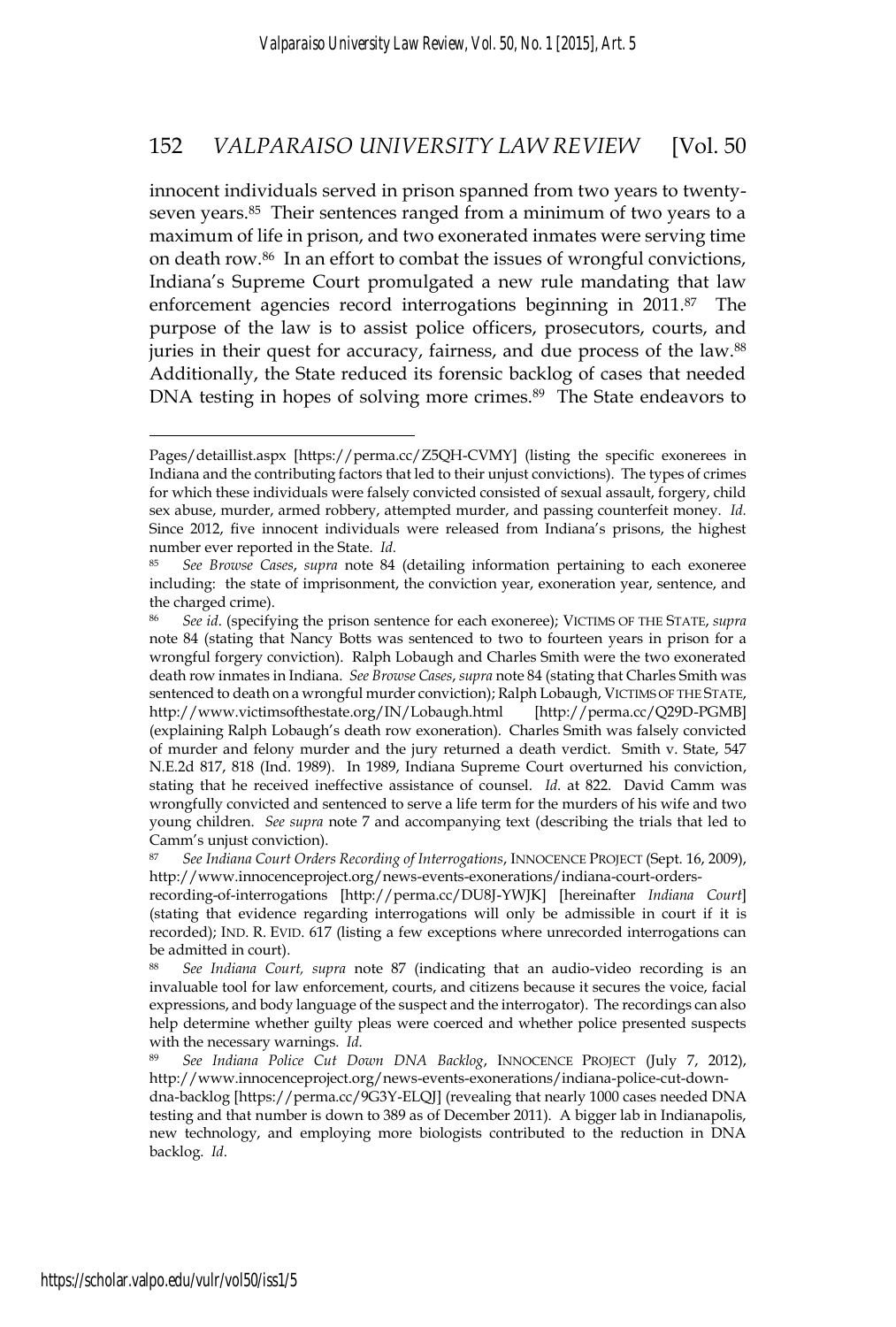innocent individuals served in prison spanned from two years to twentyseven years.85 Their sentences ranged from a minimum of two years to a maximum of life in prison, and two exonerated inmates were serving time on death row.86 In an effort to combat the issues of wrongful convictions, Indiana's Supreme Court promulgated a new rule mandating that law enforcement agencies record interrogations beginning in 2011.<sup>87</sup> The purpose of the law is to assist police officers, prosecutors, courts, and juries in their quest for accuracy, fairness, and due process of the law.<sup>88</sup> Additionally, the State reduced its forensic backlog of cases that needed DNA testing in hopes of solving more crimes.<sup>89</sup> The State endeavors to

recording-of-interrogations [http://perma.cc/DU8J-YWJK] [hereinafter *Indiana Court*] (stating that evidence regarding interrogations will only be admissible in court if it is recorded); IND. R. EVID. 617 (listing a few exceptions where unrecorded interrogations can be admitted in court).

<sup>88</sup> *See Indiana Court, supra* note 87 (indicating that an audio-video recording is an invaluable tool for law enforcement, courts, and citizens because it secures the voice, facial expressions, and body language of the suspect and the interrogator). The recordings can also help determine whether guilty pleas were coerced and whether police presented suspects with the necessary warnings. *Id.* 89 *See Indiana Police Cut Down DNA Backlog*, INNOCENCE PROJECT (July 7, 2012),

dna-backlog [https://perma.cc/9G3Y-ELQJ] (revealing that nearly 1000 cases needed DNA testing and that number is down to 389 as of December 2011). A bigger lab in Indianapolis, new technology, and employing more biologists contributed to the reduction in DNA backlog. *Id*.

Pages/detaillist.aspx [https://perma.cc/Z5QH-CVMY] (listing the specific exonerees in Indiana and the contributing factors that led to their unjust convictions). The types of crimes for which these individuals were falsely convicted consisted of sexual assault, forgery, child sex abuse, murder, armed robbery, attempted murder, and passing counterfeit money. *Id.* Since 2012, five innocent individuals were released from Indiana's prisons, the highest number ever reported in the State. *Id.*

<sup>85</sup> *See Browse Cases*, *supra* note 84 (detailing information pertaining to each exoneree including: the state of imprisonment, the conviction year, exoneration year, sentence, and the charged crime).

<sup>86</sup> *See id*. (specifying the prison sentence for each exoneree); VICTIMS OF THE STATE, *supra* note 84 (stating that Nancy Botts was sentenced to two to fourteen years in prison for a wrongful forgery conviction). Ralph Lobaugh and Charles Smith were the two exonerated death row inmates in Indiana. *See Browse Cases*, *supra* note 84 (stating that Charles Smith was sentenced to death on a wrongful murder conviction); Ralph Lobaugh, VICTIMS OF THE STATE, http://www.victimsofthestate.org/IN/Lobaugh.html [http://perma.cc/Q29D-PGMB] (explaining Ralph Lobaugh's death row exoneration). Charles Smith was falsely convicted of murder and felony murder and the jury returned a death verdict. Smith v. State, 547 N.E.2d 817, 818 (Ind. 1989). In 1989, Indiana Supreme Court overturned his conviction, stating that he received ineffective assistance of counsel. *Id*. at 822. David Camm was wrongfully convicted and sentenced to serve a life term for the murders of his wife and two young children. *See supra* note 7 and accompanying text (describing the trials that led to Camm's unjust conviction).

<sup>87</sup> *See Indiana Court Orders Recording of Interrogations*, INNOCENCE PROJECT (Sept. 16, 2009), http://www.innocenceproject.org/news-events-exonerations/indiana-court-orders-

http://www.innocenceproject.org/news-events-exonerations/indiana-police-cut-down-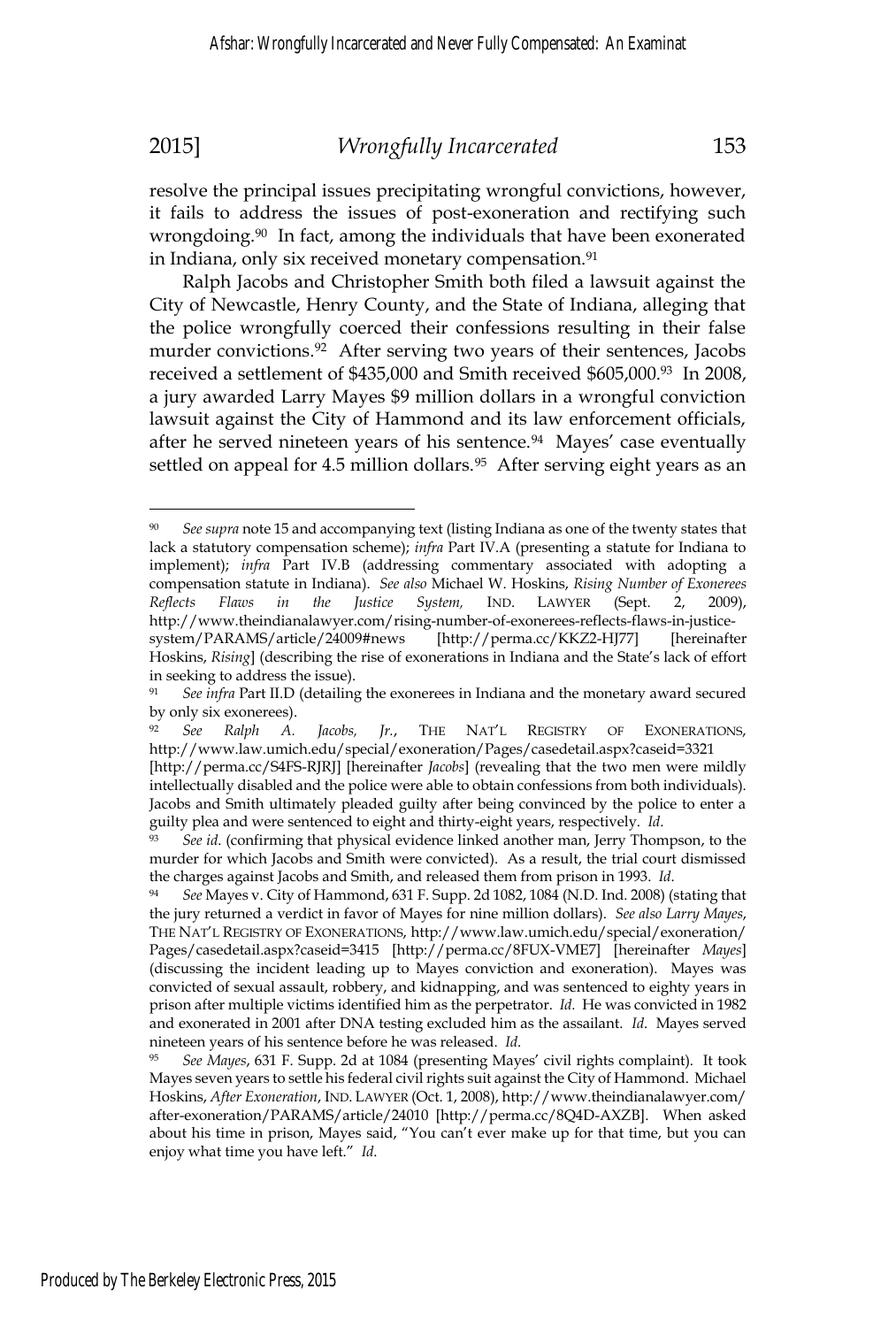resolve the principal issues precipitating wrongful convictions, however, it fails to address the issues of post-exoneration and rectifying such wrongdoing.<sup>90</sup> In fact, among the individuals that have been exonerated in Indiana, only six received monetary compensation.<sup>91</sup>

Ralph Jacobs and Christopher Smith both filed a lawsuit against the City of Newcastle, Henry County, and the State of Indiana, alleging that the police wrongfully coerced their confessions resulting in their false murder convictions.<sup>92</sup> After serving two years of their sentences, Jacobs received a settlement of \$435,000 and Smith received \$605,000.93 In 2008, a jury awarded Larry Mayes \$9 million dollars in a wrongful conviction lawsuit against the City of Hammond and its law enforcement officials, after he served nineteen years of his sentence.<sup>94</sup> Mayes' case eventually settled on appeal for 4.5 million dollars.<sup>95</sup> After serving eight years as an

See supra note 15 and accompanying text (listing Indiana as one of the twenty states that lack a statutory compensation scheme); *infra* Part IV.A (presenting a statute for Indiana to implement); *infra* Part IV.B (addressing commentary associated with adopting a compensation statute in Indiana). *See also* Michael W. Hoskins, *Rising Number of Exonerees Reflects Flaws in the Justice System,* IND. LAWYER (Sept. 2, 2009), http://www.theindianalawyer.com/rising-number-of-exonerees-reflects-flaws-in-justicesystem/PARAMS/article/24009#news [http://perma.cc/KKZ2-HJ77] [hereinafter Hoskins, *Rising*] (describing the rise of exonerations in Indiana and the State's lack of effort in seeking to address the issue).

<sup>91</sup> *See infra* Part II.D (detailing the exonerees in Indiana and the monetary award secured by only six exonerees).

<sup>92</sup> *See Ralph A. Jacobs, Jr.*, THE NAT'L REGISTRY OF EXONERATIONS, http://www.law.umich.edu/special/exoneration/Pages/casedetail.aspx?caseid=3321

<sup>[</sup>http://perma.cc/S4FS-RJRJ] [hereinafter *Jacobs*] (revealing that the two men were mildly intellectually disabled and the police were able to obtain confessions from both individuals). Jacobs and Smith ultimately pleaded guilty after being convinced by the police to enter a guilty plea and were sentenced to eight and thirty-eight years, respectively. *Id*. *See id*. (confirming that physical evidence linked another man, Jerry Thompson, to the

murder for which Jacobs and Smith were convicted). As a result, the trial court dismissed the charges against Jacobs and Smith, and released them from prison in 1993. *Id*.<br><sup>94</sup> *See* Mayes v. City of Hammond, 631 F. Supp. 2d 1082, 1084 (N.D. Ind. 2008) (stating that

the jury returned a verdict in favor of Mayes for nine million dollars). *See also Larry Mayes*, THE NAT'L REGISTRY OF EXONERATIONS, http://www.law.umich.edu/special/exoneration/ Pages/casedetail.aspx?caseid=3415 [http://perma.cc/8FUX-VME7] [hereinafter *Mayes*] (discussing the incident leading up to Mayes conviction and exoneration). Mayes was convicted of sexual assault, robbery, and kidnapping, and was sentenced to eighty years in prison after multiple victims identified him as the perpetrator. *Id.* He was convicted in 1982 and exonerated in 2001 after DNA testing excluded him as the assailant. *Id*. Mayes served nineteen years of his sentence before he was released. *Id*. <sup>95</sup> See Mayes, 631 F. Supp. 2d at 1084 (presenting Mayes' civil rights complaint). It took

Mayes seven years to settle his federal civil rights suit against the City of Hammond. Michael Hoskins, *After Exoneration*, IND. LAWYER (Oct. 1, 2008), http://www.theindianalawyer.com/ after-exoneration/PARAMS/article/24010 [http://perma.cc/8Q4D-AXZB]. When asked about his time in prison, Mayes said, "You can't ever make up for that time, but you can enjoy what time you have left." *Id*.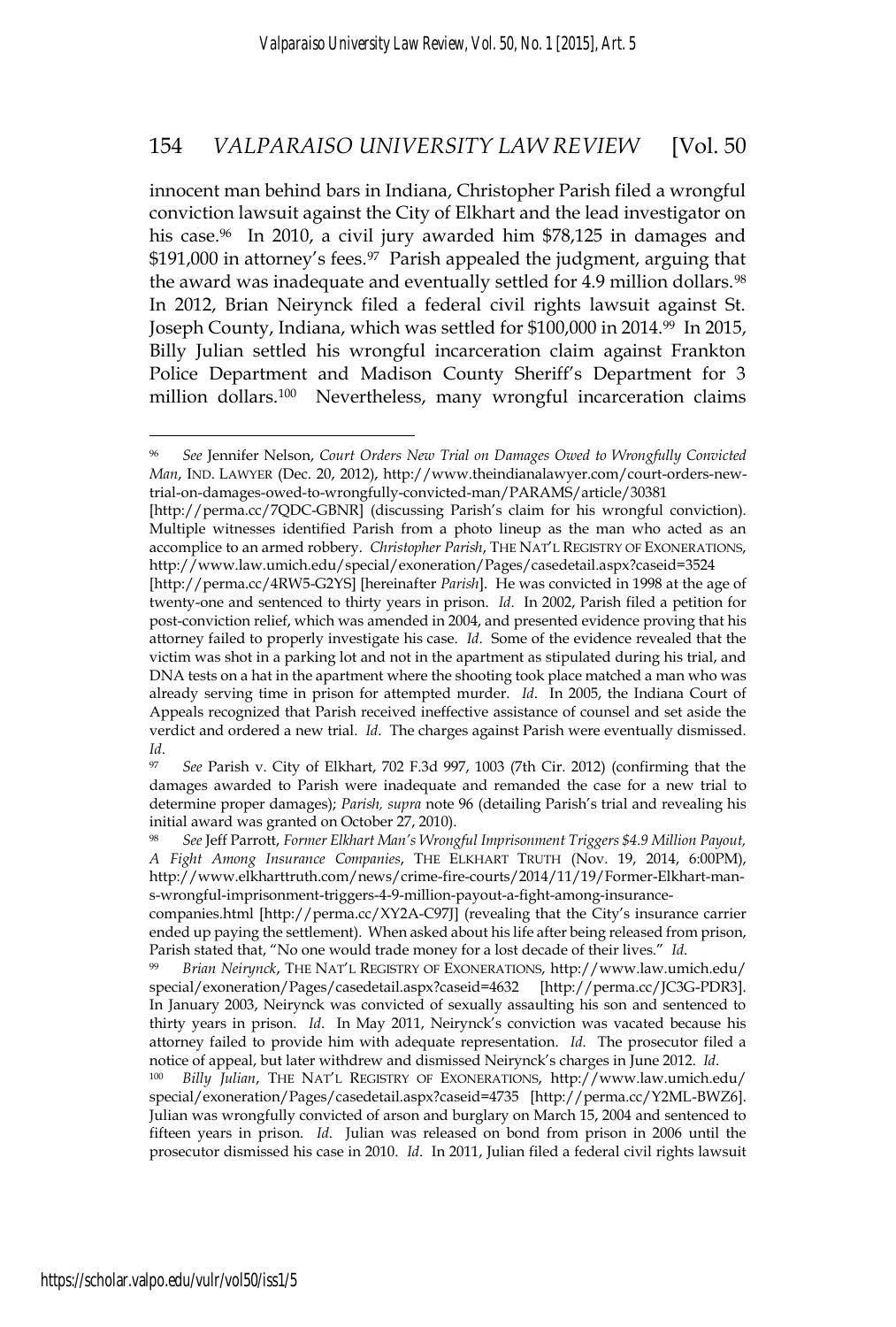innocent man behind bars in Indiana, Christopher Parish filed a wrongful conviction lawsuit against the City of Elkhart and the lead investigator on his case.<sup>96</sup> In 2010, a civil jury awarded him \$78,125 in damages and \$191,000 in attorney's fees.<sup>97</sup> Parish appealed the judgment, arguing that the award was inadequate and eventually settled for 4.9 million dollars.<sup>98</sup> In 2012, Brian Neirynck filed a federal civil rights lawsuit against St. Joseph County, Indiana, which was settled for \$100,000 in 2014.99 In 2015, Billy Julian settled his wrongful incarceration claim against Frankton Police Department and Madison County Sheriff's Department for 3 million dollars.100 Nevertheless, many wrongful incarceration claims

[http://perma.cc/7QDC-GBNR] (discussing Parish's claim for his wrongful conviction). Multiple witnesses identified Parish from a photo lineup as the man who acted as an accomplice to an armed robbery. *Christopher Parish*, THE NAT'L REGISTRY OF EXONERATIONS, http://www.law.umich.edu/special/exoneration/Pages/casedetail.aspx?caseid=3524

<sup>97</sup> *See* Parish v. City of Elkhart, 702 F.3d 997, 1003 (7th Cir. 2012) (confirming that the damages awarded to Parish were inadequate and remanded the case for a new trial to determine proper damages); *Parish, supra* note 96 (detailing Parish's trial and revealing his initial award was granted on October 27, 2010).

<sup>96</sup> *See* Jennifer Nelson, *Court Orders New Trial on Damages Owed to Wrongfully Convicted Man*, IND. LAWYER (Dec. 20, 2012), http://www.theindianalawyer.com/court-orders-newtrial-on-damages-owed-to-wrongfully-convicted-man/PARAMS/article/30381

<sup>[</sup>http://perma.cc/4RW5-G2YS] [hereinafter *Parish*]. He was convicted in 1998 at the age of twenty-one and sentenced to thirty years in prison. *Id*. In 2002, Parish filed a petition for post-conviction relief, which was amended in 2004, and presented evidence proving that his attorney failed to properly investigate his case. *Id*. Some of the evidence revealed that the victim was shot in a parking lot and not in the apartment as stipulated during his trial, and DNA tests on a hat in the apartment where the shooting took place matched a man who was already serving time in prison for attempted murder. *Id*. In 2005, the Indiana Court of Appeals recognized that Parish received ineffective assistance of counsel and set aside the verdict and ordered a new trial. *Id*. The charges against Parish were eventually dismissed. *Id*.

<sup>98</sup> *See* Jeff Parrott, *Former Elkhart Man's Wrongful Imprisonment Triggers \$4.9 Million Payout, A Fight Among Insurance Companies*, THE ELKHART TRUTH (Nov. 19, 2014, 6:00PM), http://www.elkharttruth.com/news/crime-fire-courts/2014/11/19/Former-Elkhart-mans-wrongful-imprisonment-triggers-4-9-million-payout-a-fight-among-insurance-

companies.html [http://perma.cc/XY2A-C97J] (revealing that the City's insurance carrier ended up paying the settlement). When asked about his life after being released from prison, Parish stated that, "No one would trade money for a lost decade of their lives." *Id.* 99 *Brian Neirynck*, THE NAT'L REGISTRY OF EXONERATIONS, http://www.law.umich.edu/

special/exoneration/Pages/casedetail.aspx?caseid=4632 [http://perma.cc/JC3G-PDR3]. In January 2003, Neirynck was convicted of sexually assaulting his son and sentenced to thirty years in prison. *Id*. In May 2011, Neirynck's conviction was vacated because his attorney failed to provide him with adequate representation. *Id*. The prosecutor filed a notice of appeal, but later withdrew and dismissed Neirynck's charges in June 2012. *Id*. 100 *Billy Julian*, THE NAT'L REGISTRY OF EXONERATIONS, http://www.law.umich.edu/

special/exoneration/Pages/casedetail.aspx?caseid=4735 [http://perma.cc/Y2ML-BWZ6]. Julian was wrongfully convicted of arson and burglary on March 15, 2004 and sentenced to fifteen years in prison. *Id*. Julian was released on bond from prison in 2006 until the prosecutor dismissed his case in 2010. *Id*. In 2011, Julian filed a federal civil rights lawsuit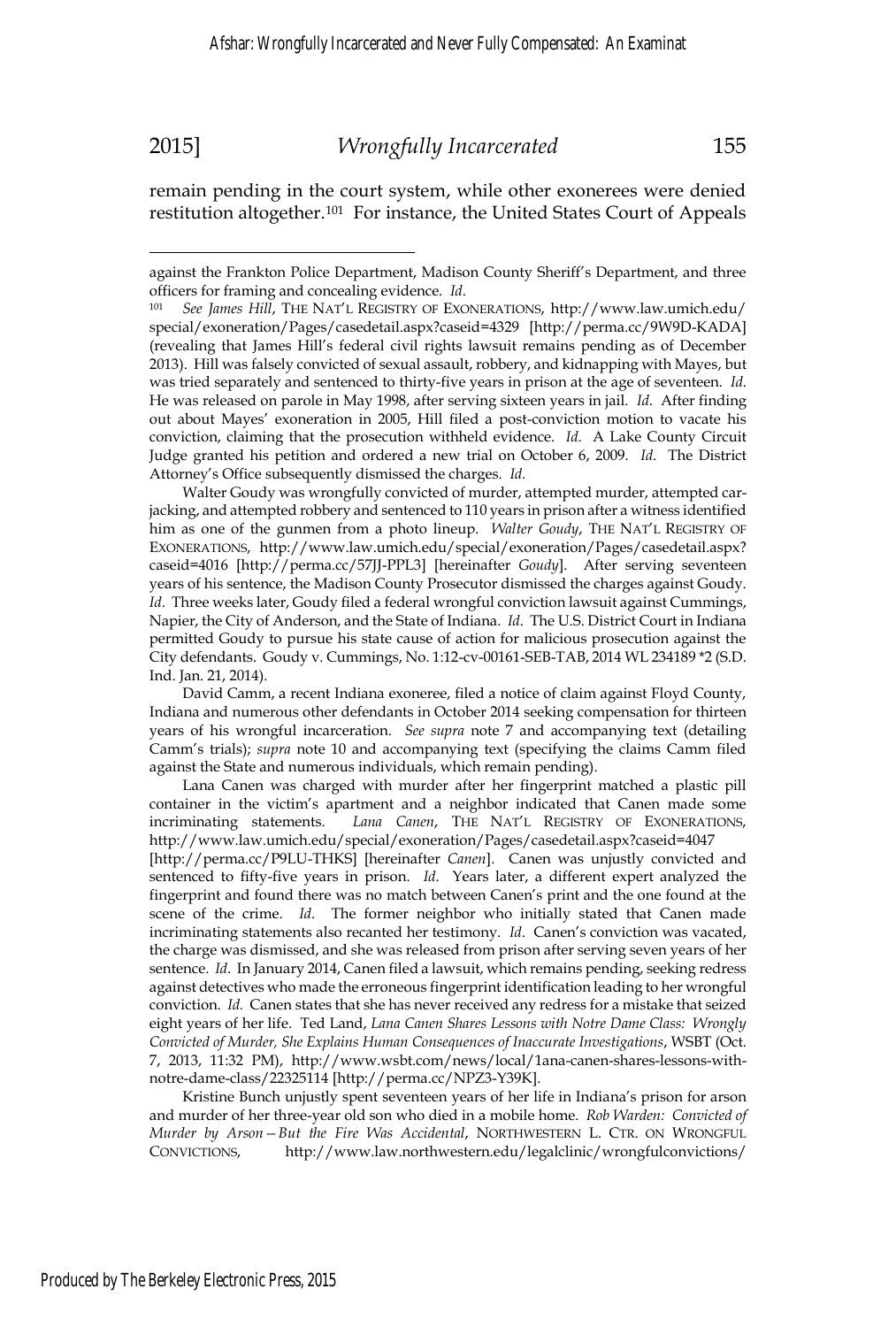$\overline{a}$ 

remain pending in the court system, while other exonerees were denied restitution altogether.<sup>101</sup> For instance, the United States Court of Appeals

Walter Goudy was wrongfully convicted of murder, attempted murder, attempted carjacking, and attempted robbery and sentenced to 110 years in prison after a witness identified him as one of the gunmen from a photo lineup. *Walter Goudy*, THE NAT'L REGISTRY OF EXONERATIONS, http://www.law.umich.edu/special/exoneration/Pages/casedetail.aspx? caseid=4016 [http://perma.cc/57JJ-PPL3] [hereinafter *Goudy*]. After serving seventeen years of his sentence, the Madison County Prosecutor dismissed the charges against Goudy. *Id*. Three weeks later, Goudy filed a federal wrongful conviction lawsuit against Cummings, Napier, the City of Anderson, and the State of Indiana. *Id*. The U.S. District Court in Indiana permitted Goudy to pursue his state cause of action for malicious prosecution against the City defendants. Goudy v. Cummings, No. 1:12-cv-00161-SEB-TAB, 2014 WL 234189 \*2 (S.D. Ind. Jan. 21, 2014).

 David Camm, a recent Indiana exoneree, filed a notice of claim against Floyd County, Indiana and numerous other defendants in October 2014 seeking compensation for thirteen years of his wrongful incarceration. *See supra* note 7 and accompanying text (detailing Camm's trials); *supra* note 10 and accompanying text (specifying the claims Camm filed against the State and numerous individuals, which remain pending).

 Lana Canen was charged with murder after her fingerprint matched a plastic pill container in the victim's apartment and a neighbor indicated that Canen made some incriminating statements. *Lana Canen*, THE NAT'L REGISTRY OF EXONERATIONS, http://www.law.umich.edu/special/exoneration/Pages/casedetail.aspx?caseid=4047 [http://perma.cc/P9LU-THKS] [hereinafter *Canen*]. Canen was unjustly convicted and sentenced to fifty-five years in prison. *Id*. Years later, a different expert analyzed the fingerprint and found there was no match between Canen's print and the one found at the scene of the crime. *Id*. The former neighbor who initially stated that Canen made incriminating statements also recanted her testimony. *Id*. Canen's conviction was vacated, the charge was dismissed, and she was released from prison after serving seven years of her sentence. *Id*. In January 2014, Canen filed a lawsuit, which remains pending, seeking redress against detectives who made the erroneous fingerprint identification leading to her wrongful conviction. *Id.* Canen states that she has never received any redress for a mistake that seized eight years of her life. Ted Land, *Lana Canen Shares Lessons with Notre Dame Class: Wrongly Convicted of Murder, She Explains Human Consequences of Inaccurate Investigations*, WSBT (Oct. 7, 2013, 11:32 PM), http://www.wsbt.com/news/local/1ana-canen-shares-lessons-withnotre-dame-class/22325114 [http://perma.cc/NPZ3-Y39K].

 Kristine Bunch unjustly spent seventeen years of her life in Indiana's prison for arson and murder of her three-year old son who died in a mobile home. *Rob Warden: Convicted of Murder by Arson—But the Fire Was Accidental*, NORTHWESTERN L. CTR. ON WRONGFUL CONVICTIONS, http://www.law.northwestern.edu/legalclinic/wrongfulconvictions/

against the Frankton Police Department, Madison County Sheriff's Department, and three officers for framing and concealing evidence. *Id*. 101 *See James Hill*, THE NAT'L REGISTRY OF EXONERATIONS, http://www.law.umich.edu/

special/exoneration/Pages/casedetail.aspx?caseid=4329 [http://perma.cc/9W9D-KADA] (revealing that James Hill's federal civil rights lawsuit remains pending as of December 2013). Hill was falsely convicted of sexual assault, robbery, and kidnapping with Mayes, but was tried separately and sentenced to thirty-five years in prison at the age of seventeen. *Id*. He was released on parole in May 1998, after serving sixteen years in jail. *Id*. After finding out about Mayes' exoneration in 2005, Hill filed a post-conviction motion to vacate his conviction, claiming that the prosecution withheld evidence. *Id*. A Lake County Circuit Judge granted his petition and ordered a new trial on October 6, 2009. *Id*. The District Attorney's Office subsequently dismissed the charges. *Id.*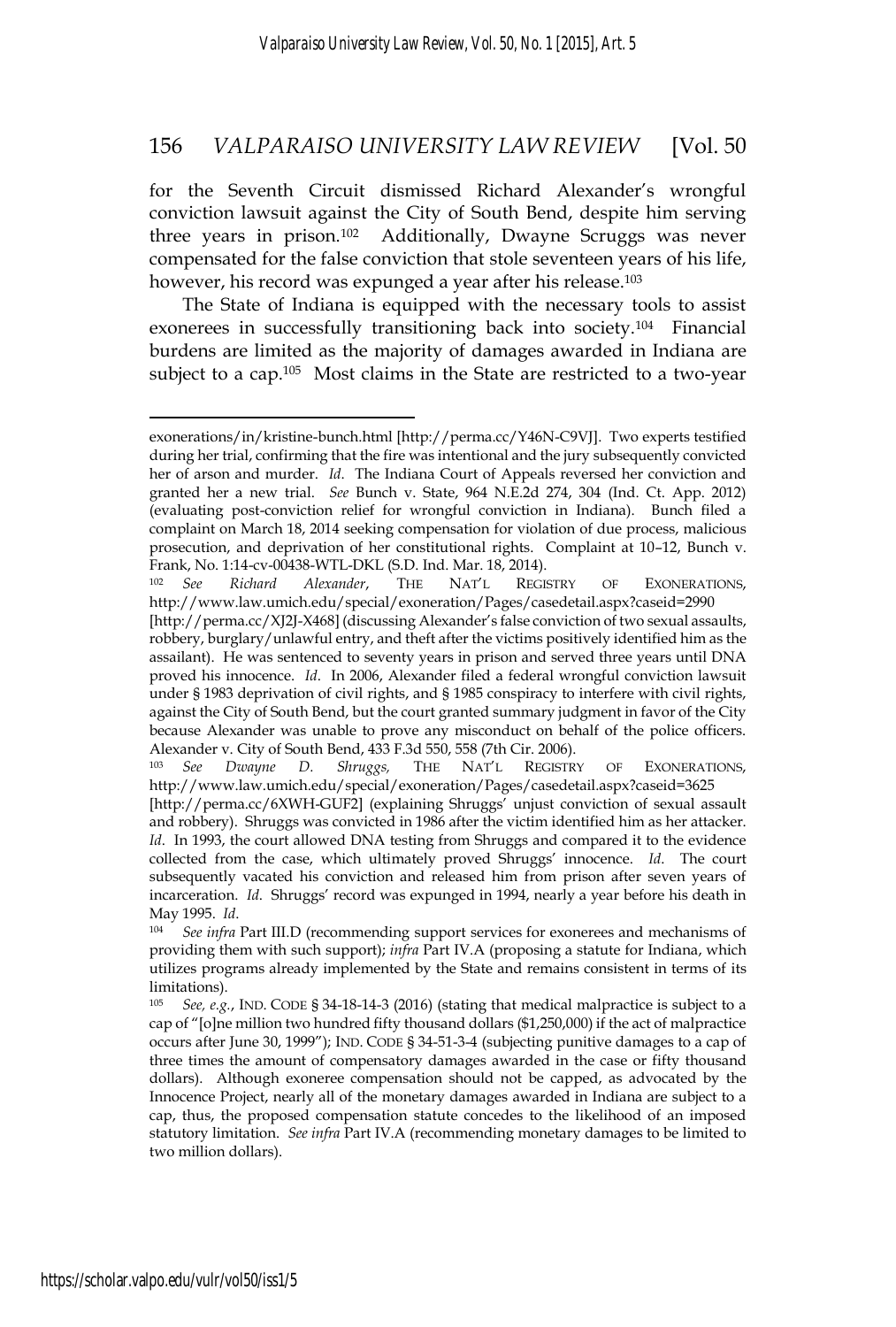for the Seventh Circuit dismissed Richard Alexander's wrongful conviction lawsuit against the City of South Bend, despite him serving three years in prison.102 Additionally, Dwayne Scruggs was never compensated for the false conviction that stole seventeen years of his life, however, his record was expunged a year after his release.<sup>103</sup>

The State of Indiana is equipped with the necessary tools to assist exonerees in successfully transitioning back into society.<sup>104</sup> Financial burdens are limited as the majority of damages awarded in Indiana are subject to a cap.<sup>105</sup> Most claims in the State are restricted to a two-year

<sup>103</sup> *See Dwayne D. Shruggs,* THE NAT'L REGISTRY OF EXONERATIONS, http://www.law.umich.edu/special/exoneration/Pages/casedetail.aspx?caseid=3625

exonerations/in/kristine-bunch.html [http://perma.cc/Y46N-C9VJ]. Two experts testified during her trial, confirming that the fire was intentional and the jury subsequently convicted her of arson and murder. *Id*. The Indiana Court of Appeals reversed her conviction and granted her a new trial. *See* Bunch v. State, 964 N.E.2d 274, 304 (Ind. Ct. App. 2012) (evaluating post-conviction relief for wrongful conviction in Indiana). Bunch filed a complaint on March 18, 2014 seeking compensation for violation of due process, malicious prosecution, and deprivation of her constitutional rights. Complaint at 10–12, Bunch v. Frank, No. 1:14-cv-00438-WTL-DKL (S.D. Ind. Mar. 18, 2014).

<sup>102</sup> *See Richard Alexander*, THE NAT'L REGISTRY OF EXONERATIONS, http://www.law.umich.edu/special/exoneration/Pages/casedetail.aspx?caseid=2990

<sup>[</sup>http://perma.cc/XJ2J-X468] (discussing Alexander's false conviction of two sexual assaults, robbery, burglary/unlawful entry, and theft after the victims positively identified him as the assailant). He was sentenced to seventy years in prison and served three years until DNA proved his innocence. *Id*. In 2006, Alexander filed a federal wrongful conviction lawsuit under § 1983 deprivation of civil rights, and § 1985 conspiracy to interfere with civil rights, against the City of South Bend, but the court granted summary judgment in favor of the City because Alexander was unable to prove any misconduct on behalf of the police officers. Alexander v. City of South Bend, 433 F.3d 550, 558 (7th Cir. 2006).

<sup>[</sup>http://perma.cc/6XWH-GUF2] (explaining Shruggs' unjust conviction of sexual assault and robbery). Shruggs was convicted in 1986 after the victim identified him as her attacker. *Id*. In 1993, the court allowed DNA testing from Shruggs and compared it to the evidence collected from the case, which ultimately proved Shruggs' innocence. *Id*. The court subsequently vacated his conviction and released him from prison after seven years of incarceration. *Id*. Shruggs' record was expunged in 1994, nearly a year before his death in

May 1995. *Id.*<br><sup>104</sup> *See infra* Part III.D (recommending support services for exonerees and mechanisms of providing them with such support); *infra* Part IV.A (proposing a statute for Indiana, which utilizes programs already implemented by the State and remains consistent in terms of its limitations).

<sup>105</sup> *See, e.g.*, IND. CODE § 34-18-14-3 (2016) (stating that medical malpractice is subject to a cap of "[o]ne million two hundred fifty thousand dollars (\$1,250,000) if the act of malpractice occurs after June 30, 1999"); IND. CODE § 34-51-3-4 (subjecting punitive damages to a cap of three times the amount of compensatory damages awarded in the case or fifty thousand dollars). Although exoneree compensation should not be capped, as advocated by the Innocence Project, nearly all of the monetary damages awarded in Indiana are subject to a cap, thus, the proposed compensation statute concedes to the likelihood of an imposed statutory limitation. *See infra* Part IV.A (recommending monetary damages to be limited to two million dollars).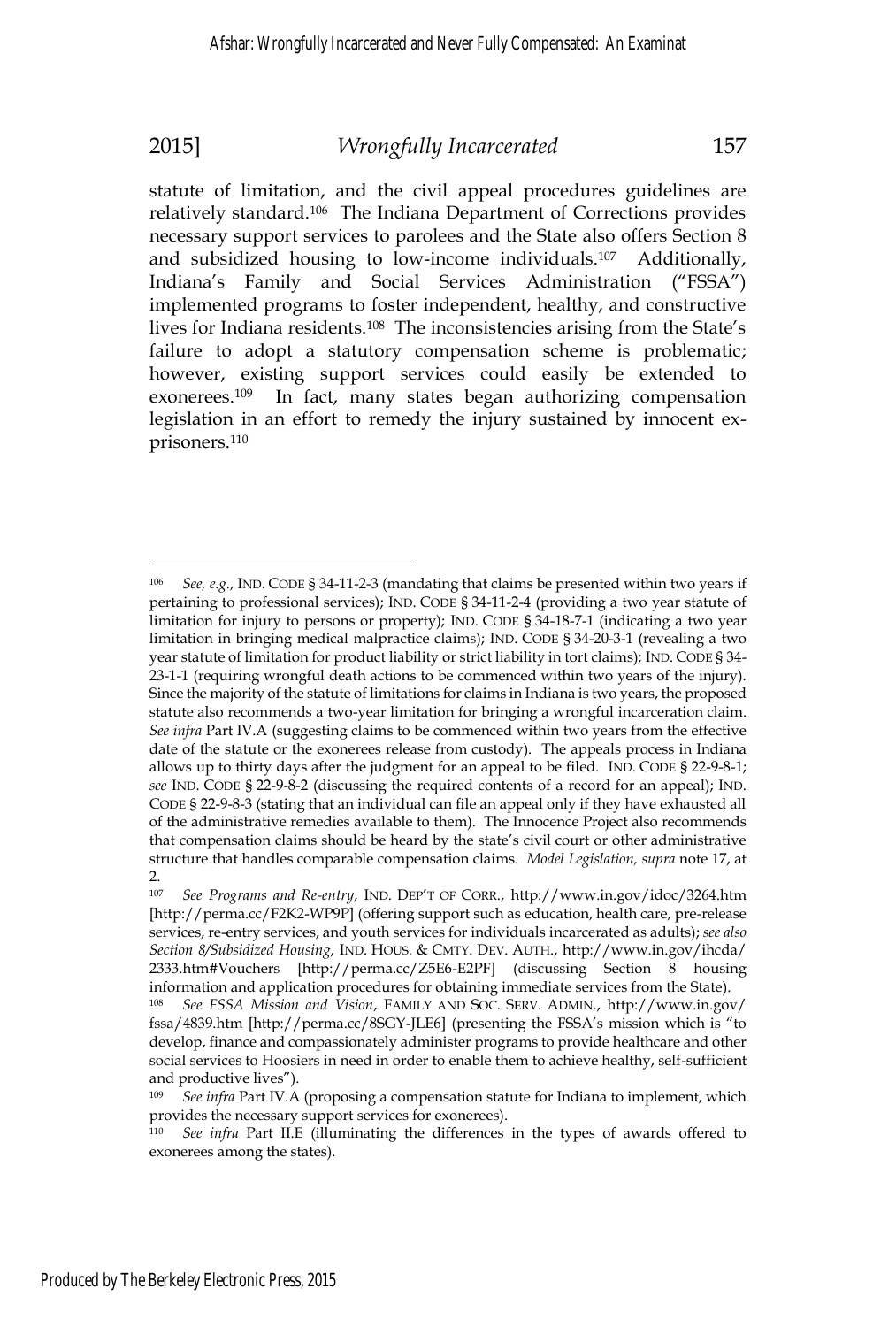statute of limitation, and the civil appeal procedures guidelines are relatively standard.106 The Indiana Department of Corrections provides necessary support services to parolees and the State also offers Section 8 and subsidized housing to low-income individuals.107 Additionally, Indiana's Family and Social Services Administration ("FSSA") implemented programs to foster independent, healthy, and constructive lives for Indiana residents.108 The inconsistencies arising from the State's failure to adopt a statutory compensation scheme is problematic; however, existing support services could easily be extended to exonerees.109 In fact, many states began authorizing compensation legislation in an effort to remedy the injury sustained by innocent exprisoners.110

 $\overline{a}$ <sup>106</sup> *See, e.g.*, IND. CODE § 34-11-2-3 (mandating that claims be presented within two years if pertaining to professional services); IND. CODE § 34-11-2-4 (providing a two year statute of limitation for injury to persons or property); IND. CODE § 34-18-7-1 (indicating a two year limitation in bringing medical malpractice claims); IND. CODE § 34-20-3-1 (revealing a two year statute of limitation for product liability or strict liability in tort claims); IND. CODE § 34- 23-1-1 (requiring wrongful death actions to be commenced within two years of the injury). Since the majority of the statute of limitations for claims in Indiana is two years, the proposed statute also recommends a two-year limitation for bringing a wrongful incarceration claim. *See infra* Part IV.A (suggesting claims to be commenced within two years from the effective date of the statute or the exonerees release from custody). The appeals process in Indiana allows up to thirty days after the judgment for an appeal to be filed. IND. CODE § 22-9-8-1; *see* IND. CODE § 22-9-8-2 (discussing the required contents of a record for an appeal); IND. CODE § 22-9-8-3 (stating that an individual can file an appeal only if they have exhausted all of the administrative remedies available to them). The Innocence Project also recommends that compensation claims should be heard by the state's civil court or other administrative structure that handles comparable compensation claims. *Model Legislation, supra* note 17, at  $\mathcal{P}$ 

<sup>107</sup> *See Programs and Re-entry*, IND. DEP'T OF CORR., http://www.in.gov/idoc/3264.htm [http://perma.cc/F2K2-WP9P] (offering support such as education, health care, pre-release services, re-entry services, and youth services for individuals incarcerated as adults); *see also Section 8/Subsidized Housing*, IND. HOUS. & CMTY. DEV. AUTH., http://www.in.gov/ihcda/ 2333.htm#Vouchers [http://perma.cc/Z5E6-E2PF] (discussing Section 8 housing information and application procedures for obtaining immediate services from the State).

<sup>108</sup> *See FSSA Mission and Vision*, FAMILY AND SOC. SERV. ADMIN., http://www.in.gov/ fssa/4839.htm [http://perma.cc/8SGY-JLE6] (presenting the FSSA's mission which is "to develop, finance and compassionately administer programs to provide healthcare and other social services to Hoosiers in need in order to enable them to achieve healthy, self-sufficient and productive lives").

<sup>109</sup> *See infra* Part IV.A (proposing a compensation statute for Indiana to implement, which provides the necessary support services for exonerees).

<sup>110</sup> *See infra* Part II.E (illuminating the differences in the types of awards offered to exonerees among the states).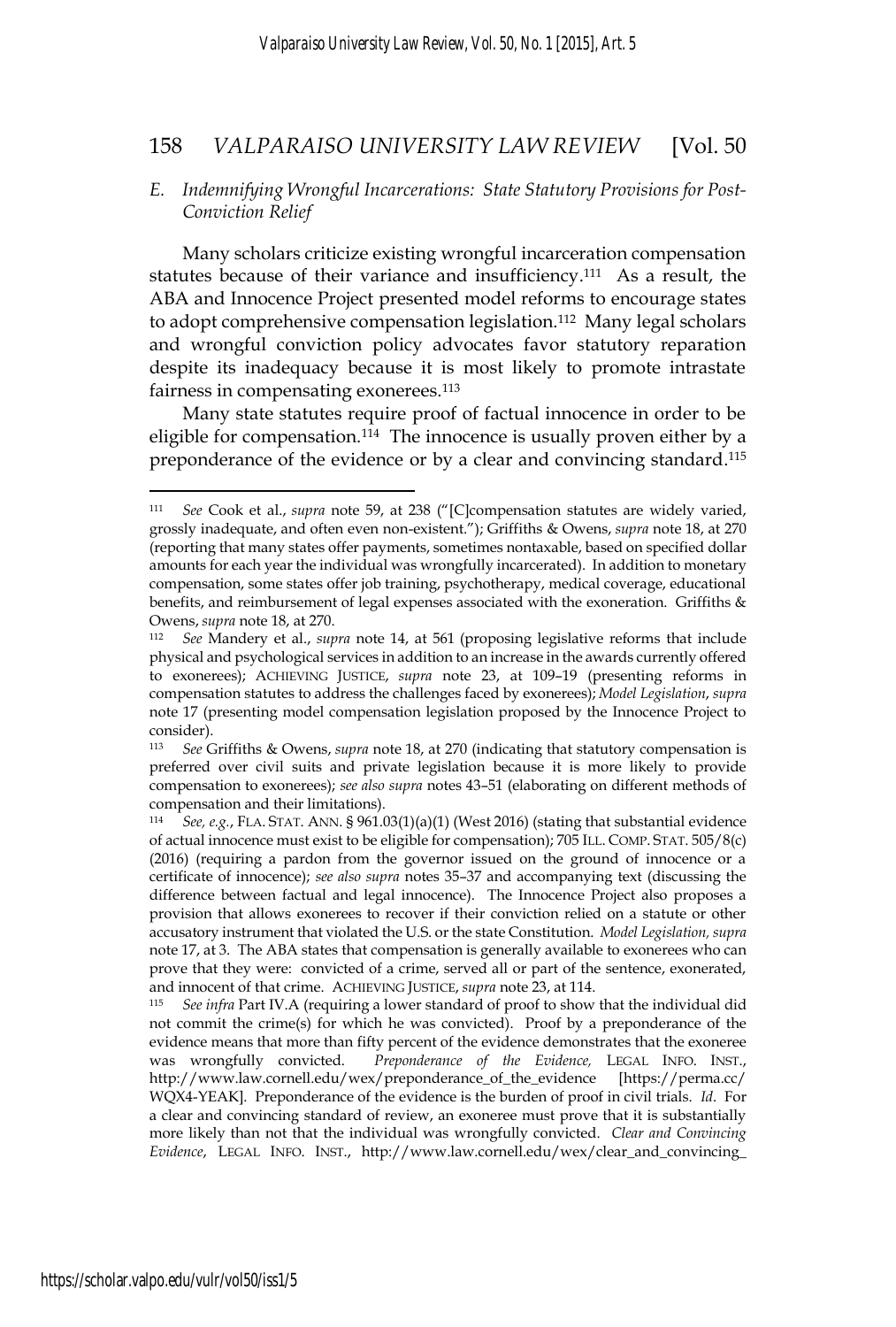### *E. Indemnifying Wrongful Incarcerations: State Statutory Provisions for Post-Conviction Relief*

Many scholars criticize existing wrongful incarceration compensation statutes because of their variance and insufficiency.<sup>111</sup> As a result, the ABA and Innocence Project presented model reforms to encourage states to adopt comprehensive compensation legislation.<sup>112</sup> Many legal scholars and wrongful conviction policy advocates favor statutory reparation despite its inadequacy because it is most likely to promote intrastate fairness in compensating exonerees.<sup>113</sup>

Many state statutes require proof of factual innocence in order to be eligible for compensation.<sup>114</sup> The innocence is usually proven either by a preponderance of the evidence or by a clear and convincing standard.115

<sup>111</sup> *See* Cook et al., *supra* note 59, at 238 ("[C]compensation statutes are widely varied, grossly inadequate, and often even non-existent."); Griffiths & Owens, *supra* note 18, at 270 (reporting that many states offer payments, sometimes nontaxable, based on specified dollar amounts for each year the individual was wrongfully incarcerated). In addition to monetary compensation, some states offer job training, psychotherapy, medical coverage, educational benefits, and reimbursement of legal expenses associated with the exoneration. Griffiths & Owens, *supra* note 18, at 270.<br><sup>112</sup> *See* Mandery et al., *supra* note 14, at 561 (proposing legislative reforms that include

physical and psychological services in addition to an increase in the awards currently offered to exonerees); ACHIEVING JUSTICE, *supra* note 23, at 109–19 (presenting reforms in compensation statutes to address the challenges faced by exonerees); *Model Legislation*, *supra*  note 17 (presenting model compensation legislation proposed by the Innocence Project to consider).

<sup>113</sup> *See* Griffiths & Owens, *supra* note 18, at 270 (indicating that statutory compensation is preferred over civil suits and private legislation because it is more likely to provide compensation to exonerees); *see also supra* notes 43–51 (elaborating on different methods of compensation and their limitations).

<sup>114</sup> *See, e.g.*, FLA. STAT. ANN. § 961.03(1)(a)(1) (West 2016) (stating that substantial evidence of actual innocence must exist to be eligible for compensation); 705 ILL. COMP. STAT. 505/8(c) (2016) (requiring a pardon from the governor issued on the ground of innocence or a certificate of innocence); *see also supra* notes 35–37 and accompanying text (discussing the difference between factual and legal innocence). The Innocence Project also proposes a provision that allows exonerees to recover if their conviction relied on a statute or other accusatory instrument that violated the U.S. or the state Constitution. *Model Legislation, supra* note 17, at 3. The ABA states that compensation is generally available to exonerees who can prove that they were: convicted of a crime, served all or part of the sentence, exonerated, and innocent of that crime. ACHIEVING JUSTICE, *supra* note 23, at 114. 115 *See infra* Part IV.A (requiring a lower standard of proof to show that the individual did

not commit the crime(s) for which he was convicted). Proof by a preponderance of the evidence means that more than fifty percent of the evidence demonstrates that the exoneree was wrongfully convicted. *Preponderance of the Evidence,* LEGAL INFO. INST., http://www.law.cornell.edu/wex/preponderance\_of\_the\_evidence [https://perma.cc/ WQX4-YEAK]. Preponderance of the evidence is the burden of proof in civil trials. *Id*. For a clear and convincing standard of review, an exoneree must prove that it is substantially more likely than not that the individual was wrongfully convicted. *Clear and Convincing Evidence*, LEGAL INFO. INST., http://www.law.cornell.edu/wex/clear\_and\_convincing\_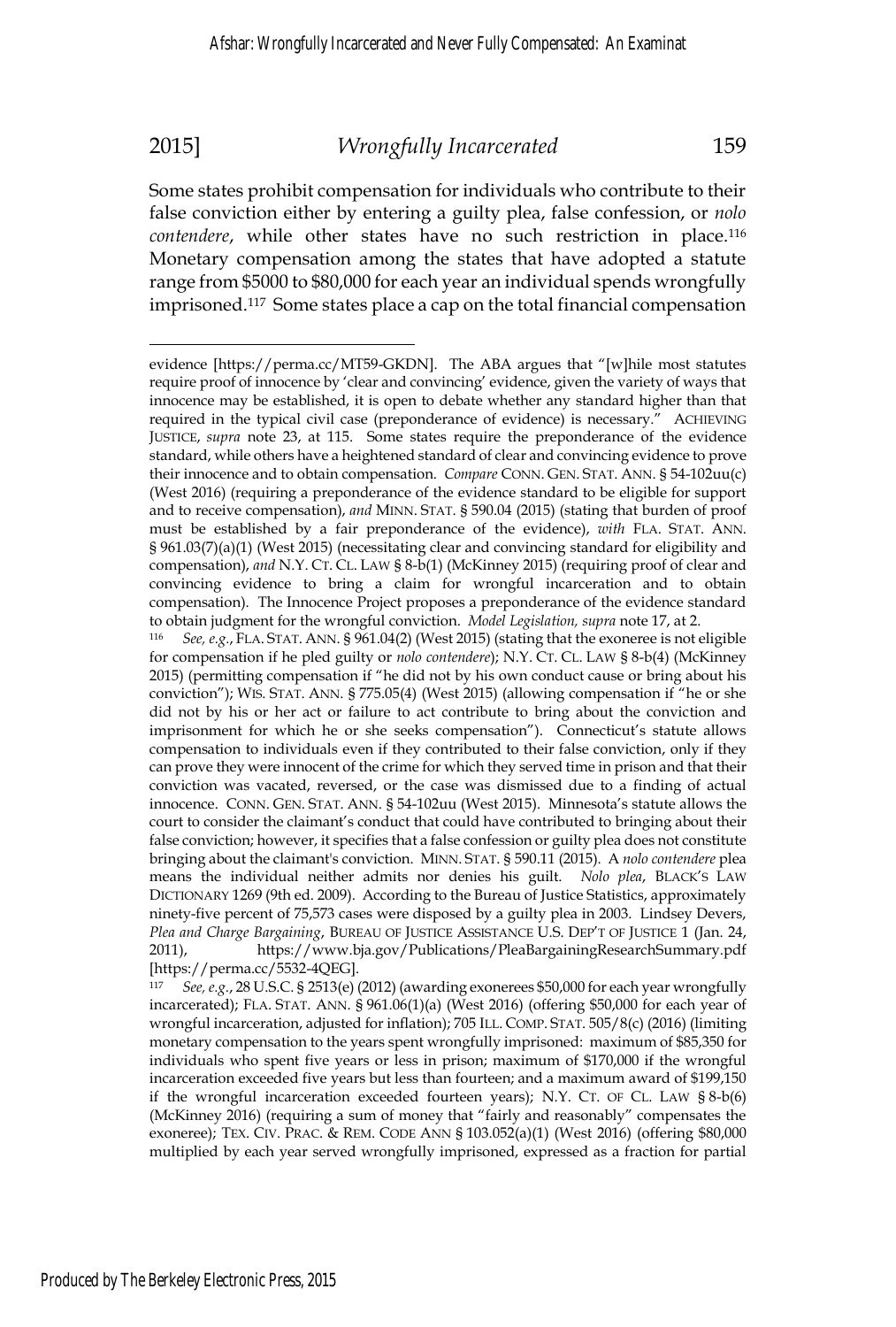Some states prohibit compensation for individuals who contribute to their false conviction either by entering a guilty plea, false confession, or *nolo contendere*, while other states have no such restriction in place.116 Monetary compensation among the states that have adopted a statute range from \$5000 to \$80,000 for each year an individual spends wrongfully imprisoned.117 Some states place a cap on the total financial compensation

<sup>117</sup> *See, e.g.*, 28 U.S.C. § 2513(e) (2012) (awarding exonerees \$50,000 for each year wrongfully incarcerated); FLA. STAT. ANN. § 961.06(1)(a) (West 2016) (offering \$50,000 for each year of wrongful incarceration, adjusted for inflation); 705 ILL. COMP. STAT. 505/8(c) (2016) (limiting monetary compensation to the years spent wrongfully imprisoned: maximum of \$85,350 for individuals who spent five years or less in prison; maximum of \$170,000 if the wrongful incarceration exceeded five years but less than fourteen; and a maximum award of \$199,150 if the wrongful incarceration exceeded fourteen years); N.Y. CT. OF CL. LAW § 8-b(6) (McKinney 2016) (requiring a sum of money that "fairly and reasonably" compensates the exoneree); TEX. CIV. PRAC. & REM. CODE ANN § 103.052(a)(1) (West 2016) (offering \$80,000 multiplied by each year served wrongfully imprisoned, expressed as a fraction for partial

evidence [https://perma.cc/MT59-GKDN]. The ABA argues that "[w]hile most statutes require proof of innocence by 'clear and convincing' evidence, given the variety of ways that innocence may be established, it is open to debate whether any standard higher than that required in the typical civil case (preponderance of evidence) is necessary." ACHIEVING JUSTICE, *supra* note 23, at 115. Some states require the preponderance of the evidence standard, while others have a heightened standard of clear and convincing evidence to prove their innocence and to obtain compensation. *Compare* CONN. GEN. STAT. ANN. § 54-102uu(c) (West 2016) (requiring a preponderance of the evidence standard to be eligible for support and to receive compensation), *and* MINN. STAT. § 590.04 (2015) (stating that burden of proof must be established by a fair preponderance of the evidence), *with* FLA. STAT. ANN. § 961.03(7)(a)(1) (West 2015) (necessitating clear and convincing standard for eligibility and compensation), *and* N.Y. CT. CL. LAW § 8-b(1) (McKinney 2015) (requiring proof of clear and convincing evidence to bring a claim for wrongful incarceration and to obtain compensation). The Innocence Project proposes a preponderance of the evidence standard

to obtain judgment for the wrongful conviction. *Model Legislation, supra* note 17, at 2.<br><sup>116</sup> *See, e.g.*, FLA. STAT. ANN. § 961.04(2) (West 2015) (stating that the exoneree is not eligible for compensation if he pled guilty or *nolo contendere*); N.Y. CT. CL. LAW § 8-b(4) (McKinney 2015) (permitting compensation if "he did not by his own conduct cause or bring about his conviction"); WIS. STAT. ANN. § 775.05(4) (West 2015) (allowing compensation if "he or she did not by his or her act or failure to act contribute to bring about the conviction and imprisonment for which he or she seeks compensation"). Connecticut's statute allows compensation to individuals even if they contributed to their false conviction, only if they can prove they were innocent of the crime for which they served time in prison and that their conviction was vacated, reversed, or the case was dismissed due to a finding of actual innocence. CONN. GEN. STAT. ANN. § 54-102uu (West 2015). Minnesota's statute allows the court to consider the claimant's conduct that could have contributed to bringing about their false conviction; however, it specifies that a false confession or guilty plea does not constitute bringing about the claimant's conviction. MINN. STAT. § 590.11 (2015). A *nolo contendere* plea means the individual neither admits nor denies his guilt. *Nolo plea*, BLACK'S LAW DICTIONARY 1269 (9th ed. 2009). According to the Bureau of Justice Statistics, approximately ninety-five percent of 75,573 cases were disposed by a guilty plea in 2003. Lindsey Devers, *Plea and Charge Bargaining*, BUREAU OF JUSTICE ASSISTANCE U.S. DEP'T OF JUSTICE 1 (Jan. 24, 2011), https://www.bja.gov/Publications/PleaBargainingResearchSummary.pdf [https://perma.cc/5532-4QEG].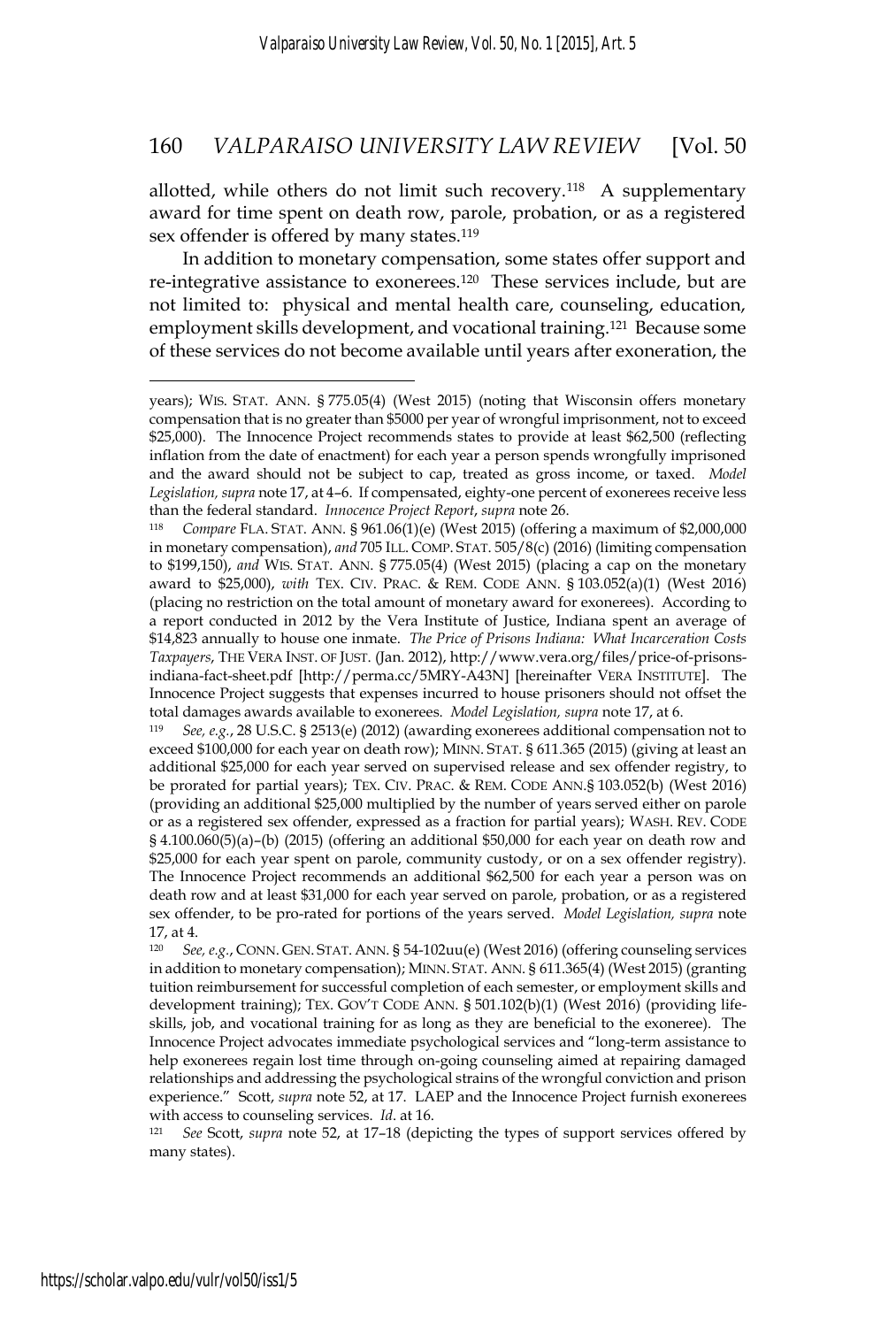allotted, while others do not limit such recovery.<sup>118</sup> A supplementary award for time spent on death row, parole, probation, or as a registered sex offender is offered by many states.<sup>119</sup>

In addition to monetary compensation, some states offer support and re-integrative assistance to exonerees.<sup>120</sup> These services include, but are not limited to: physical and mental health care, counseling, education, employment skills development, and vocational training.<sup>121</sup> Because some of these services do not become available until years after exoneration, the

many states).

years); WIS. STAT. ANN. § 775.05(4) (West 2015) (noting that Wisconsin offers monetary compensation that is no greater than \$5000 per year of wrongful imprisonment, not to exceed \$25,000). The Innocence Project recommends states to provide at least \$62,500 (reflecting inflation from the date of enactment) for each year a person spends wrongfully imprisoned and the award should not be subject to cap, treated as gross income, or taxed. *Model Legislation, supra* note 17, at 4–6. If compensated, eighty-one percent of exonerees receive less than the federal standard. *Innocence Project Report, supra* note 26.<br><sup>118</sup> *Compare* FLA. STAT. ANN. § 961.06(1)(e) (West 2015) (offering a maximum of \$2,000,000

in monetary compensation), *and* 705 ILL. COMP. STAT. 505/8(c) (2016) (limiting compensation to \$199,150), *and* WIS. STAT. ANN. § 775.05(4) (West 2015) (placing a cap on the monetary award to \$25,000), *with* TEX. CIV. PRAC. & REM. CODE ANN. § 103.052(a)(1) (West 2016) (placing no restriction on the total amount of monetary award for exonerees). According to a report conducted in 2012 by the Vera Institute of Justice, Indiana spent an average of \$14,823 annually to house one inmate. *The Price of Prisons Indiana: What Incarceration Costs Taxpayers*, THE VERA INST. OF JUST. (Jan. 2012), http://www.vera.org/files/price-of-prisonsindiana-fact-sheet.pdf [http://perma.cc/5MRY-A43N] [hereinafter VERA INSTITUTE]. The Innocence Project suggests that expenses incurred to house prisoners should not offset the total damages awards available to exonerees. *Model Legislation, supra* note 17, at 6. 119 *See, e.g.*, 28 U.S.C. § 2513(e) (2012) (awarding exonerees additional compensation not to

exceed \$100,000 for each year on death row); MINN. STAT. § 611.365 (2015) (giving at least an additional \$25,000 for each year served on supervised release and sex offender registry, to be prorated for partial years); TEX. CIV. PRAC. & REM. CODE ANN.§ 103.052(b) (West 2016) (providing an additional \$25,000 multiplied by the number of years served either on parole or as a registered sex offender, expressed as a fraction for partial years); WASH. REV. CODE § 4.100.060(5)(a)–(b) (2015) (offering an additional \$50,000 for each year on death row and \$25,000 for each year spent on parole, community custody, or on a sex offender registry). The Innocence Project recommends an additional \$62,500 for each year a person was on death row and at least \$31,000 for each year served on parole, probation, or as a registered sex offender, to be pro-rated for portions of the years served. *Model Legislation, supra* note 17, at 4.<br> $\frac{17}{20}$  c<sub>a</sub>

<sup>120</sup> *See, e.g.*, CONN. GEN. STAT. ANN. § 54-102uu(e) (West 2016) (offering counseling services in addition to monetary compensation); MINN. STAT. ANN. § 611.365(4) (West 2015) (granting tuition reimbursement for successful completion of each semester, or employment skills and development training); TEX. GOV'T CODE ANN. § 501.102(b)(1) (West 2016) (providing lifeskills, job, and vocational training for as long as they are beneficial to the exoneree). The Innocence Project advocates immediate psychological services and "long-term assistance to help exonerees regain lost time through on-going counseling aimed at repairing damaged relationships and addressing the psychological strains of the wrongful conviction and prison experience." Scott, *supra* note 52, at 17. LAEP and the Innocence Project furnish exonerees with access to counseling services. *Id*. at 16.<br><sup>121</sup> *See* Scott, *supra* note 52, at 17-18 (depicting the types of support services offered by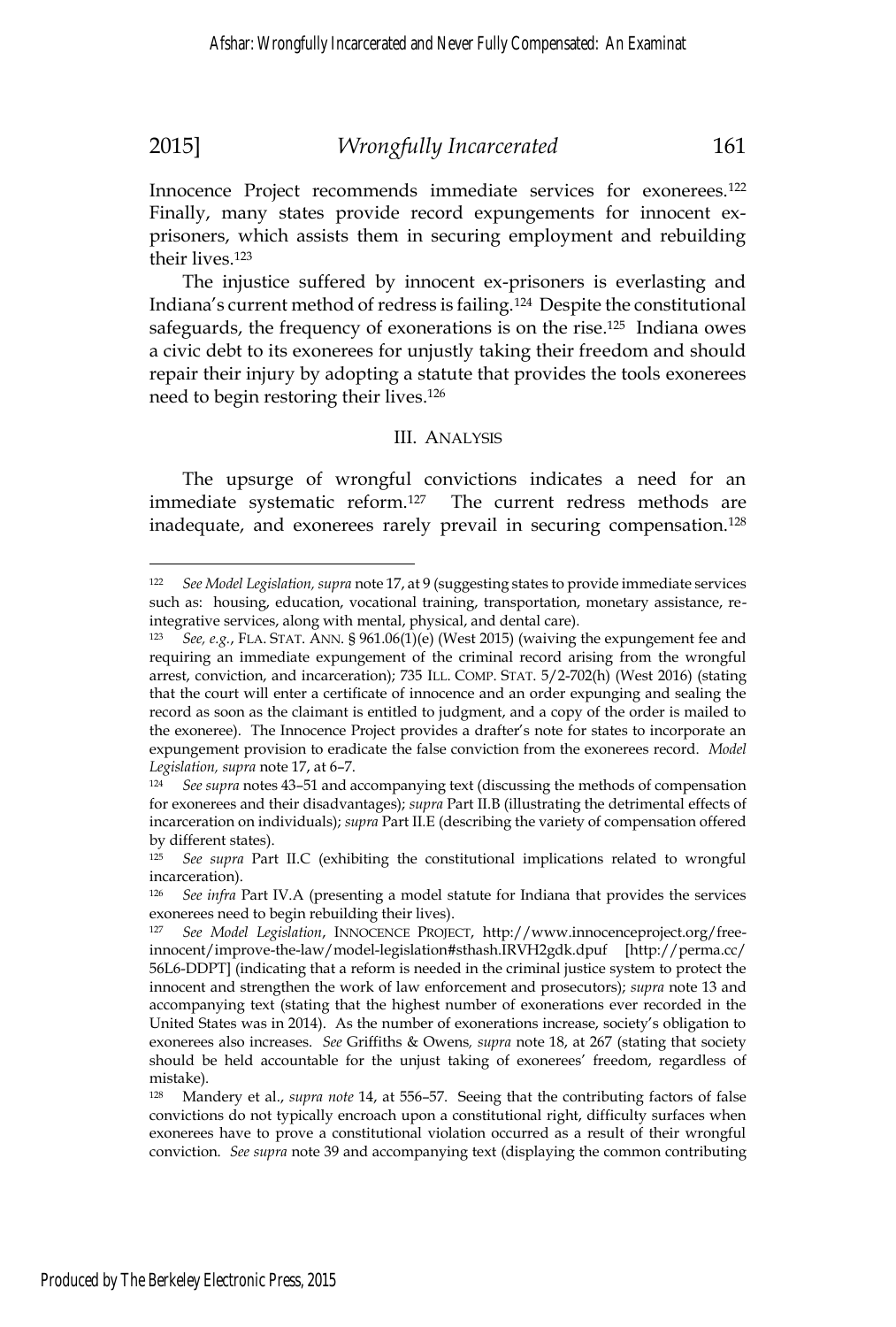Innocence Project recommends immediate services for exonerees.122 Finally, many states provide record expungements for innocent exprisoners, which assists them in securing employment and rebuilding their lives.123

The injustice suffered by innocent ex-prisoners is everlasting and Indiana's current method of redress is failing.124 Despite the constitutional safeguards, the frequency of exonerations is on the rise.125 Indiana owes a civic debt to its exonerees for unjustly taking their freedom and should repair their injury by adopting a statute that provides the tools exonerees need to begin restoring their lives.126

#### III. ANALYSIS

The upsurge of wrongful convictions indicates a need for an immediate systematic reform.127 The current redress methods are inadequate, and exonerees rarely prevail in securing compensation.128

<sup>122</sup> *See Model Legislation, supra* note 17, at 9 (suggesting states to provide immediate services such as: housing, education, vocational training, transportation, monetary assistance, reintegrative services, along with mental, physical, and dental care).

<sup>123</sup> *See, e.g.*, FLA. STAT. ANN. § 961.06(1)(e) (West 2015) (waiving the expungement fee and requiring an immediate expungement of the criminal record arising from the wrongful arrest, conviction, and incarceration); 735 ILL. COMP. STAT. 5/2-702(h) (West 2016) (stating that the court will enter a certificate of innocence and an order expunging and sealing the record as soon as the claimant is entitled to judgment, and a copy of the order is mailed to the exoneree). The Innocence Project provides a drafter's note for states to incorporate an expungement provision to eradicate the false conviction from the exonerees record. *Model Legislation, supra* note 17, at 6–7.<br><sup>124</sup> See supra notes 43–51 and accompanying text (discussing the methods of compensation

for exonerees and their disadvantages); *supra* Part II.B (illustrating the detrimental effects of incarceration on individuals); *supra* Part II.E (describing the variety of compensation offered by different states).

<sup>125</sup> *See supra* Part II.C (exhibiting the constitutional implications related to wrongful incarceration).

<sup>126</sup> *See infra* Part IV.A (presenting a model statute for Indiana that provides the services exonerees need to begin rebuilding their lives).<br><sup>127</sup> See Model Legislation INNOCENCE PROJE

<sup>127</sup> *See Model Legislation*, INNOCENCE PROJECT, http://www.innocenceproject.org/freeinnocent/improve-the-law/model-legislation#sthash.IRVH2gdk.dpuf [http://perma.cc/ 56L6-DDPT] (indicating that a reform is needed in the criminal justice system to protect the innocent and strengthen the work of law enforcement and prosecutors); *supra* note 13 and accompanying text (stating that the highest number of exonerations ever recorded in the United States was in 2014). As the number of exonerations increase, society's obligation to exonerees also increases. *See* Griffiths & Owens*, supra* note 18, at 267 (stating that society should be held accountable for the unjust taking of exonerees' freedom, regardless of mistake).

<sup>128</sup> Mandery et al., *supra note* 14, at 556–57. Seeing that the contributing factors of false convictions do not typically encroach upon a constitutional right, difficulty surfaces when exonerees have to prove a constitutional violation occurred as a result of their wrongful conviction. *See supra* note 39 and accompanying text (displaying the common contributing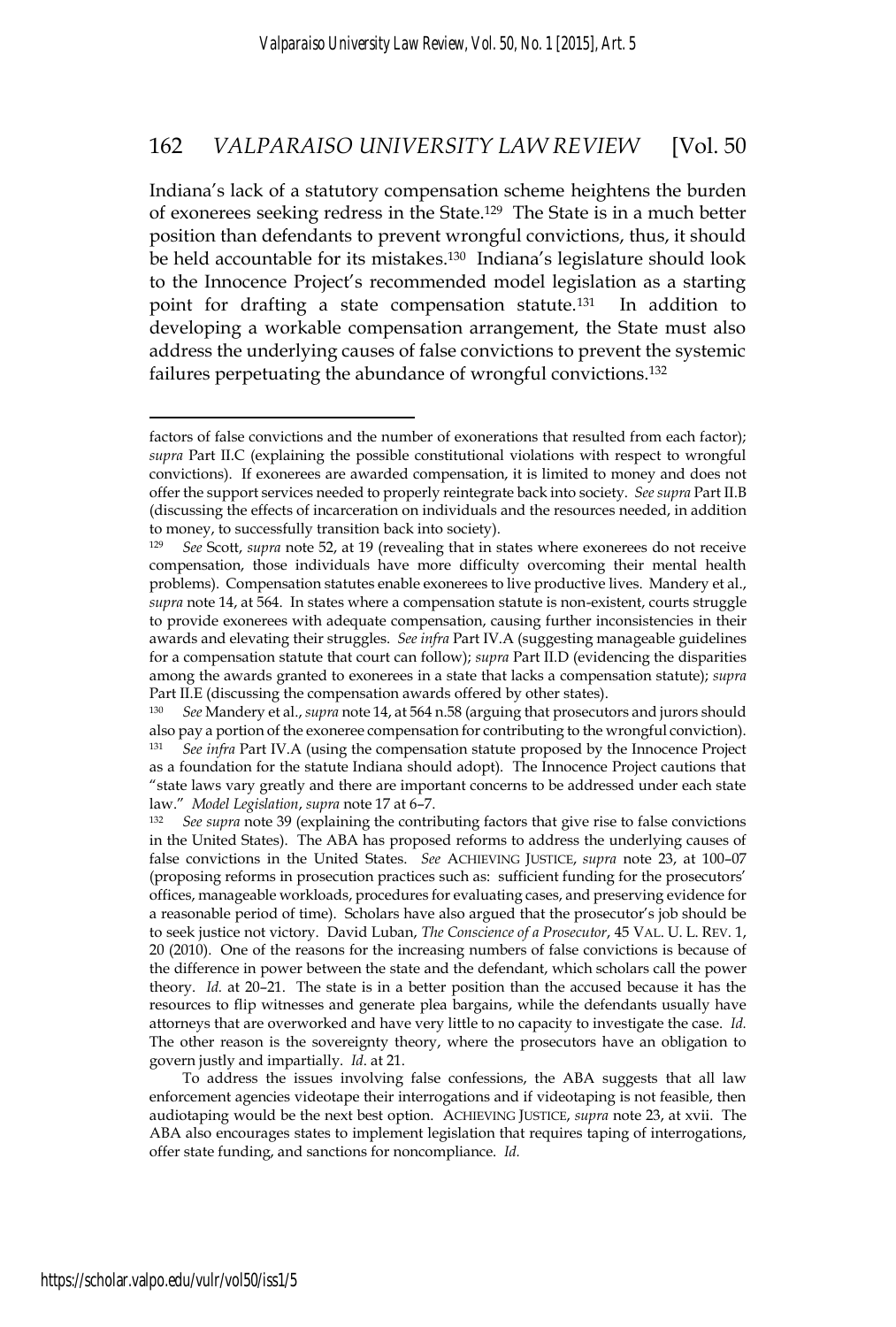Indiana's lack of a statutory compensation scheme heightens the burden of exonerees seeking redress in the State.129 The State is in a much better position than defendants to prevent wrongful convictions, thus, it should be held accountable for its mistakes.130 Indiana's legislature should look to the Innocence Project's recommended model legislation as a starting point for drafting a state compensation statute.131 In addition to developing a workable compensation arrangement, the State must also address the underlying causes of false convictions to prevent the systemic failures perpetuating the abundance of wrongful convictions.132

To address the issues involving false confessions, the ABA suggests that all law enforcement agencies videotape their interrogations and if videotaping is not feasible, then audiotaping would be the next best option. ACHIEVING JUSTICE, *supra* note 23, at xvii. The ABA also encourages states to implement legislation that requires taping of interrogations, offer state funding, and sanctions for noncompliance. *Id.*

factors of false convictions and the number of exonerations that resulted from each factor); *supra* Part II.C (explaining the possible constitutional violations with respect to wrongful convictions). If exonerees are awarded compensation, it is limited to money and does not offer the support services needed to properly reintegrate back into society. *See supra* Part II.B (discussing the effects of incarceration on individuals and the resources needed, in addition to money, to successfully transition back into society).

<sup>129</sup> *See* Scott, *supra* note 52, at 19 (revealing that in states where exonerees do not receive compensation, those individuals have more difficulty overcoming their mental health problems). Compensation statutes enable exonerees to live productive lives. Mandery et al., *supra* note 14, at 564. In states where a compensation statute is non-existent, courts struggle to provide exonerees with adequate compensation, causing further inconsistencies in their awards and elevating their struggles. *See infra* Part IV.A (suggesting manageable guidelines for a compensation statute that court can follow); *supra* Part II.D (evidencing the disparities among the awards granted to exonerees in a state that lacks a compensation statute); *supra* Part II.E (discussing the compensation awards offered by other states).

<sup>130</sup> *See* Mandery et al., *supra* note 14, at 564 n.58 (arguing that prosecutors and jurors should also pay a portion of the exoneree compensation for contributing to the wrongful conviction). <sup>131</sup> *See infra* Part IV.A (using the compensation statute proposed by the Innocence Project as a foundation for the statute Indiana should adopt). The Innocence Project cautions that "state laws vary greatly and there are important concerns to be addressed under each state law." *Model Legislation, supra* note 17 at 6–7.<br><sup>132</sup> *See supra* note 39 (explaining the contributing factors that give rise to false convictions

in the United States). The ABA has proposed reforms to address the underlying causes of false convictions in the United States. *See* ACHIEVING JUSTICE, *supra* note 23, at 100–07 (proposing reforms in prosecution practices such as: sufficient funding for the prosecutors' offices, manageable workloads, procedures for evaluating cases, and preserving evidence for a reasonable period of time). Scholars have also argued that the prosecutor's job should be to seek justice not victory. David Luban, *The Conscience of a Prosecutor*, 45 VAL. U. L. REV. 1, 20 (2010). One of the reasons for the increasing numbers of false convictions is because of the difference in power between the state and the defendant, which scholars call the power theory. *Id.* at 20–21. The state is in a better position than the accused because it has the resources to flip witnesses and generate plea bargains, while the defendants usually have attorneys that are overworked and have very little to no capacity to investigate the case. *Id.* The other reason is the sovereignty theory, where the prosecutors have an obligation to govern justly and impartially. *Id*. at 21.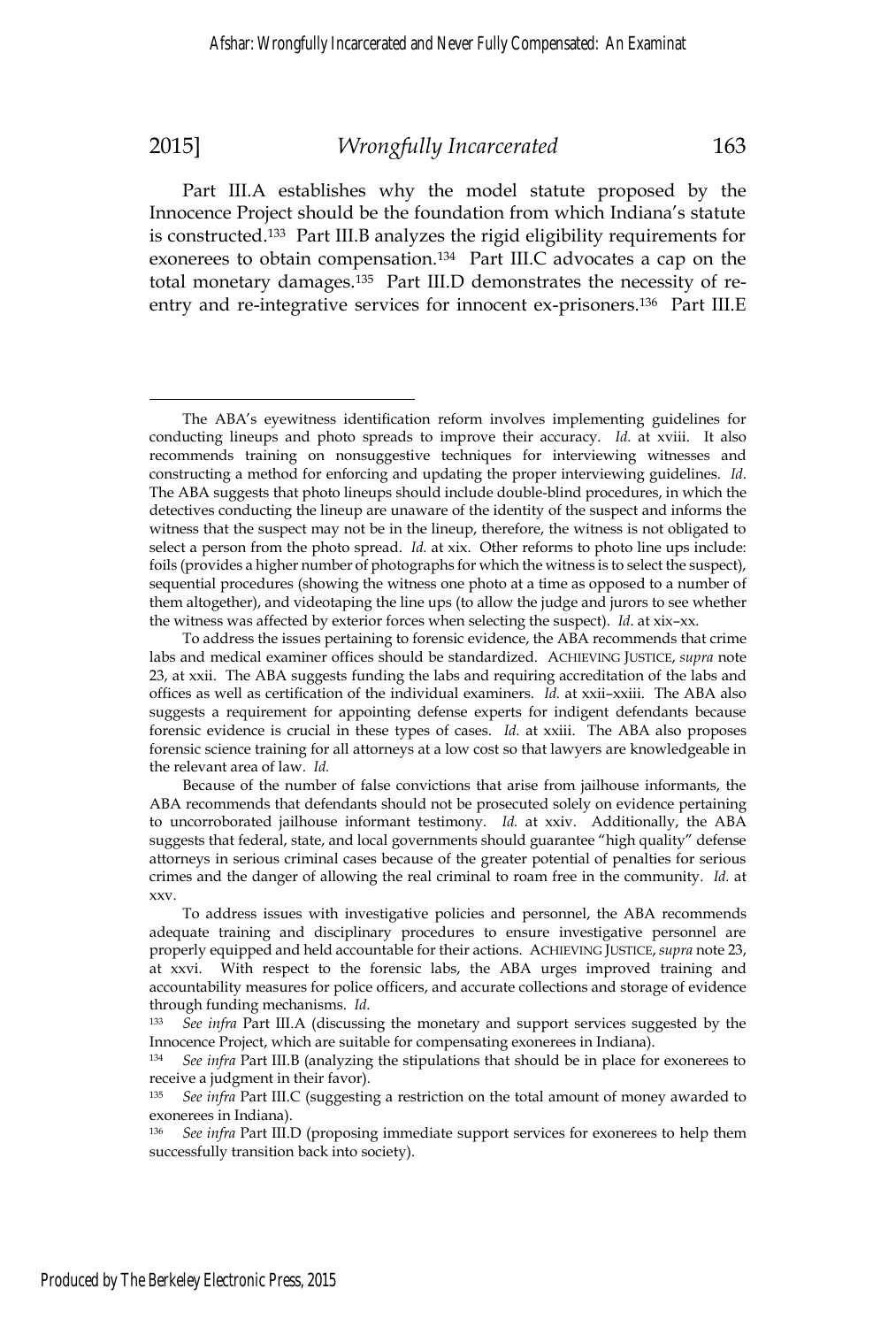$\overline{a}$ 

### 2015] *Wrongfully Incarcerated* 163

Part III.A establishes why the model statute proposed by the Innocence Project should be the foundation from which Indiana's statute is constructed.133 Part III.B analyzes the rigid eligibility requirements for exonerees to obtain compensation.134 Part III.C advocates a cap on the total monetary damages.135 Part III.D demonstrates the necessity of reentry and re-integrative services for innocent ex-prisoners.<sup>136</sup> Part III.E

<sup>136</sup> *See infra* Part III.D (proposing immediate support services for exonerees to help them successfully transition back into society).

The ABA's eyewitness identification reform involves implementing guidelines for conducting lineups and photo spreads to improve their accuracy. *Id*. at xviii. It also recommends training on nonsuggestive techniques for interviewing witnesses and constructing a method for enforcing and updating the proper interviewing guidelines. *Id*. The ABA suggests that photo lineups should include double-blind procedures, in which the detectives conducting the lineup are unaware of the identity of the suspect and informs the witness that the suspect may not be in the lineup, therefore, the witness is not obligated to select a person from the photo spread. *Id.* at xix. Other reforms to photo line ups include: foils (provides a higher number of photographs for which the witness is to select the suspect), sequential procedures (showing the witness one photo at a time as opposed to a number of them altogether), and videotaping the line ups (to allow the judge and jurors to see whether the witness was affected by exterior forces when selecting the suspect). *Id*. at xix–xx.

To address the issues pertaining to forensic evidence, the ABA recommends that crime labs and medical examiner offices should be standardized. ACHIEVING JUSTICE, *supra* note 23, at xxii. The ABA suggests funding the labs and requiring accreditation of the labs and offices as well as certification of the individual examiners. *Id.* at xxii–xxiii. The ABA also suggests a requirement for appointing defense experts for indigent defendants because forensic evidence is crucial in these types of cases. *Id.* at xxiii. The ABA also proposes forensic science training for all attorneys at a low cost so that lawyers are knowledgeable in the relevant area of law. *Id.*

Because of the number of false convictions that arise from jailhouse informants, the ABA recommends that defendants should not be prosecuted solely on evidence pertaining to uncorroborated jailhouse informant testimony. *Id.* at xxiv. Additionally, the ABA suggests that federal, state, and local governments should guarantee "high quality" defense attorneys in serious criminal cases because of the greater potential of penalties for serious crimes and the danger of allowing the real criminal to roam free in the community. *Id.* at xxv.

To address issues with investigative policies and personnel, the ABA recommends adequate training and disciplinary procedures to ensure investigative personnel are properly equipped and held accountable for their actions. ACHIEVING JUSTICE, *supra* note 23, at xxvi. With respect to the forensic labs, the ABA urges improved training and accountability measures for police officers, and accurate collections and storage of evidence through funding mechanisms. *Id*.<br><sup>133</sup> *See infra* Part III.A (discussing the monetary and support services suggested by the

Innocence Project, which are suitable for compensating exonerees in Indiana).

<sup>134</sup> *See infra* Part III.B (analyzing the stipulations that should be in place for exonerees to receive a judgment in their favor).

<sup>135</sup> *See infra* Part III.C (suggesting a restriction on the total amount of money awarded to exonerees in Indiana).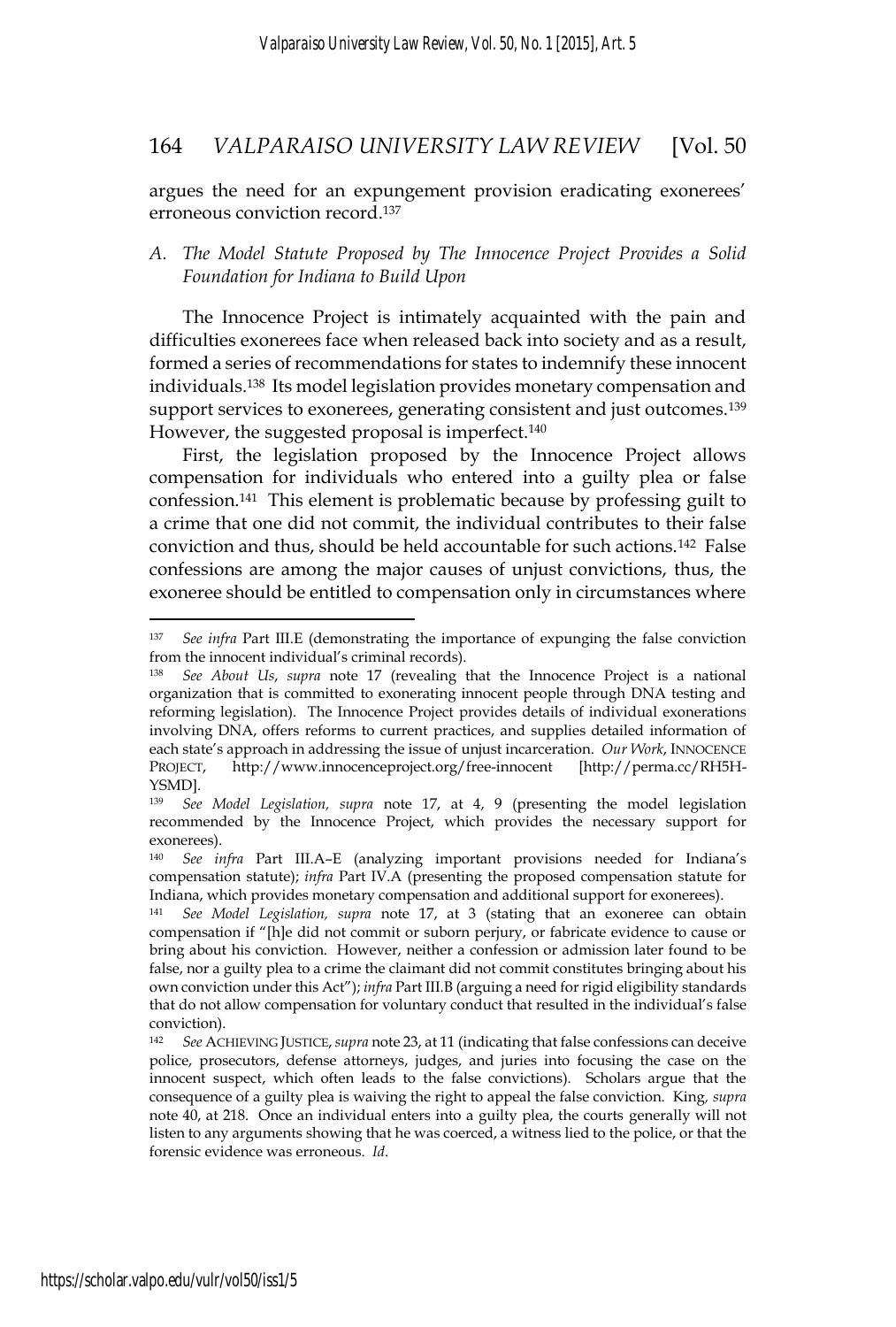argues the need for an expungement provision eradicating exonerees' erroneous conviction record.137

### *A. The Model Statute Proposed by The Innocence Project Provides a Solid Foundation for Indiana to Build Upon*

The Innocence Project is intimately acquainted with the pain and difficulties exonerees face when released back into society and as a result, formed a series of recommendations for states to indemnify these innocent individuals.138 Its model legislation provides monetary compensation and support services to exonerees, generating consistent and just outcomes.<sup>139</sup> However, the suggested proposal is imperfect.<sup>140</sup>

First, the legislation proposed by the Innocence Project allows compensation for individuals who entered into a guilty plea or false confession.141 This element is problematic because by professing guilt to a crime that one did not commit, the individual contributes to their false conviction and thus, should be held accountable for such actions.142 False confessions are among the major causes of unjust convictions, thus, the exoneree should be entitled to compensation only in circumstances where

<sup>137</sup> *See infra* Part III.E (demonstrating the importance of expunging the false conviction from the innocent individual's criminal records).

<sup>138</sup> *See About Us*, *supra* note 17 (revealing that the Innocence Project is a national organization that is committed to exonerating innocent people through DNA testing and reforming legislation). The Innocence Project provides details of individual exonerations involving DNA, offers reforms to current practices, and supplies detailed information of each state's approach in addressing the issue of unjust incarceration. *Our Work*, INNOCENCE PROJECT, http://www.innocenceproject.org/free-innocent [http://perma.cc/RH5H-YSMD].<br><sup>139</sup> See

<sup>139</sup> *See Model Legislation, supra* note 17, at 4, 9 (presenting the model legislation recommended by the Innocence Project, which provides the necessary support for exonerees).

<sup>140</sup> *See infra* Part III.A–E (analyzing important provisions needed for Indiana's compensation statute); *infra* Part IV.A (presenting the proposed compensation statute for Indiana, which provides monetary compensation and additional support for exonerees).

<sup>141</sup> *See Model Legislation, supra* note 17, at 3 (stating that an exoneree can obtain compensation if "[h]e did not commit or suborn perjury, or fabricate evidence to cause or bring about his conviction. However, neither a confession or admission later found to be false, nor a guilty plea to a crime the claimant did not commit constitutes bringing about his own conviction under this Act"); *infra* Part III.B (arguing a need for rigid eligibility standards that do not allow compensation for voluntary conduct that resulted in the individual's false conviction).

<sup>142</sup> *See* ACHIEVING JUSTICE,*supra* note 23, at 11 (indicating that false confessions can deceive police, prosecutors, defense attorneys, judges, and juries into focusing the case on the innocent suspect, which often leads to the false convictions). Scholars argue that the consequence of a guilty plea is waiving the right to appeal the false conviction. King*, supra*  note 40, at 218. Once an individual enters into a guilty plea, the courts generally will not listen to any arguments showing that he was coerced, a witness lied to the police, or that the forensic evidence was erroneous. *Id*.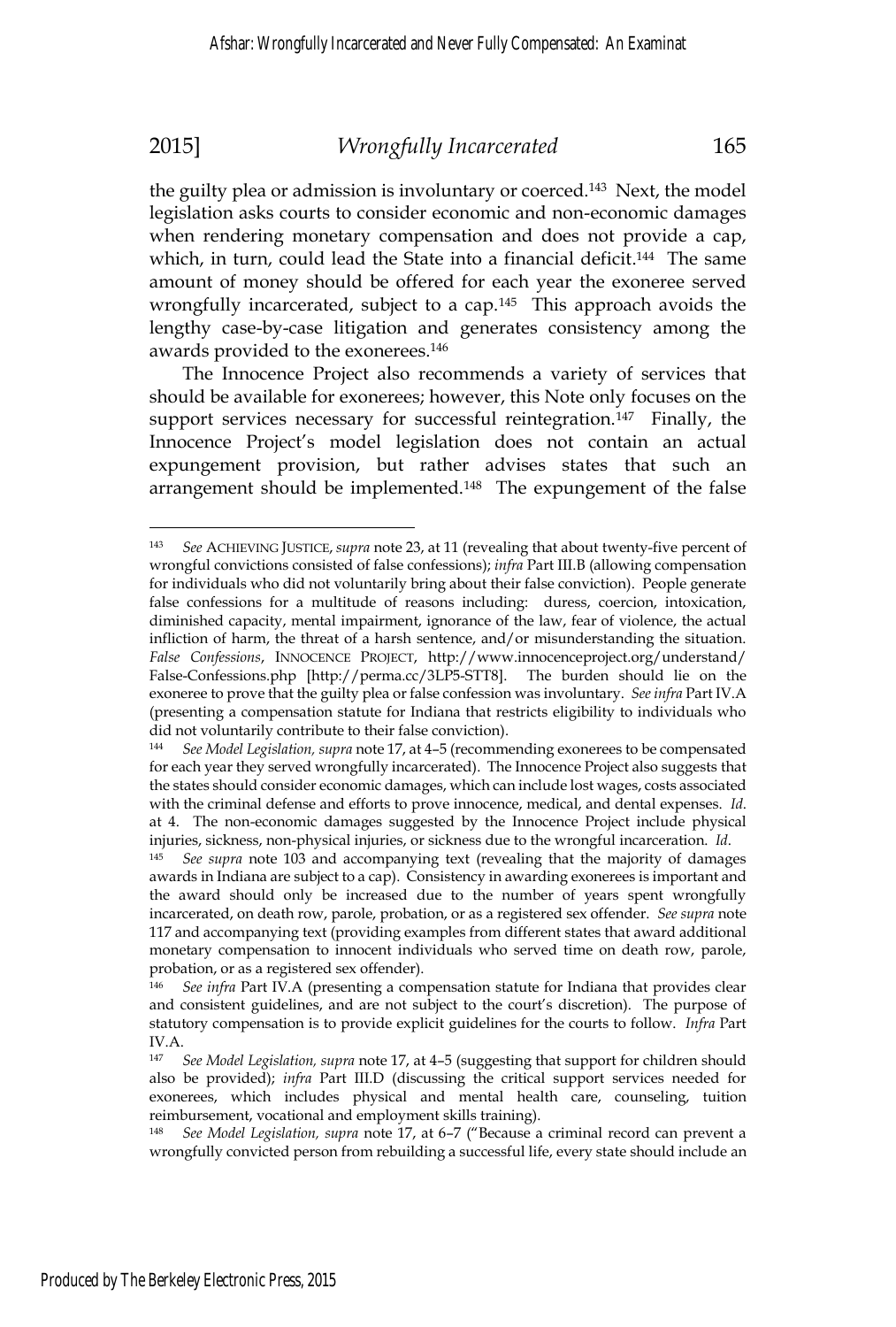the guilty plea or admission is involuntary or coerced.143 Next, the model legislation asks courts to consider economic and non-economic damages when rendering monetary compensation and does not provide a cap, which, in turn, could lead the State into a financial deficit.<sup>144</sup> The same amount of money should be offered for each year the exoneree served wrongfully incarcerated, subject to a cap.<sup>145</sup> This approach avoids the lengthy case-by-case litigation and generates consistency among the awards provided to the exonerees.146

The Innocence Project also recommends a variety of services that should be available for exonerees; however, this Note only focuses on the support services necessary for successful reintegration.<sup>147</sup> Finally, the Innocence Project's model legislation does not contain an actual expungement provision, but rather advises states that such an arrangement should be implemented.<sup>148</sup> The expungement of the false

<sup>143</sup> *See* ACHIEVING JUSTICE, *supra* note 23, at 11 (revealing that about twenty-five percent of wrongful convictions consisted of false confessions); *infra* Part III.B (allowing compensation for individuals who did not voluntarily bring about their false conviction). People generate false confessions for a multitude of reasons including: duress, coercion, intoxication, diminished capacity, mental impairment, ignorance of the law, fear of violence, the actual infliction of harm, the threat of a harsh sentence, and/or misunderstanding the situation. *False Confessions*, INNOCENCE PROJECT, http://www.innocenceproject.org/understand/ False-Confessions.php [http://perma.cc/3LP5-STT8]. The burden should lie on the exoneree to prove that the guilty plea or false confession was involuntary. *See infra* Part IV.A (presenting a compensation statute for Indiana that restricts eligibility to individuals who did not voluntarily contribute to their false conviction).

<sup>144</sup> *See Model Legislation, supra* note 17, at 4–5 (recommending exonerees to be compensated for each year they served wrongfully incarcerated). The Innocence Project also suggests that the states should consider economic damages, which can include lost wages, costs associated with the criminal defense and efforts to prove innocence, medical, and dental expenses. *Id*. at 4. The non-economic damages suggested by the Innocence Project include physical injuries, sickness, non-physical injuries, or sickness due to the wrongful incarceration. *Id*. 145 *See supra* note 103 and accompanying text (revealing that the majority of damages

awards in Indiana are subject to a cap). Consistency in awarding exonerees is important and the award should only be increased due to the number of years spent wrongfully incarcerated, on death row, parole, probation, or as a registered sex offender. *See supra* note 117 and accompanying text (providing examples from different states that award additional monetary compensation to innocent individuals who served time on death row, parole, probation, or as a registered sex offender).

See infra Part IV.A (presenting a compensation statute for Indiana that provides clear and consistent guidelines, and are not subject to the court's discretion). The purpose of statutory compensation is to provide explicit guidelines for the courts to follow. *Infra* Part IV.A.

<sup>147</sup> *See Model Legislation, supra* note 17, at 4–5 (suggesting that support for children should also be provided); *infra* Part III.D (discussing the critical support services needed for exonerees, which includes physical and mental health care, counseling, tuition reimbursement, vocational and employment skills training).

<sup>148</sup> *See Model Legislation, supra* note 17, at 6–7 ("Because a criminal record can prevent a wrongfully convicted person from rebuilding a successful life, every state should include an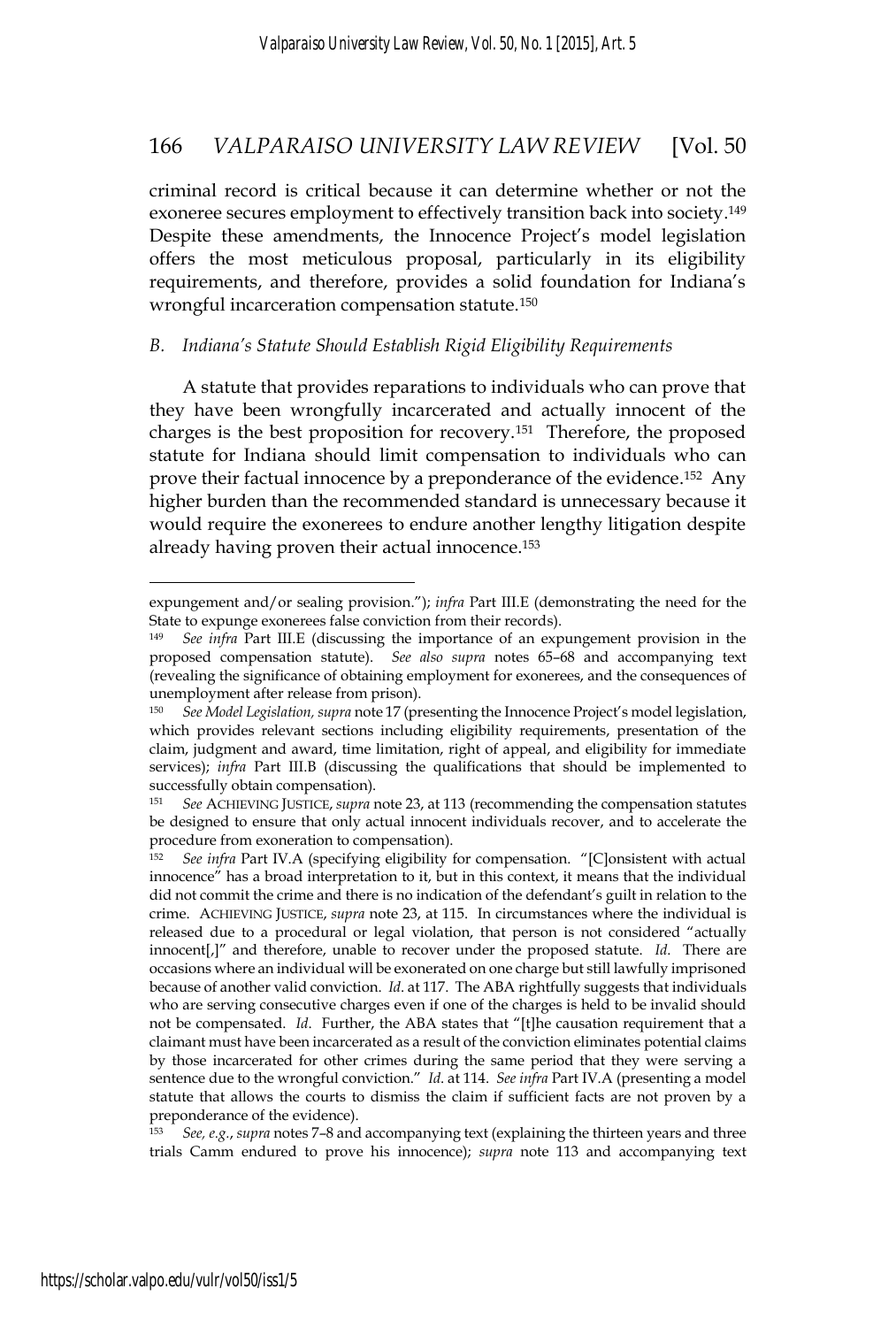criminal record is critical because it can determine whether or not the exoneree secures employment to effectively transition back into society.149 Despite these amendments, the Innocence Project's model legislation offers the most meticulous proposal, particularly in its eligibility requirements, and therefore, provides a solid foundation for Indiana's wrongful incarceration compensation statute.<sup>150</sup>

### *B. Indiana's Statute Should Establish Rigid Eligibility Requirements*

A statute that provides reparations to individuals who can prove that they have been wrongfully incarcerated and actually innocent of the charges is the best proposition for recovery.151 Therefore, the proposed statute for Indiana should limit compensation to individuals who can prove their factual innocence by a preponderance of the evidence.152 Any higher burden than the recommended standard is unnecessary because it would require the exonerees to endure another lengthy litigation despite already having proven their actual innocence.153

<sup>153</sup> *See, e.g.*, *supra* notes 7–8 and accompanying text (explaining the thirteen years and three trials Camm endured to prove his innocence); *supra* note 113 and accompanying text

expungement and/or sealing provision."); *infra* Part III.E (demonstrating the need for the State to expunge exonerees false conviction from their records).

<sup>149</sup> *See infra* Part III.E (discussing the importance of an expungement provision in the proposed compensation statute). *See also supra* notes 65–68 and accompanying text (revealing the significance of obtaining employment for exonerees, and the consequences of unemployment after release from prison).

<sup>150</sup> *See Model Legislation, supra* note 17 (presenting the Innocence Project's model legislation, which provides relevant sections including eligibility requirements, presentation of the claim, judgment and award, time limitation, right of appeal, and eligibility for immediate services); *infra* Part III.B (discussing the qualifications that should be implemented to successfully obtain compensation).<br><sup>151</sup> See ACHIEVING IUSTICE, supra 1

<sup>151</sup> *See* ACHIEVING JUSTICE, *supra* note 23, at 113 (recommending the compensation statutes be designed to ensure that only actual innocent individuals recover, and to accelerate the procedure from exoneration to compensation).<br><sup>152</sup> See infra Part IV.A (specifying eligibility f

<sup>152</sup> *See infra* Part IV.A (specifying eligibility for compensation. "[C]onsistent with actual innocence" has a broad interpretation to it, but in this context, it means that the individual did not commit the crime and there is no indication of the defendant's guilt in relation to the crime. ACHIEVING JUSTICE, *supra* note 23, at 115. In circumstances where the individual is released due to a procedural or legal violation, that person is not considered "actually innocent[,]" and therefore, unable to recover under the proposed statute. *Id*. There are occasions where an individual will be exonerated on one charge but still lawfully imprisoned because of another valid conviction. *Id*. at 117. The ABA rightfully suggests that individuals who are serving consecutive charges even if one of the charges is held to be invalid should not be compensated. *Id*. Further, the ABA states that "[t]he causation requirement that a claimant must have been incarcerated as a result of the conviction eliminates potential claims by those incarcerated for other crimes during the same period that they were serving a sentence due to the wrongful conviction." *Id*. at 114. *See infra* Part IV.A (presenting a model statute that allows the courts to dismiss the claim if sufficient facts are not proven by a preponderance of the evidence).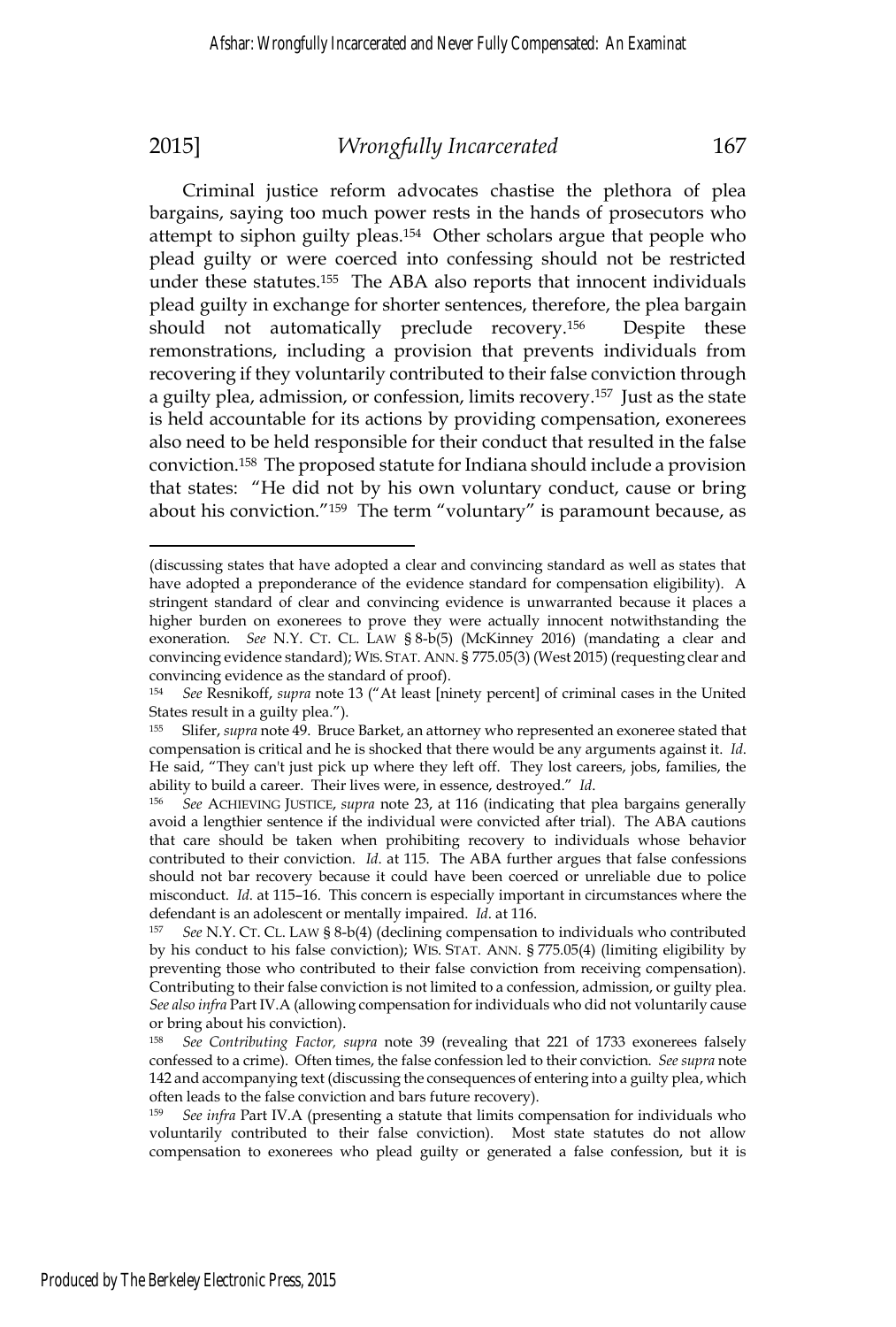$\overline{a}$ 

### 2015] *Wrongfully Incarcerated* 167

Criminal justice reform advocates chastise the plethora of plea bargains, saying too much power rests in the hands of prosecutors who attempt to siphon guilty pleas.154 Other scholars argue that people who plead guilty or were coerced into confessing should not be restricted under these statutes.155 The ABA also reports that innocent individuals plead guilty in exchange for shorter sentences, therefore, the plea bargain should not automatically preclude recovery.<sup>156</sup> Despite these remonstrations, including a provision that prevents individuals from recovering if they voluntarily contributed to their false conviction through a guilty plea, admission, or confession, limits recovery.157 Just as the state is held accountable for its actions by providing compensation, exonerees also need to be held responsible for their conduct that resulted in the false conviction.158 The proposed statute for Indiana should include a provision that states: "He did not by his own voluntary conduct, cause or bring about his conviction."159 The term "voluntary" is paramount because, as

<sup>(</sup>discussing states that have adopted a clear and convincing standard as well as states that have adopted a preponderance of the evidence standard for compensation eligibility). A stringent standard of clear and convincing evidence is unwarranted because it places a higher burden on exonerees to prove they were actually innocent notwithstanding the exoneration. *See* N.Y. CT. CL. LAW § 8-b(5) (McKinney 2016) (mandating a clear and convincing evidence standard); WIS. STAT. ANN. § 775.05(3) (West 2015) (requesting clear and convincing evidence as the standard of proof).

<sup>154</sup> *See* Resnikoff, *supra* note 13 ("At least [ninety percent] of criminal cases in the United States result in a guilty plea.").

<sup>155</sup> Slifer, *supra* note 49. Bruce Barket, an attorney who represented an exoneree stated that compensation is critical and he is shocked that there would be any arguments against it. *Id*. He said, "They can't just pick up where they left off. They lost careers, jobs, families, the ability to build a career. Their lives were, in essence, destroyed." *Id*. 156 *See* ACHIEVING JUSTICE, *supra* note 23, at 116 (indicating that plea bargains generally

avoid a lengthier sentence if the individual were convicted after trial). The ABA cautions that care should be taken when prohibiting recovery to individuals whose behavior contributed to their conviction. *Id*. at 115. The ABA further argues that false confessions should not bar recovery because it could have been coerced or unreliable due to police misconduct. *Id*. at 115–16. This concern is especially important in circumstances where the defendant is an adolescent or mentally impaired. *Id.* at 116.<br><sup>157</sup> *See* N.Y. CT. CL. LAW § 8-b(4) (declining compensation to individuals who contributed

by his conduct to his false conviction); WIS. STAT. ANN. § 775.05(4) (limiting eligibility by preventing those who contributed to their false conviction from receiving compensation). Contributing to their false conviction is not limited to a confession, admission, or guilty plea. *See also infra* Part IV.A (allowing compensation for individuals who did not voluntarily cause or bring about his conviction).

<sup>158</sup> *See Contributing Factor, supra* note 39 (revealing that 221 of 1733 exonerees falsely confessed to a crime). Often times, the false confession led to their conviction. *See supra* note 142 and accompanying text (discussing the consequences of entering into a guilty plea, which often leads to the false conviction and bars future recovery).

<sup>159</sup> *See infra* Part IV.A (presenting a statute that limits compensation for individuals who voluntarily contributed to their false conviction). Most state statutes do not allow compensation to exonerees who plead guilty or generated a false confession, but it is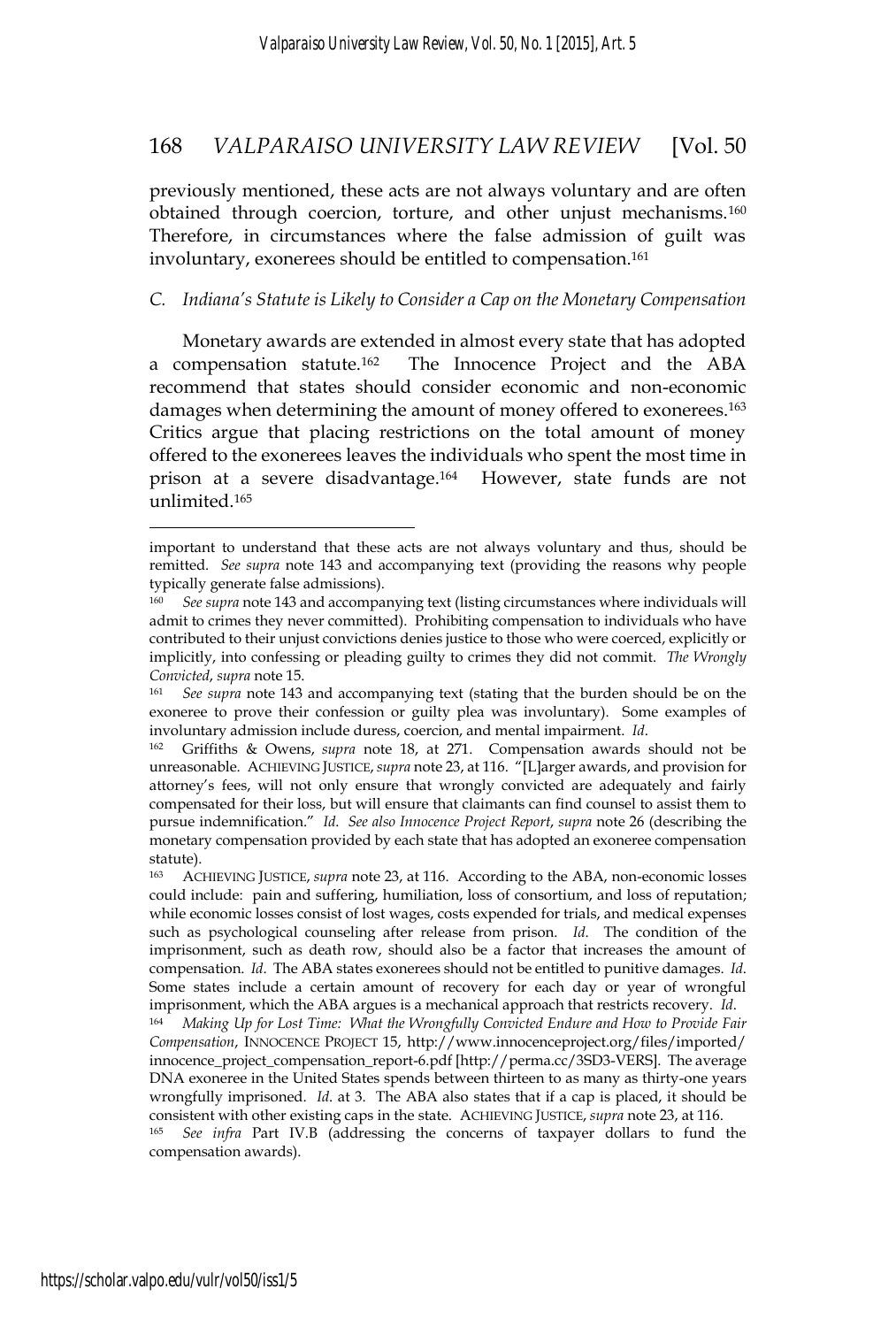previously mentioned, these acts are not always voluntary and are often obtained through coercion, torture, and other unjust mechanisms.<sup>160</sup> Therefore, in circumstances where the false admission of guilt was involuntary, exonerees should be entitled to compensation.<sup>161</sup>

### *C. Indiana's Statute is Likely to Consider a Cap on the Monetary Compensation*

Monetary awards are extended in almost every state that has adopted a compensation statute.162 The Innocence Project and the ABA recommend that states should consider economic and non-economic damages when determining the amount of money offered to exonerees.163 Critics argue that placing restrictions on the total amount of money offered to the exonerees leaves the individuals who spent the most time in prison at a severe disadvantage.164 However, state funds are not unlimited.165

important to understand that these acts are not always voluntary and thus, should be remitted. *See supra* note 143 and accompanying text (providing the reasons why people typically generate false admissions).

<sup>160</sup> *See supra* note 143 and accompanying text (listing circumstances where individuals will admit to crimes they never committed). Prohibiting compensation to individuals who have contributed to their unjust convictions denies justice to those who were coerced, explicitly or implicitly, into confessing or pleading guilty to crimes they did not commit. *The Wrongly Convicted, supra* note 15.<br><sup>161</sup> *See supra* note 143 and accompanying text (stating that the burden should be on the

exoneree to prove their confession or guilty plea was involuntary). Some examples of involuntary admission include duress, coercion, and mental impairment. *Id*. 162 Griffiths & Owens, *supra* note 18, at 271. Compensation awards should not be

unreasonable. ACHIEVING JUSTICE, *supra* note 23, at 116. "[L]arger awards, and provision for attorney's fees, will not only ensure that wrongly convicted are adequately and fairly compensated for their loss, but will ensure that claimants can find counsel to assist them to pursue indemnification." *Id*. *See also Innocence Project Report*, *supra* note 26 (describing the monetary compensation provided by each state that has adopted an exoneree compensation statute).

ACHIEVING JUSTICE, *supra* note 23, at 116. According to the ABA, non-economic losses could include: pain and suffering, humiliation, loss of consortium, and loss of reputation; while economic losses consist of lost wages, costs expended for trials, and medical expenses such as psychological counseling after release from prison. *Id*. The condition of the imprisonment, such as death row, should also be a factor that increases the amount of compensation. *Id*. The ABA states exonerees should not be entitled to punitive damages. *Id*. Some states include a certain amount of recovery for each day or year of wrongful

imprisonment, which the ABA argues is a mechanical approach that restricts recovery. *Id*. 164 *Making Up for Lost Time: What the Wrongfully Convicted Endure and How to Provide Fair Compensation*, INNOCENCE PROJECT 15, http://www.innocenceproject.org/files/imported/ innocence\_project\_compensation\_report-6.pdf [http://perma.cc/3SD3-VERS]. The average DNA exoneree in the United States spends between thirteen to as many as thirty-one years wrongfully imprisoned. *Id*. at 3. The ABA also states that if a cap is placed, it should be

consistent with other existing caps in the state. ACHIEVING JUSTICE, *supra* note 23, at 116. 165 *See infra* Part IV.B (addressing the concerns of taxpayer dollars to fund the compensation awards).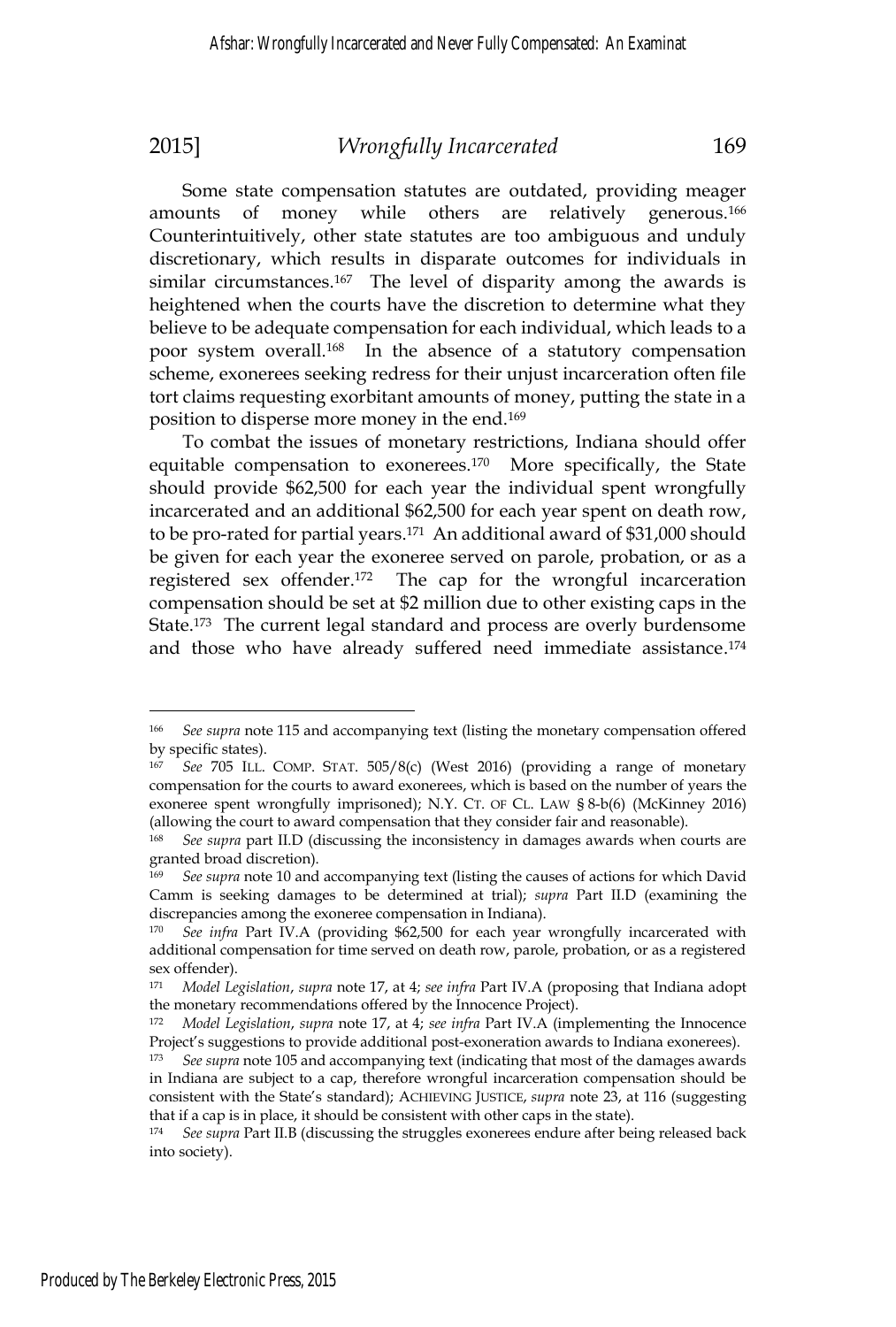Some state compensation statutes are outdated, providing meager amounts of money while others are relatively generous.166 Counterintuitively, other state statutes are too ambiguous and unduly discretionary, which results in disparate outcomes for individuals in similar circumstances.<sup>167</sup> The level of disparity among the awards is heightened when the courts have the discretion to determine what they believe to be adequate compensation for each individual, which leads to a poor system overall.168 In the absence of a statutory compensation scheme, exonerees seeking redress for their unjust incarceration often file tort claims requesting exorbitant amounts of money, putting the state in a position to disperse more money in the end.169

To combat the issues of monetary restrictions, Indiana should offer equitable compensation to exonerees.<sup>170</sup> More specifically, the State should provide \$62,500 for each year the individual spent wrongfully incarcerated and an additional \$62,500 for each year spent on death row, to be pro-rated for partial years.171 An additional award of \$31,000 should be given for each year the exoneree served on parole, probation, or as a registered sex offender.172 The cap for the wrongful incarceration compensation should be set at \$2 million due to other existing caps in the State.<sup>173</sup> The current legal standard and process are overly burdensome and those who have already suffered need immediate assistance.174

<sup>166</sup> *See supra* note 115 and accompanying text (listing the monetary compensation offered by specific states).

<sup>167</sup> *See* 705 ILL. COMP. STAT. 505/8(c) (West 2016) (providing a range of monetary compensation for the courts to award exonerees, which is based on the number of years the exoneree spent wrongfully imprisoned); N.Y. CT. OF CL. LAW § 8-b(6) (McKinney 2016) (allowing the court to award compensation that they consider fair and reasonable).

<sup>168</sup> *See supra* part II.D (discussing the inconsistency in damages awards when courts are granted broad discretion).

<sup>169</sup> *See supra* note 10 and accompanying text (listing the causes of actions for which David Camm is seeking damages to be determined at trial); *supra* Part II.D (examining the discrepancies among the exoneree compensation in Indiana).

<sup>170</sup> *See infra* Part IV.A (providing \$62,500 for each year wrongfully incarcerated with additional compensation for time served on death row, parole, probation, or as a registered sex offender).

<sup>171</sup> *Model Legislation*, *supra* note 17, at 4; *see infra* Part IV.A (proposing that Indiana adopt the monetary recommendations offered by the Innocence Project).

<sup>172</sup> *Model Legislation*, *supra* note 17, at 4; *see infra* Part IV.A (implementing the Innocence Project's suggestions to provide additional post-exoneration awards to Indiana exonerees).

<sup>173</sup> *See supra* note 105 and accompanying text (indicating that most of the damages awards in Indiana are subject to a cap, therefore wrongful incarceration compensation should be consistent with the State's standard); ACHIEVING JUSTICE, *supra* note 23, at 116 (suggesting that if a cap is in place, it should be consistent with other caps in the state).

<sup>174</sup> *See supra* Part II.B (discussing the struggles exonerees endure after being released back into society).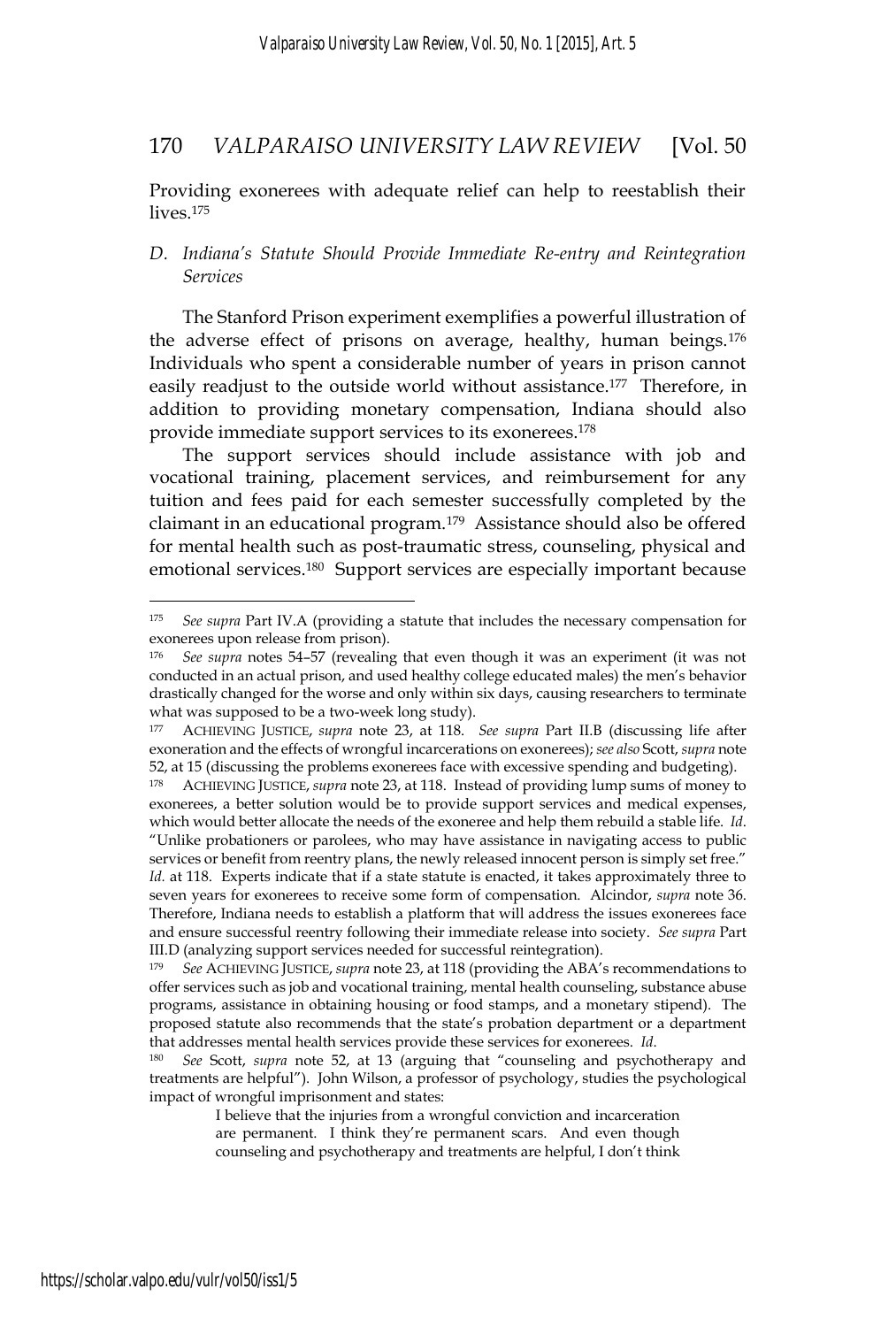Providing exonerees with adequate relief can help to reestablish their lives.175

### *D. Indiana's Statute Should Provide Immediate Re-entry and Reintegration Services*

The Stanford Prison experiment exemplifies a powerful illustration of the adverse effect of prisons on average, healthy, human beings.176 Individuals who spent a considerable number of years in prison cannot easily readjust to the outside world without assistance.177 Therefore, in addition to providing monetary compensation, Indiana should also provide immediate support services to its exonerees.178

The support services should include assistance with job and vocational training, placement services, and reimbursement for any tuition and fees paid for each semester successfully completed by the claimant in an educational program.179 Assistance should also be offered for mental health such as post-traumatic stress, counseling, physical and emotional services.180 Support services are especially important because

III.D (analyzing support services needed for successful reintegration).

<sup>175</sup> *See supra* Part IV.A (providing a statute that includes the necessary compensation for exonerees upon release from prison).

<sup>176</sup> *See supra* notes 54–57 (revealing that even though it was an experiment (it was not conducted in an actual prison, and used healthy college educated males) the men's behavior drastically changed for the worse and only within six days, causing researchers to terminate what was supposed to be a two-week long study).

<sup>177</sup> ACHIEVING JUSTICE, *supra* note 23, at 118. *See supra* Part II.B (discussing life after exoneration and the effects of wrongful incarcerations on exonerees); *see also* Scott, *supra* note 52, at 15 (discussing the problems exonerees face with excessive spending and budgeting).

<sup>178</sup> ACHIEVING JUSTICE, *supra* note 23, at 118. Instead of providing lump sums of money to exonerees, a better solution would be to provide support services and medical expenses, which would better allocate the needs of the exoneree and help them rebuild a stable life. *Id*. "Unlike probationers or parolees, who may have assistance in navigating access to public services or benefit from reentry plans, the newly released innocent person is simply set free." *Id.* at 118. Experts indicate that if a state statute is enacted, it takes approximately three to seven years for exonerees to receive some form of compensation. Alcindor, *supra* note 36. Therefore, Indiana needs to establish a platform that will address the issues exonerees face and ensure successful reentry following their immediate release into society. *See supra* Part

<sup>179</sup> *See* ACHIEVING JUSTICE, *supra* note 23, at 118 (providing the ABA's recommendations to offer services such as job and vocational training, mental health counseling, substance abuse programs, assistance in obtaining housing or food stamps, and a monetary stipend). The proposed statute also recommends that the state's probation department or a department that addresses mental health services provide these services for exonerees. *Id*. 180 *See* Scott, *supra* note 52, at 13 (arguing that "counseling and psychotherapy and

treatments are helpful"). John Wilson, a professor of psychology, studies the psychological impact of wrongful imprisonment and states:

I believe that the injuries from a wrongful conviction and incarceration are permanent. I think they're permanent scars. And even though counseling and psychotherapy and treatments are helpful, I don't think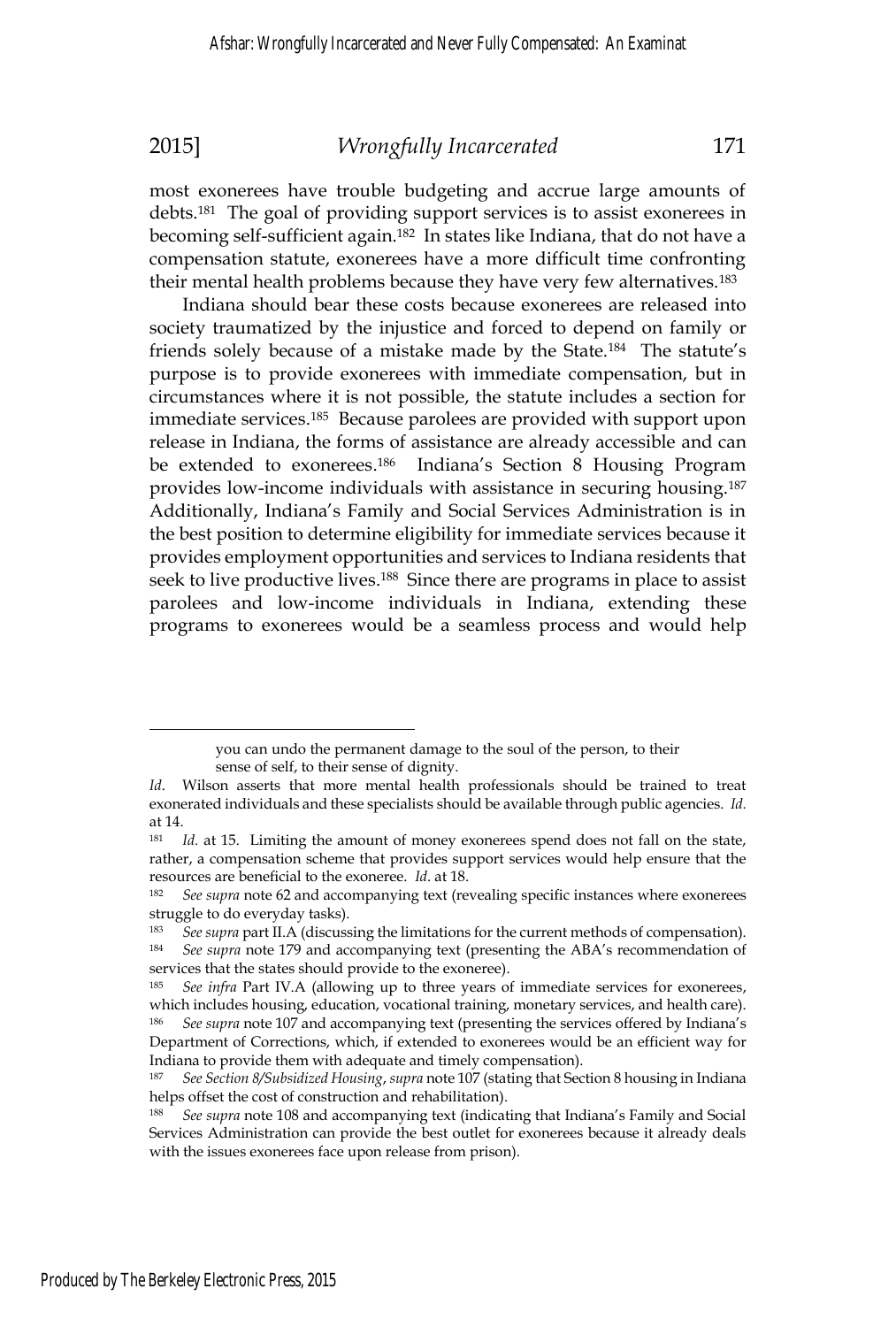most exonerees have trouble budgeting and accrue large amounts of debts.181 The goal of providing support services is to assist exonerees in becoming self-sufficient again.182 In states like Indiana, that do not have a compensation statute, exonerees have a more difficult time confronting their mental health problems because they have very few alternatives.183

Indiana should bear these costs because exonerees are released into society traumatized by the injustice and forced to depend on family or friends solely because of a mistake made by the State.<sup>184</sup> The statute's purpose is to provide exonerees with immediate compensation, but in circumstances where it is not possible, the statute includes a section for immediate services.185 Because parolees are provided with support upon release in Indiana, the forms of assistance are already accessible and can be extended to exonerees.186 Indiana's Section 8 Housing Program provides low-income individuals with assistance in securing housing.187 Additionally, Indiana's Family and Social Services Administration is in the best position to determine eligibility for immediate services because it provides employment opportunities and services to Indiana residents that seek to live productive lives.<sup>188</sup> Since there are programs in place to assist parolees and low-income individuals in Indiana, extending these programs to exonerees would be a seamless process and would help

you can undo the permanent damage to the soul of the person, to their sense of self, to their sense of dignity.

*Id*. Wilson asserts that more mental health professionals should be trained to treat exonerated individuals and these specialists should be available through public agencies. *Id.* at 14.

<sup>&</sup>lt;sup>181</sup> *Id.* at 15. Limiting the amount of money exonerees spend does not fall on the state, rather, a compensation scheme that provides support services would help ensure that the resources are beneficial to the exoneree. *Id*. at 18. 182 *See supra* note 62 and accompanying text (revealing specific instances where exonerees

struggle to do everyday tasks).<br><sup>183</sup> See sung part II A (discuss)

<sup>183</sup> *See supra* part II.A (discussing the limitations for the current methods of compensation). 184 *See supra* note 179 and accompanying text (presenting the ABA's recommendation of services that the states should provide to the exoneree).

<sup>185</sup> *See infra* Part IV.A (allowing up to three years of immediate services for exonerees, which includes housing, education, vocational training, monetary services, and health care).

<sup>186</sup> *See supra* note 107 and accompanying text (presenting the services offered by Indiana's Department of Corrections, which, if extended to exonerees would be an efficient way for Indiana to provide them with adequate and timely compensation).

<sup>187</sup> *See Section 8/Subsidized Housing*, *supra* note 107 (stating that Section 8 housing in Indiana helps offset the cost of construction and rehabilitation).

<sup>188</sup> *See supra* note 108 and accompanying text (indicating that Indiana's Family and Social Services Administration can provide the best outlet for exonerees because it already deals with the issues exonerees face upon release from prison).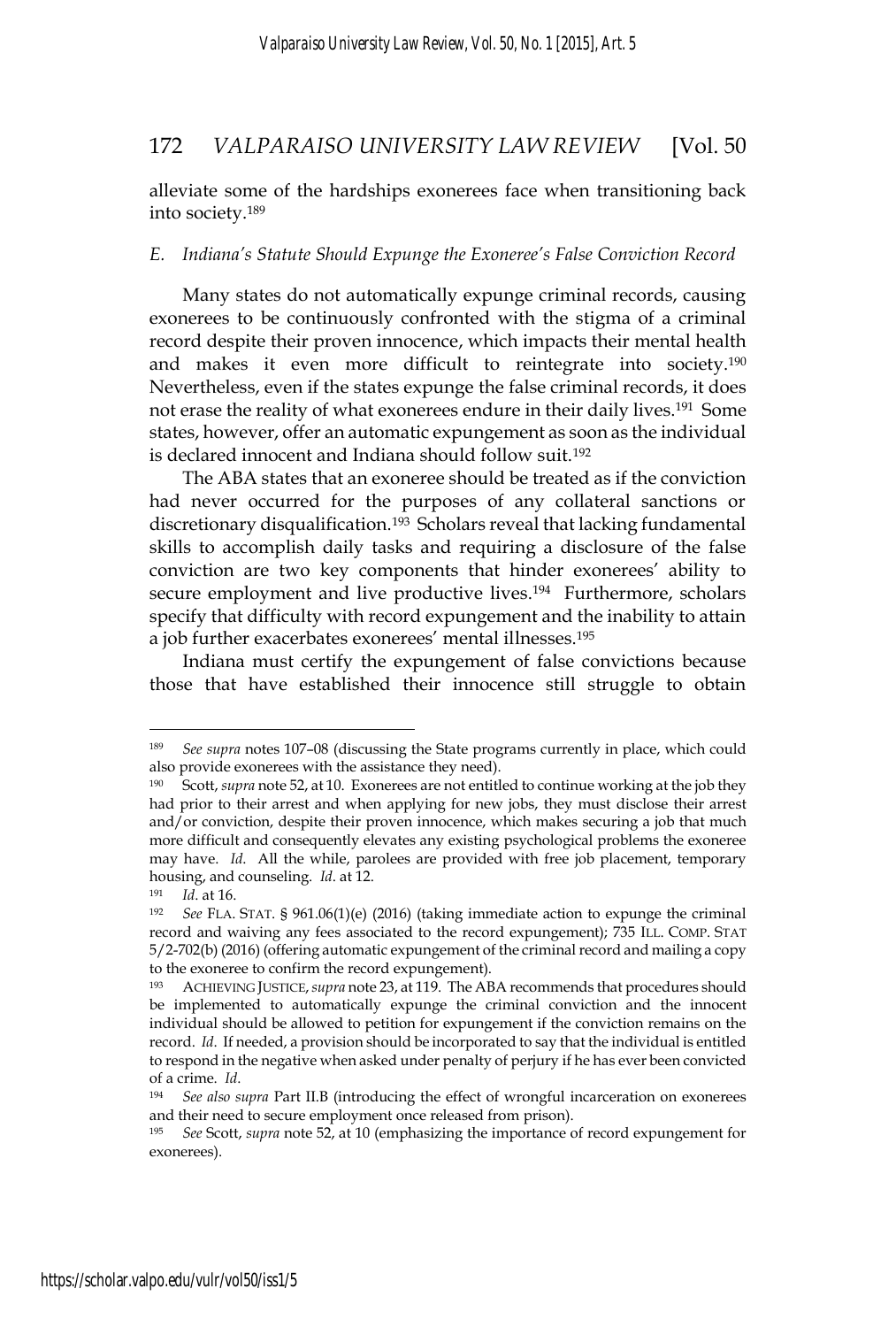alleviate some of the hardships exonerees face when transitioning back into society.189

### *E. Indiana's Statute Should Expunge the Exoneree's False Conviction Record*

Many states do not automatically expunge criminal records, causing exonerees to be continuously confronted with the stigma of a criminal record despite their proven innocence, which impacts their mental health and makes it even more difficult to reintegrate into society.190 Nevertheless, even if the states expunge the false criminal records, it does not erase the reality of what exonerees endure in their daily lives.<sup>191</sup> Some states, however, offer an automatic expungement as soon as the individual is declared innocent and Indiana should follow suit.192

The ABA states that an exoneree should be treated as if the conviction had never occurred for the purposes of any collateral sanctions or discretionary disqualification.193 Scholars reveal that lacking fundamental skills to accomplish daily tasks and requiring a disclosure of the false conviction are two key components that hinder exonerees' ability to secure employment and live productive lives.<sup>194</sup> Furthermore, scholars specify that difficulty with record expungement and the inability to attain a job further exacerbates exonerees' mental illnesses.195

Indiana must certify the expungement of false convictions because those that have established their innocence still struggle to obtain

<sup>189</sup> *See supra* notes 107–08 (discussing the State programs currently in place, which could also provide exonerees with the assistance they need).

<sup>190</sup> Scott, *supra* note 52, at 10. Exonerees are not entitled to continue working at the job they had prior to their arrest and when applying for new jobs, they must disclose their arrest and/or conviction, despite their proven innocence, which makes securing a job that much more difficult and consequently elevates any existing psychological problems the exoneree may have. *Id*. All the while, parolees are provided with free job placement, temporary housing, and counseling. *Id.* at 12. 191 *Id.* at 16. 191 *Id.* at 16. 191 *Id.* at 16. 192 *See* FLA. STAT. § 961.06(1)(e) (2016) (taking immediate action to expunge the criminal

record and waiving any fees associated to the record expungement); 735 ILL. COMP. STAT 5/2-702(b) (2016) (offering automatic expungement of the criminal record and mailing a copy to the exoneree to confirm the record expungement).

<sup>193</sup> ACHIEVING JUSTICE,*supra* note 23, at 119. The ABA recommends that procedures should be implemented to automatically expunge the criminal conviction and the innocent individual should be allowed to petition for expungement if the conviction remains on the record. *Id*. If needed, a provision should be incorporated to say that the individual is entitled to respond in the negative when asked under penalty of perjury if he has ever been convicted of a crime. *Id*. 194 *See also supra* Part II.B (introducing the effect of wrongful incarceration on exonerees

and their need to secure employment once released from prison).

<sup>195</sup> *See* Scott, *supra* note 52, at 10 (emphasizing the importance of record expungement for exonerees).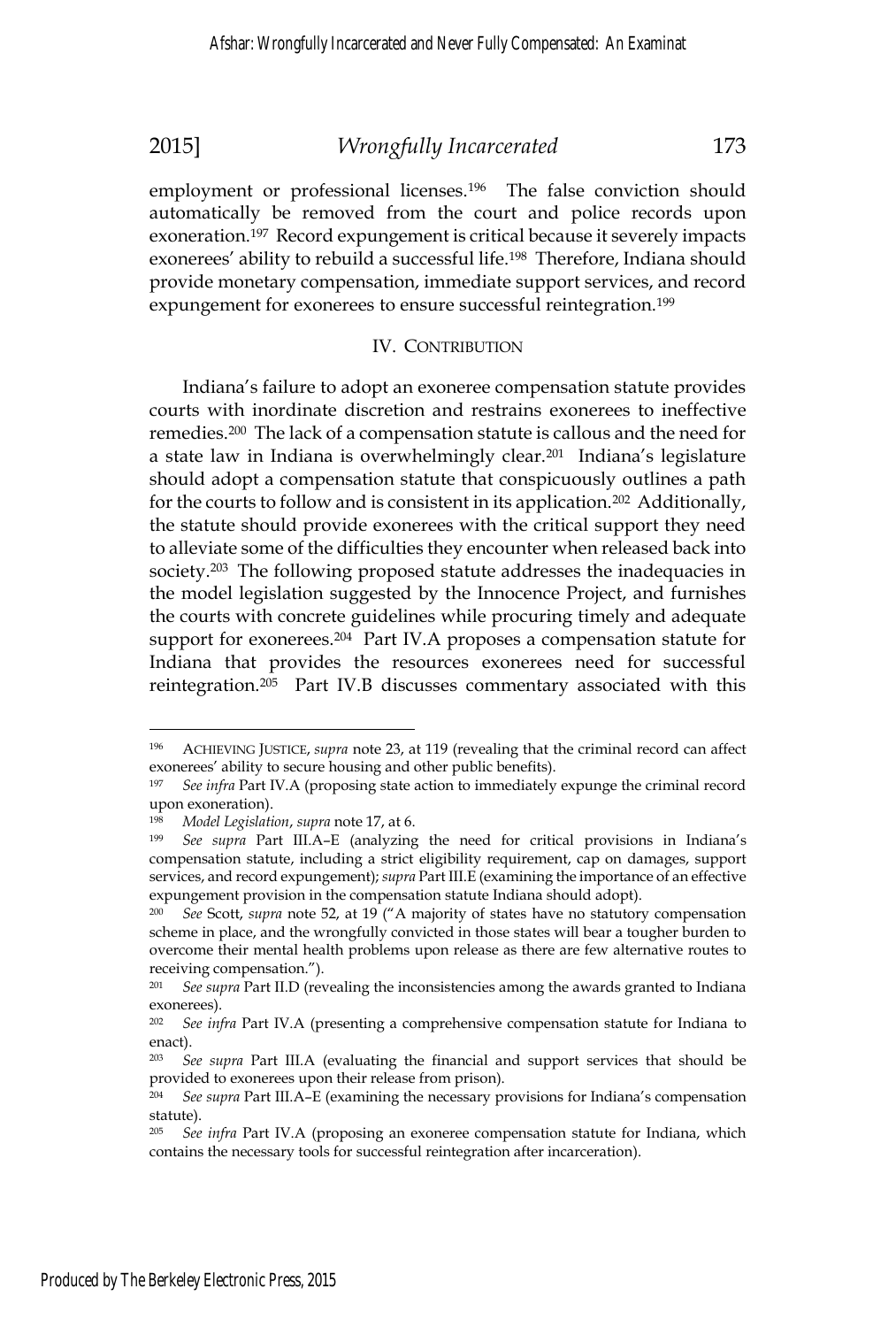employment or professional licenses.<sup>196</sup> The false conviction should automatically be removed from the court and police records upon exoneration.<sup>197</sup> Record expungement is critical because it severely impacts exonerees' ability to rebuild a successful life.198 Therefore, Indiana should provide monetary compensation, immediate support services, and record expungement for exonerees to ensure successful reintegration.<sup>199</sup>

### IV. CONTRIBUTION

Indiana's failure to adopt an exoneree compensation statute provides courts with inordinate discretion and restrains exonerees to ineffective remedies.200 The lack of a compensation statute is callous and the need for a state law in Indiana is overwhelmingly clear.<sup>201</sup> Indiana's legislature should adopt a compensation statute that conspicuously outlines a path for the courts to follow and is consistent in its application.<sup>202</sup> Additionally, the statute should provide exonerees with the critical support they need to alleviate some of the difficulties they encounter when released back into society.<sup>203</sup> The following proposed statute addresses the inadequacies in the model legislation suggested by the Innocence Project, and furnishes the courts with concrete guidelines while procuring timely and adequate support for exonerees.<sup>204</sup> Part IV.A proposes a compensation statute for Indiana that provides the resources exonerees need for successful reintegration.205 Part IV.B discusses commentary associated with this

<sup>196</sup> ACHIEVING JUSTICE, *supra* note 23, at 119 (revealing that the criminal record can affect exonerees' ability to secure housing and other public benefits).

<sup>197</sup> *See infra* Part IV.A (proposing state action to immediately expunge the criminal record upon exoneration).

<sup>&</sup>lt;sup>198</sup> *Model Legislation, supra* note 17, at 6.<br><sup>199</sup> *See supra* Part III.A–E (analyzing the need for critical provisions in Indiana's compensation statute, including a strict eligibility requirement, cap on damages, support services, and record expungement); *supra* Part III.E (examining the importance of an effective expungement provision in the compensation statute Indiana should adopt).

<sup>200</sup> *See* Scott, *supra* note 52, at 19 ("A majority of states have no statutory compensation scheme in place, and the wrongfully convicted in those states will bear a tougher burden to overcome their mental health problems upon release as there are few alternative routes to receiving compensation.").

<sup>201</sup> *See supra* Part II.D (revealing the inconsistencies among the awards granted to Indiana exonerees).

<sup>202</sup> *See infra* Part IV.A (presenting a comprehensive compensation statute for Indiana to enact).

<sup>203</sup> *See supra* Part III.A (evaluating the financial and support services that should be provided to exonerees upon their release from prison).

<sup>204</sup> *See supra* Part III.A–E (examining the necessary provisions for Indiana's compensation statute).

<sup>205</sup> *See infra* Part IV.A (proposing an exoneree compensation statute for Indiana, which contains the necessary tools for successful reintegration after incarceration).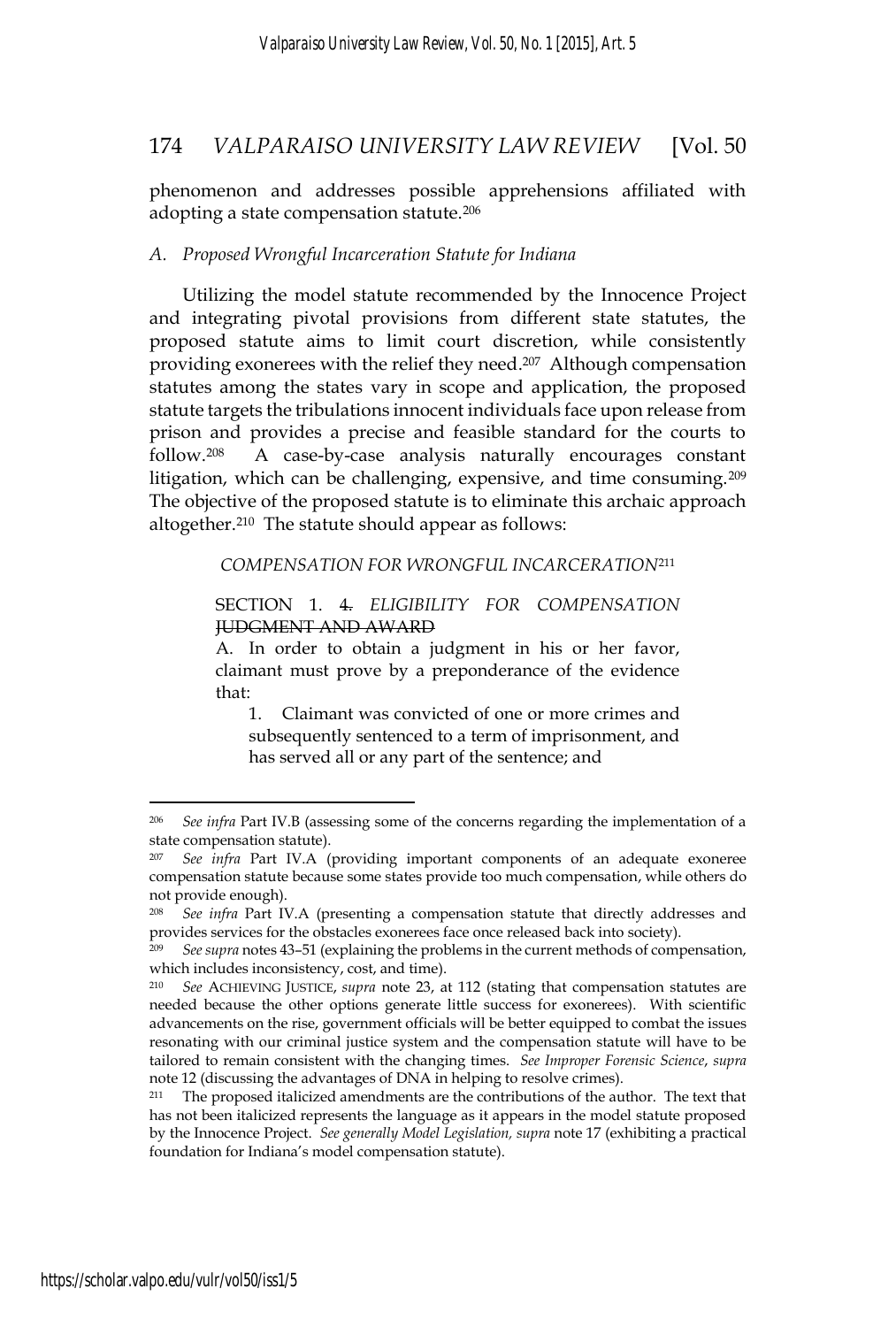phenomenon and addresses possible apprehensions affiliated with adopting a state compensation statute.<sup>206</sup>

### *A. Proposed Wrongful Incarceration Statute for Indiana*

Utilizing the model statute recommended by the Innocence Project and integrating pivotal provisions from different state statutes, the proposed statute aims to limit court discretion, while consistently providing exonerees with the relief they need.207 Although compensation statutes among the states vary in scope and application, the proposed statute targets the tribulations innocent individuals face upon release from prison and provides a precise and feasible standard for the courts to follow.208 A case-by-case analysis naturally encourages constant litigation, which can be challenging, expensive, and time consuming.209 The objective of the proposed statute is to eliminate this archaic approach altogether.210 The statute should appear as follows:

*COMPENSATION FOR WRONGFUL INCARCERATION*<sup>211</sup>

SECTION 1. 4. *ELIGIBILITY FOR COMPENSATION* JUDGMENT AND AWARD

A. In order to obtain a judgment in his or her favor, claimant must prove by a preponderance of the evidence that:

1. Claimant was convicted of one or more crimes and subsequently sentenced to a term of imprisonment, and has served all or any part of the sentence; and

<sup>206</sup> *See infra* Part IV.B (assessing some of the concerns regarding the implementation of a state compensation statute).

See infra Part IV.A (providing important components of an adequate exoneree compensation statute because some states provide too much compensation, while others do not provide enough).

<sup>208</sup>*See infra* Part IV.A (presenting a compensation statute that directly addresses and provides services for the obstacles exonerees face once released back into society).

<sup>209</sup> *See supra* notes 43–51 (explaining the problems in the current methods of compensation, which includes inconsistency, cost, and time).

<sup>210</sup> *See* ACHIEVING JUSTICE, *supra* note 23, at 112 (stating that compensation statutes are needed because the other options generate little success for exonerees). With scientific advancements on the rise, government officials will be better equipped to combat the issues resonating with our criminal justice system and the compensation statute will have to be tailored to remain consistent with the changing times. *See Improper Forensic Science*, *supra* note 12 (discussing the advantages of DNA in helping to resolve crimes).

<sup>211</sup> The proposed italicized amendments are the contributions of the author. The text that has not been italicized represents the language as it appears in the model statute proposed by the Innocence Project. *See generally Model Legislation, supra* note 17 (exhibiting a practical foundation for Indiana's model compensation statute).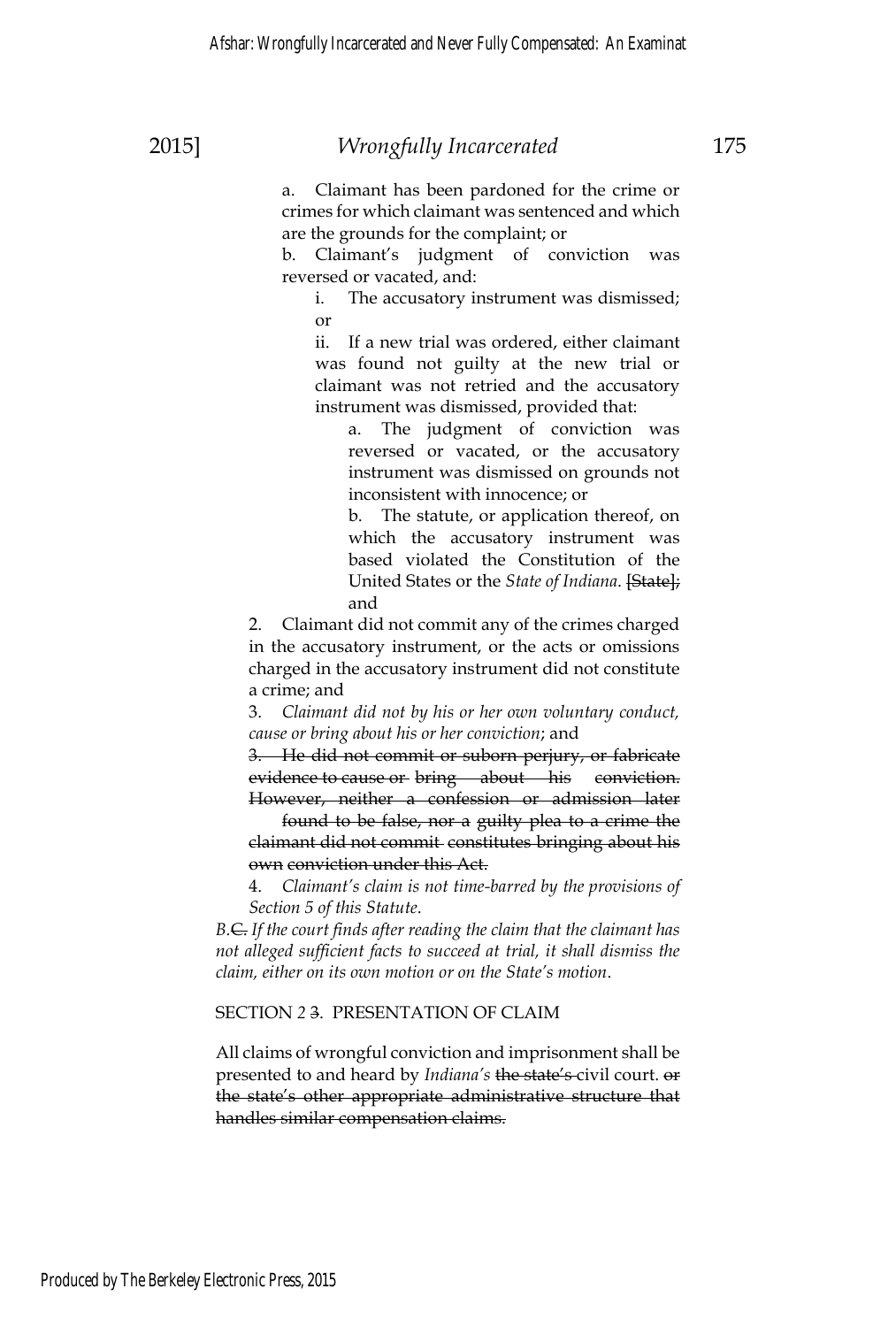a. Claimant has been pardoned for the crime or crimes for which claimant was sentenced and which are the grounds for the complaint; or

b. Claimant's judgment of conviction was reversed or vacated, and:

i. The accusatory instrument was dismissed; or

ii. If a new trial was ordered, either claimant was found not guilty at the new trial or claimant was not retried and the accusatory instrument was dismissed, provided that:

a. The judgment of conviction was reversed or vacated, or the accusatory instrument was dismissed on grounds not inconsistent with innocence; or

b. The statute, or application thereof, on which the accusatory instrument was based violated the Constitution of the United States or the *State of Indiana*. [State]; and

2. Claimant did not commit any of the crimes charged in the accusatory instrument, or the acts or omissions charged in the accusatory instrument did not constitute a crime; and

3. *Claimant did not by his or her own voluntary conduct, cause or bring about his or her conviction*; and

3. He did not commit or suborn perjury, or fabricate evidence to cause or bring about his conviction. However, neither a confession or admission later

 found to be false, nor a guilty plea to a crime the claimant did not commit constitutes bringing about his own conviction under this Act.

4. *Claimant's claim is not time-barred by the provisions of Section 5 of this Statute*.

*B.*C. *If the court finds after reading the claim that the claimant has not alleged sufficient facts to succeed at trial, it shall dismiss the claim, either on its own motion or on the State's motion*.

### SECTION *2* 3. PRESENTATION OF CLAIM

All claims of wrongful conviction and imprisonment shall be presented to and heard by *Indiana's* the state's civil court. or the state's other appropriate administrative structure that handles similar compensation claims.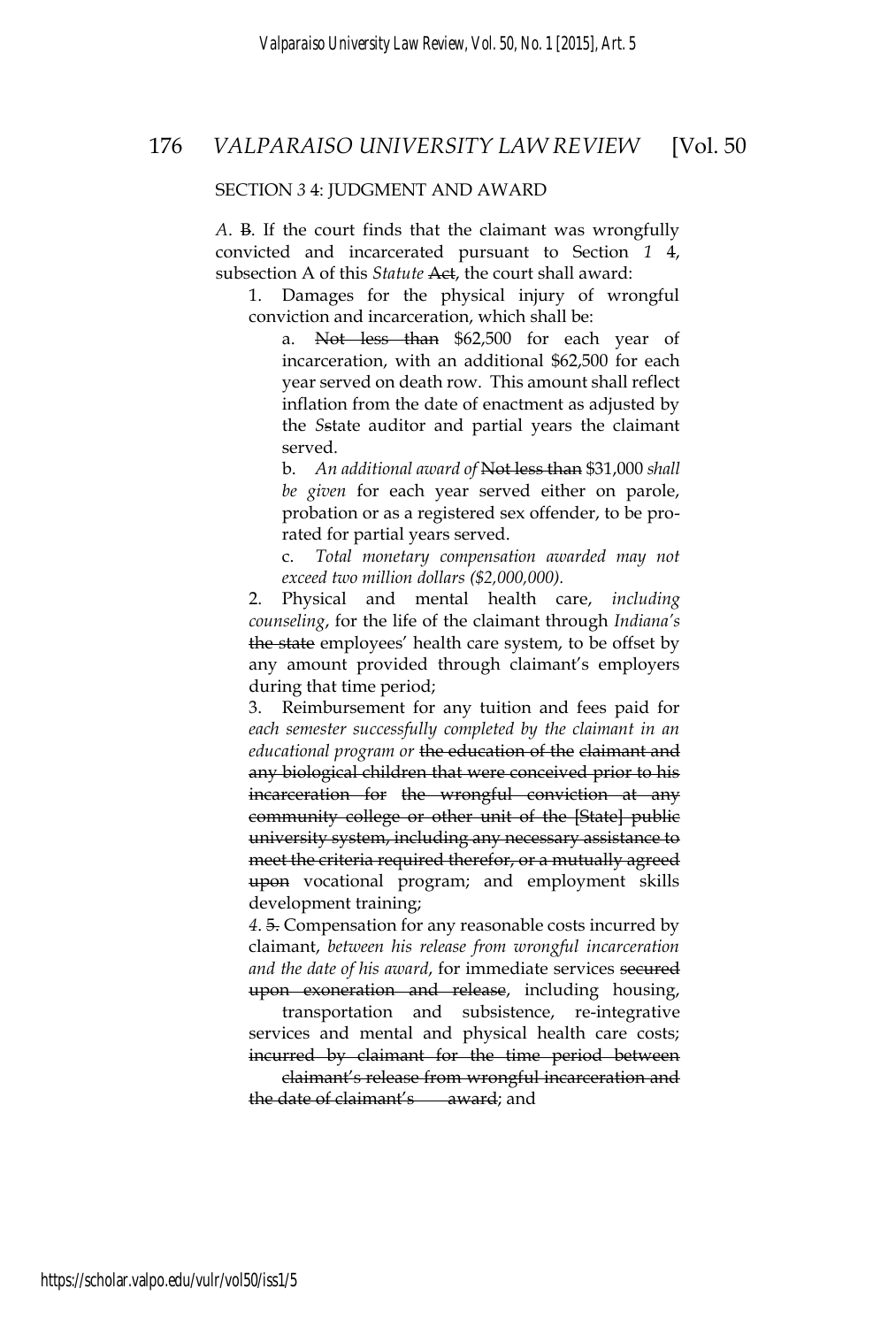#### SECTION *3* 4: JUDGMENT AND AWARD

*A*. B. If the court finds that the claimant was wrongfully convicted and incarcerated pursuant to Section *1* 4, subsection A of this *Statute* Act, the court shall award:

1. Damages for the physical injury of wrongful conviction and incarceration, which shall be:

Not less than \$62,500 for each year of incarceration, with an additional \$62,500 for each year served on death row. This amount shall reflect inflation from the date of enactment as adjusted by the *S*state auditor and partial years the claimant served.

b. *An additional award of* Not less than \$31,000 *shall be given* for each year served either on parole, probation or as a registered sex offender, to be prorated for partial years served.

c. *Total monetary compensation awarded may not exceed two million dollars (\$2,000,000).*

2. Physical and mental health care, *including counseling*, for the life of the claimant through *Indiana's* the state employees' health care system, to be offset by any amount provided through claimant's employers during that time period;

3. Reimbursement for any tuition and fees paid for *each semester successfully completed by the claimant in an educational program or* the education of the claimant and any biological children that were conceived prior to his incarceration for the wrongful conviction at any community college or other unit of the [State] public university system, including any necessary assistance to meet the criteria required therefor, or a mutually agreed upon vocational program; and employment skills development training;

*4*. 5. Compensation for any reasonable costs incurred by claimant, *between his release from wrongful incarceration and the date of his award*, for immediate services secured

upon exoneration and release, including housing, transportation and subsistence, re-integrative services and mental and physical health care costs; incurred by claimant for the time period between

 claimant's release from wrongful incarceration and the date of claimant's award; and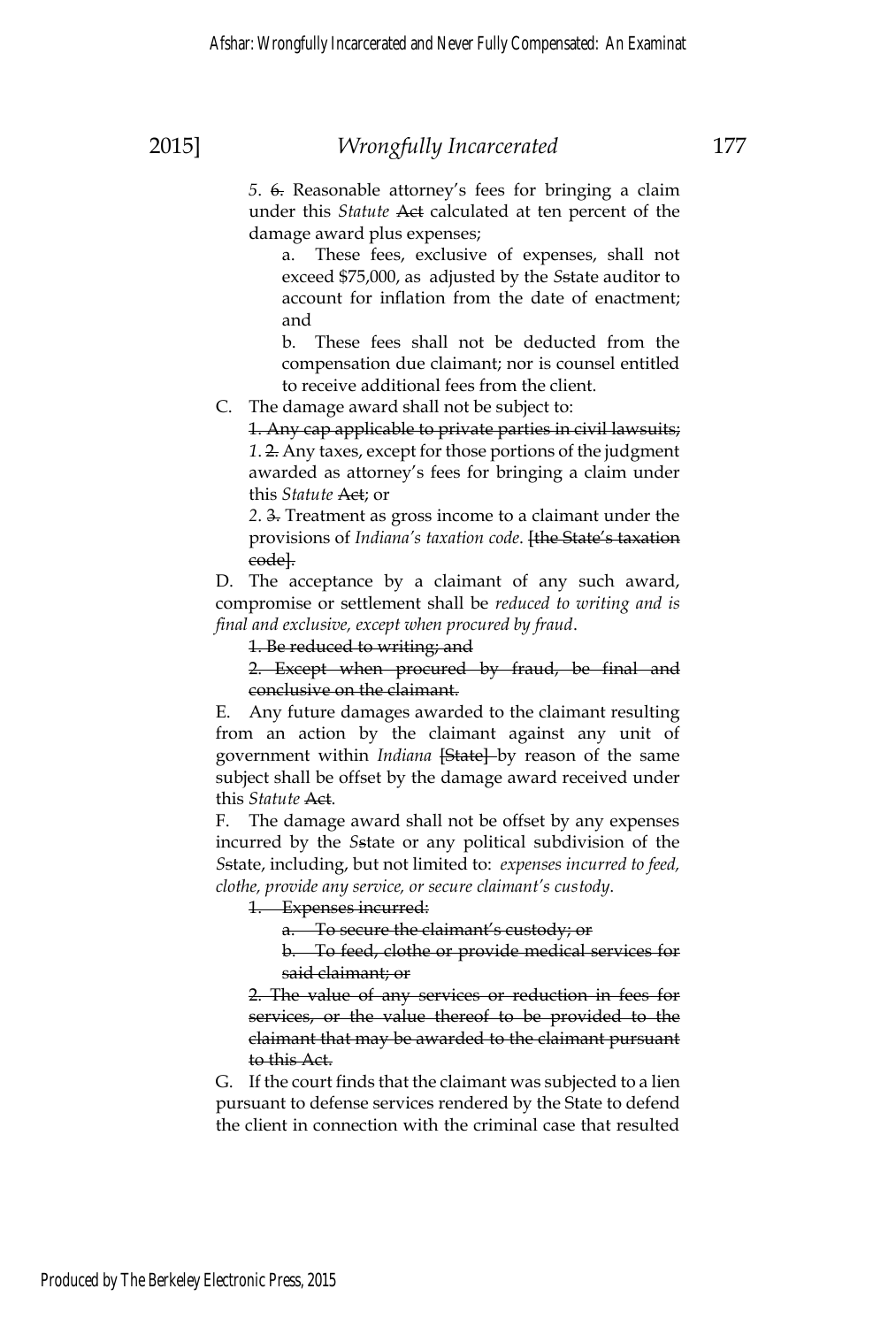damage award plus expenses; a. These fees, exclusive of expenses, shall not exceed \$75,000, as adjusted by the *S*state auditor to account for inflation from the date of enactment; and

b. These fees shall not be deducted from the compensation due claimant; nor is counsel entitled to receive additional fees from the client.

C. The damage award shall not be subject to:

1. Any cap applicable to private parties in civil lawsuits; *1*. 2. Any taxes, except for those portions of the judgment awarded as attorney's fees for bringing a claim under this *Statute* Act; or

*2*. 3. Treatment as gross income to a claimant under the provisions of *Indiana's taxation code*. **[the State's taxation** code].

D. The acceptance by a claimant of any such award, compromise or settlement shall be *reduced to writing and is final and exclusive, except when procured by fraud*.

1. Be reduced to writing; and

2. Except when procured by fraud, be final and conclusive on the claimant.

E. Any future damages awarded to the claimant resulting from an action by the claimant against any unit of government within *Indiana* [State] by reason of the same subject shall be offset by the damage award received under this *Statute* Act.

F. The damage award shall not be offset by any expenses incurred by the *S*state or any political subdivision of the *S*state, including, but not limited to: *expenses incurred to feed, clothe, provide any service, or secure claimant's custody*.

1. Expenses incurred:

a. To secure the claimant's custody; or

b. To feed, clothe or provide medical services for said claimant; or

2. The value of any services or reduction in fees for services, or the value thereof to be provided to the claimant that may be awarded to the claimant pursuant to this Act.

G. If the court finds that the claimant was subjected to a lien pursuant to defense services rendered by the State to defend the client in connection with the criminal case that resulted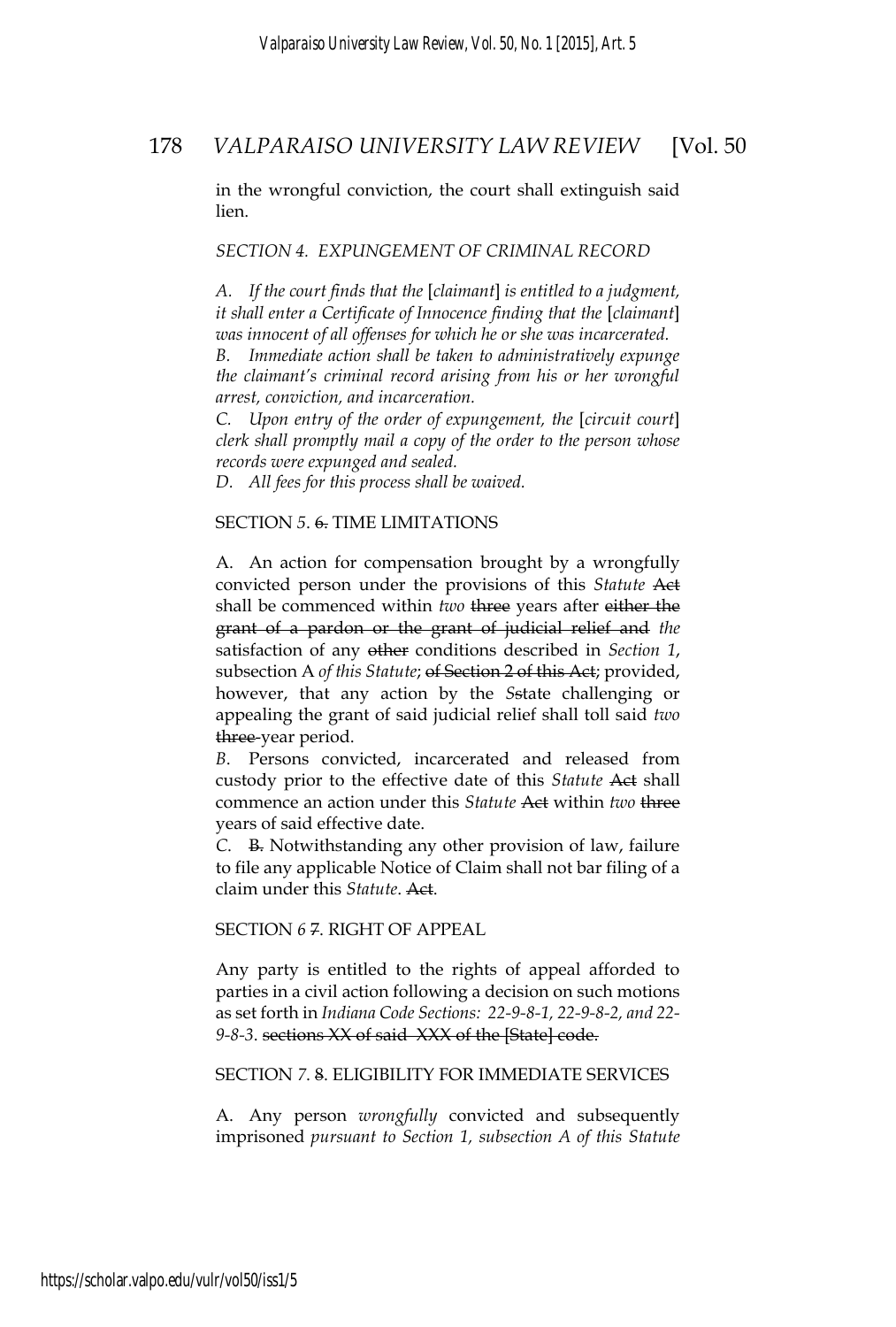in the wrongful conviction, the court shall extinguish said lien.

#### *SECTION 4. EXPUNGEMENT OF CRIMINAL RECORD*

*A. If the court finds that the* [*claimant*] *is entitled to a judgment, it shall enter a Certificate of Innocence finding that the* [*claimant*] *was innocent of all offenses for which he or she was incarcerated.* 

*B. Immediate action shall be taken to administratively expunge the claimant's criminal record arising from his or her wrongful arrest, conviction, and incarceration.* 

*C. Upon entry of the order of expungement, the* [*circuit court*] *clerk shall promptly mail a copy of the order to the person whose records were expunged and sealed.* 

*D. All fees for this process shall be waived.* 

### SECTION *5*. 6. TIME LIMITATIONS

A. An action for compensation brought by a wrongfully convicted person under the provisions of this *Statute* Act shall be commenced within *two* three years after either the grant of a pardon or the grant of judicial relief and *the* satisfaction of any other conditions described in *Section 1*, subsection A *of this Statute*; of Section 2 of this Act; provided, however, that any action by the *S*state challenging or appealing the grant of said judicial relief shall toll said *two* three-year period.

*B*. Persons convicted, incarcerated and released from custody prior to the effective date of this *Statute* Act shall commence an action under this *Statute* Act within *two* three years of said effective date.

*C*. B. Notwithstanding any other provision of law, failure to file any applicable Notice of Claim shall not bar filing of a claim under this *Statute*. Act.

SECTION *6* 7. RIGHT OF APPEAL

Any party is entitled to the rights of appeal afforded to parties in a civil action following a decision on such motions as set forth in *Indiana Code Sections: 22-9-8-1, 22-9-8-2, and 22- 9-8-3*. sections XX of said XXX of the [State] code.

### SECTION *7*. 8. ELIGIBILITY FOR IMMEDIATE SERVICES

A. Any person *wrongfully* convicted and subsequently imprisoned *pursuant to Section 1, subsection A of this Statute*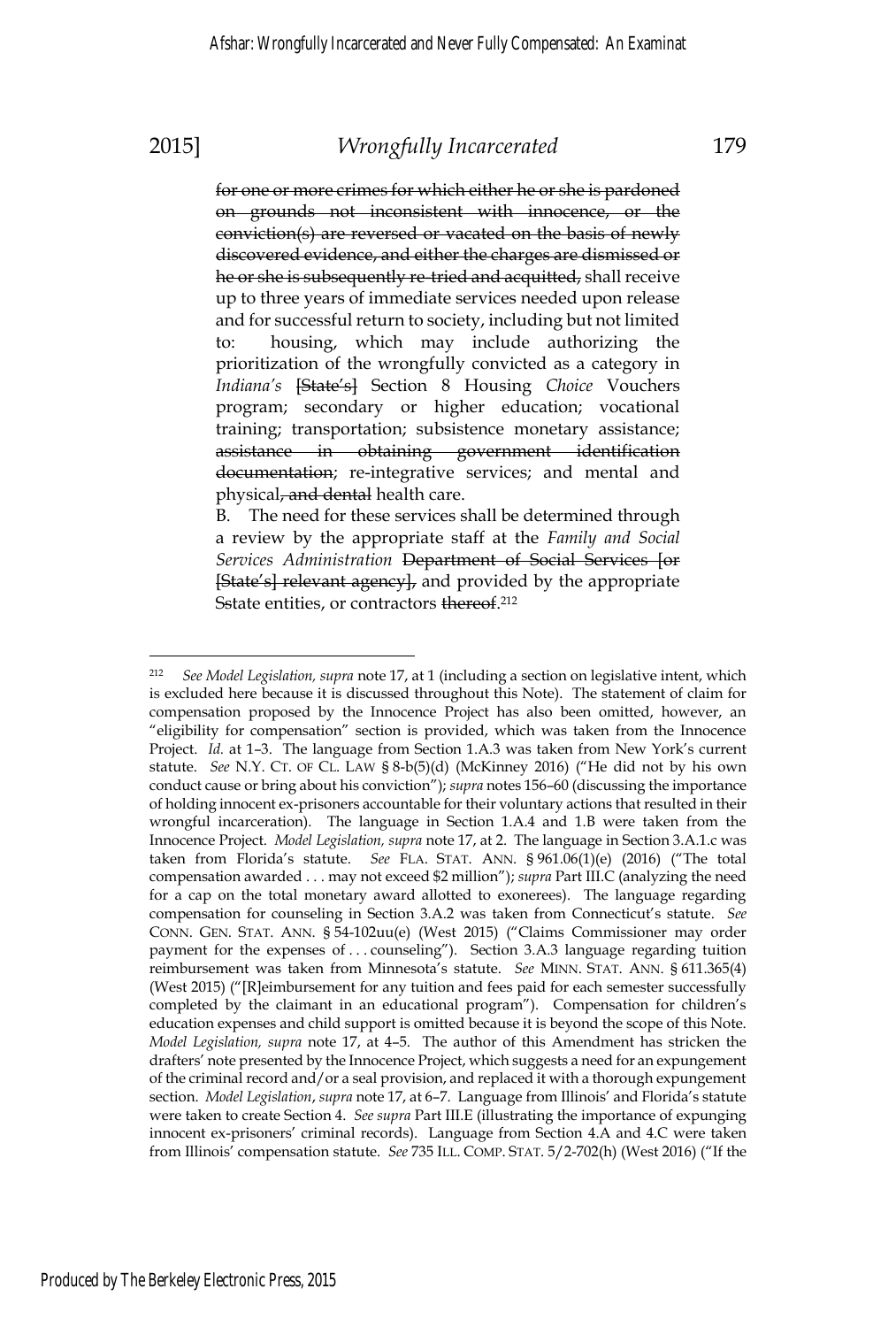$\overline{a}$ 

### 2015] *Wrongfully Incarcerated* 179

for one or more crimes for which either he or she is pardoned on grounds not inconsistent with innocence, or the conviction(s) are reversed or vacated on the basis of newly discovered evidence, and either the charges are dismissed or he or she is subsequently re-tried and acquitted, shall receive up to three years of immediate services needed upon release and for successful return to society, including but not limited to: housing, which may include authorizing the prioritization of the wrongfully convicted as a category in *Indiana's* [State's] Section 8 Housing *Choice* Vouchers program; secondary or higher education; vocational training; transportation; subsistence monetary assistance; assistance in obtaining government identification

documentation; re-integrative services; and mental and physical, and dental health care. The need for these services shall be determined through

a review by the appropriate staff at the *Family and Social Services Administration* Department of Social Services [or [State's] relevant agency], and provided by the appropriate Sstate entities, or contractors thereof.<sup>212</sup>

<sup>212</sup> *See Model Legislation, supra* note 17, at 1 (including a section on legislative intent, which is excluded here because it is discussed throughout this Note). The statement of claim for compensation proposed by the Innocence Project has also been omitted, however, an "eligibility for compensation" section is provided, which was taken from the Innocence Project. *Id.* at 1–3. The language from Section 1.A.3 was taken from New York's current statute. *See* N.Y. CT. OF CL. LAW § 8-b(5)(d) (McKinney 2016) ("He did not by his own conduct cause or bring about his conviction"); *supra* notes 156–60 (discussing the importance of holding innocent ex-prisoners accountable for their voluntary actions that resulted in their wrongful incarceration). The language in Section 1.A.4 and 1.B were taken from the Innocence Project. *Model Legislation, supra* note 17, at 2. The language in Section 3.A.1.c was taken from Florida's statute. *See* FLA. STAT. ANN. § 961.06(1)(e) (2016) ("The total compensation awarded . . . may not exceed \$2 million"); *supra* Part III.C (analyzing the need for a cap on the total monetary award allotted to exonerees). The language regarding compensation for counseling in Section 3.A.2 was taken from Connecticut's statute. *See* CONN. GEN. STAT. ANN. § 54-102uu(e) (West 2015) ("Claims Commissioner may order payment for the expenses of . . . counseling"). Section 3.A.3 language regarding tuition reimbursement was taken from Minnesota's statute. *See* MINN. STAT. ANN. § 611.365(4) (West 2015) ("[R]eimbursement for any tuition and fees paid for each semester successfully completed by the claimant in an educational program"). Compensation for children's education expenses and child support is omitted because it is beyond the scope of this Note. *Model Legislation, supra* note 17, at 4–5. The author of this Amendment has stricken the drafters' note presented by the Innocence Project, which suggests a need for an expungement of the criminal record and/or a seal provision, and replaced it with a thorough expungement section. *Model Legislation*, *supra* note 17, at 6–7. Language from Illinois' and Florida's statute were taken to create Section 4. *See supra* Part III.E (illustrating the importance of expunging innocent ex-prisoners' criminal records). Language from Section 4.A and 4.C were taken from Illinois' compensation statute. *See* 735 ILL. COMP. STAT. 5/2-702(h) (West 2016) ("If the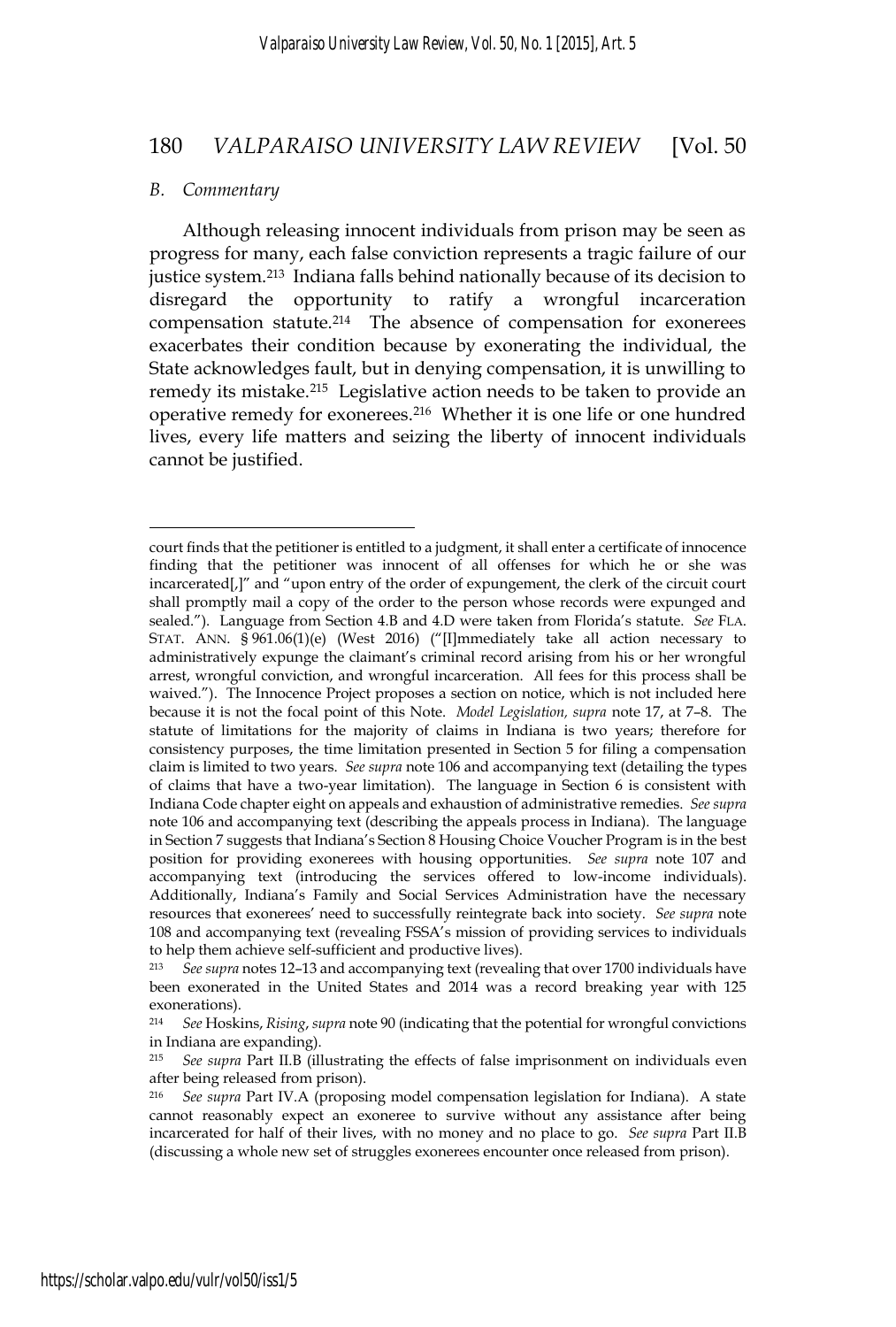#### *B. Commentary*

 $\overline{a}$ 

Although releasing innocent individuals from prison may be seen as progress for many, each false conviction represents a tragic failure of our justice system.213 Indiana falls behind nationally because of its decision to disregard the opportunity to ratify a wrongful incarceration compensation statute.214 The absence of compensation for exonerees exacerbates their condition because by exonerating the individual, the State acknowledges fault, but in denying compensation, it is unwilling to remedy its mistake.215 Legislative action needs to be taken to provide an operative remedy for exonerees.216 Whether it is one life or one hundred lives, every life matters and seizing the liberty of innocent individuals cannot be justified.

court finds that the petitioner is entitled to a judgment, it shall enter a certificate of innocence finding that the petitioner was innocent of all offenses for which he or she was incarcerated[,]" and "upon entry of the order of expungement, the clerk of the circuit court shall promptly mail a copy of the order to the person whose records were expunged and sealed."). Language from Section 4.B and 4.D were taken from Florida's statute. *See* FLA. STAT. ANN. § 961.06(1)(e) (West 2016) ("[I]mmediately take all action necessary to administratively expunge the claimant's criminal record arising from his or her wrongful arrest, wrongful conviction, and wrongful incarceration. All fees for this process shall be waived."). The Innocence Project proposes a section on notice, which is not included here because it is not the focal point of this Note. *Model Legislation, supra* note 17, at 7–8. The statute of limitations for the majority of claims in Indiana is two years; therefore for consistency purposes, the time limitation presented in Section 5 for filing a compensation claim is limited to two years. *See supra* note 106 and accompanying text (detailing the types of claims that have a two-year limitation). The language in Section 6 is consistent with Indiana Code chapter eight on appeals and exhaustion of administrative remedies. *See supra* note 106 and accompanying text (describing the appeals process in Indiana). The language in Section 7 suggests that Indiana's Section 8 Housing Choice Voucher Program is in the best position for providing exonerees with housing opportunities. *See supra* note 107 and accompanying text (introducing the services offered to low-income individuals). Additionally, Indiana's Family and Social Services Administration have the necessary resources that exonerees' need to successfully reintegrate back into society. *See supra* note 108 and accompanying text (revealing FSSA's mission of providing services to individuals to help them achieve self-sufficient and productive lives).

<sup>213</sup>*See supra* notes 12–13 and accompanying text (revealing that over 1700 individuals have been exonerated in the United States and 2014 was a record breaking year with 125 exonerations).

<sup>214</sup> *See* Hoskins, *Rising*, *supra* note 90 (indicating that the potential for wrongful convictions in Indiana are expanding).

<sup>215</sup> *See supra* Part II.B (illustrating the effects of false imprisonment on individuals even after being released from prison).

<sup>216</sup> *See supra* Part IV.A (proposing model compensation legislation for Indiana). A state cannot reasonably expect an exoneree to survive without any assistance after being incarcerated for half of their lives, with no money and no place to go. *See supra* Part II.B (discussing a whole new set of struggles exonerees encounter once released from prison).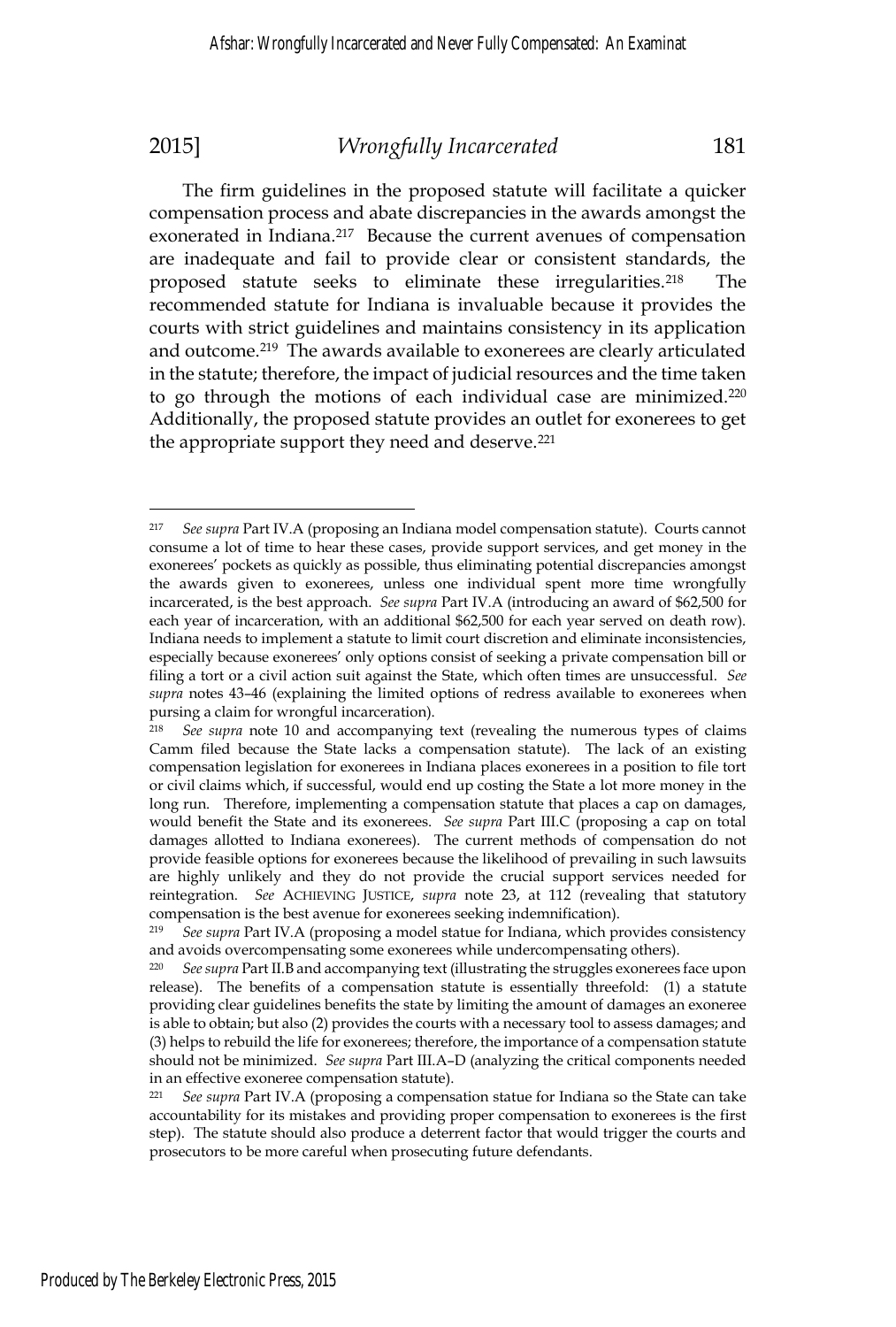The firm guidelines in the proposed statute will facilitate a quicker compensation process and abate discrepancies in the awards amongst the exonerated in Indiana.<sup>217</sup> Because the current avenues of compensation are inadequate and fail to provide clear or consistent standards, the proposed statute seeks to eliminate these irregularities.<sup>218</sup> The recommended statute for Indiana is invaluable because it provides the courts with strict guidelines and maintains consistency in its application and outcome.<sup>219</sup> The awards available to exonerees are clearly articulated in the statute; therefore, the impact of judicial resources and the time taken to go through the motions of each individual case are minimized.220 Additionally, the proposed statute provides an outlet for exonerees to get the appropriate support they need and deserve.<sup>221</sup>

<sup>217</sup> *See supra* Part IV.A (proposing an Indiana model compensation statute). Courts cannot consume a lot of time to hear these cases, provide support services, and get money in the exonerees' pockets as quickly as possible, thus eliminating potential discrepancies amongst the awards given to exonerees, unless one individual spent more time wrongfully incarcerated, is the best approach. *See supra* Part IV.A (introducing an award of \$62,500 for each year of incarceration, with an additional \$62,500 for each year served on death row). Indiana needs to implement a statute to limit court discretion and eliminate inconsistencies, especially because exonerees' only options consist of seeking a private compensation bill or filing a tort or a civil action suit against the State, which often times are unsuccessful. *See supra* notes 43–46 (explaining the limited options of redress available to exonerees when pursing a claim for wrongful incarceration).

<sup>218</sup> *See supra* note 10 and accompanying text (revealing the numerous types of claims Camm filed because the State lacks a compensation statute). The lack of an existing compensation legislation for exonerees in Indiana places exonerees in a position to file tort or civil claims which, if successful, would end up costing the State a lot more money in the long run. Therefore, implementing a compensation statute that places a cap on damages, would benefit the State and its exonerees. *See supra* Part III.C (proposing a cap on total damages allotted to Indiana exonerees). The current methods of compensation do not provide feasible options for exonerees because the likelihood of prevailing in such lawsuits are highly unlikely and they do not provide the crucial support services needed for reintegration. *See* ACHIEVING JUSTICE, *supra* note 23, at 112 (revealing that statutory compensation is the best avenue for exonerees seeking indemnification).<br><sup>219</sup> See sunga Part IV A (proposing a model statue for Indiana, which pr

<sup>219</sup> *See supra* Part IV.A (proposing a model statue for Indiana, which provides consistency and avoids overcompensating some exonerees while undercompensating others).

<sup>220</sup> *See supra* Part II.B and accompanying text (illustrating the struggles exonerees face upon release). The benefits of a compensation statute is essentially threefold: (1) a statute providing clear guidelines benefits the state by limiting the amount of damages an exoneree is able to obtain; but also (2) provides the courts with a necessary tool to assess damages; and (3) helps to rebuild the life for exonerees; therefore, the importance of a compensation statute should not be minimized. *See supra* Part III.A–D (analyzing the critical components needed in an effective exoneree compensation statute).

<sup>221</sup> *See supra* Part IV.A (proposing a compensation statue for Indiana so the State can take accountability for its mistakes and providing proper compensation to exonerees is the first step). The statute should also produce a deterrent factor that would trigger the courts and prosecutors to be more careful when prosecuting future defendants.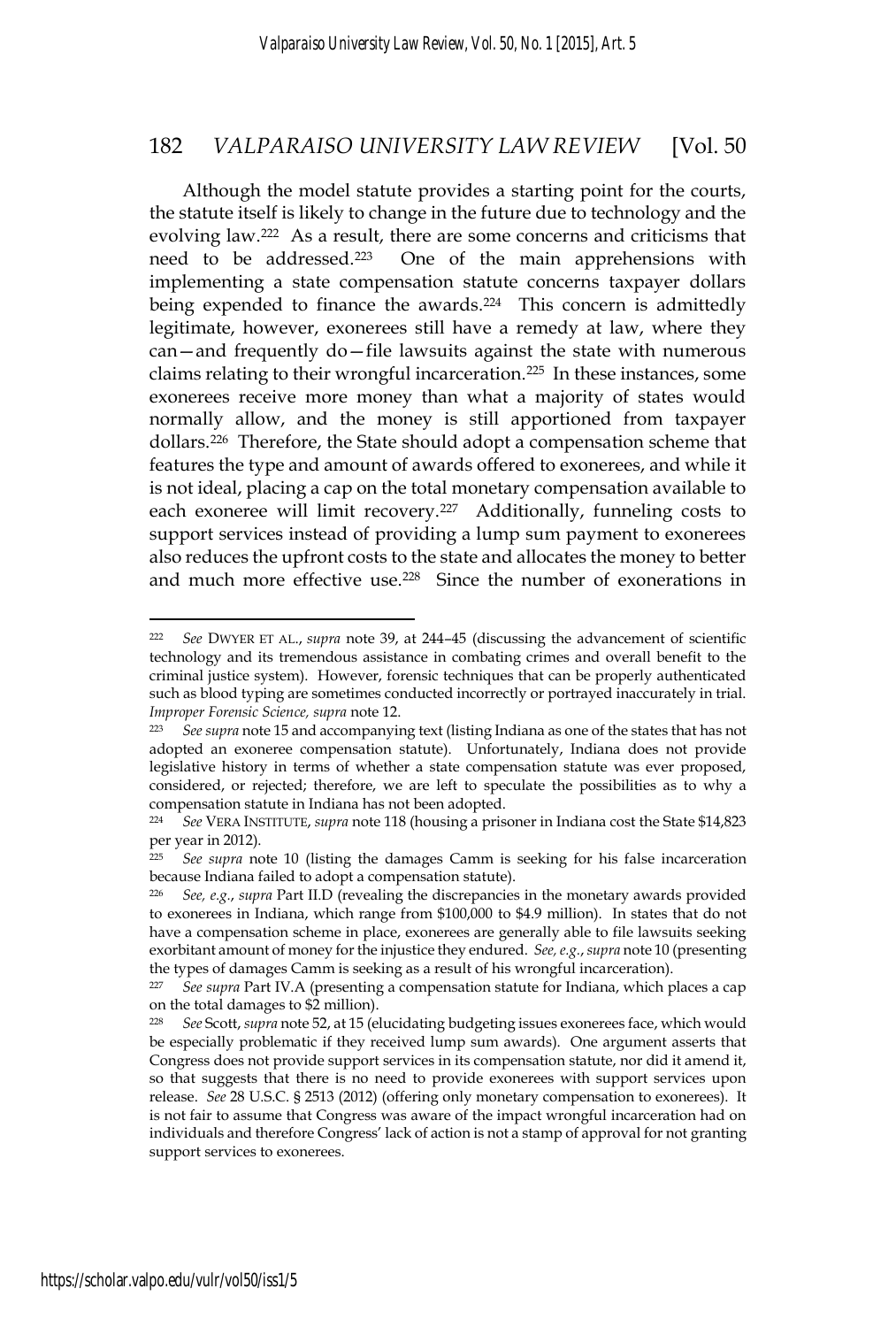Although the model statute provides a starting point for the courts, the statute itself is likely to change in the future due to technology and the evolving law.222 As a result, there are some concerns and criticisms that need to be addressed.223 One of the main apprehensions with implementing a state compensation statute concerns taxpayer dollars being expended to finance the awards.<sup>224</sup> This concern is admittedly legitimate, however, exonerees still have a remedy at law, where they can—and frequently do—file lawsuits against the state with numerous claims relating to their wrongful incarceration.225 In these instances, some exonerees receive more money than what a majority of states would normally allow, and the money is still apportioned from taxpayer dollars.226 Therefore, the State should adopt a compensation scheme that features the type and amount of awards offered to exonerees, and while it is not ideal, placing a cap on the total monetary compensation available to each exoneree will limit recovery.<sup>227</sup> Additionally, funneling costs to support services instead of providing a lump sum payment to exonerees also reduces the upfront costs to the state and allocates the money to better and much more effective use.228 Since the number of exonerations in

<sup>222</sup> *See* DWYER ET AL., *supra* note 39, at 244–45 (discussing the advancement of scientific technology and its tremendous assistance in combating crimes and overall benefit to the criminal justice system). However, forensic techniques that can be properly authenticated such as blood typing are sometimes conducted incorrectly or portrayed inaccurately in trial. *Improper Forensic Science, supra* note 12.<br><sup>223</sup> See supra note 15 and accompanying text (listing Indiana as one of the states that has not

adopted an exoneree compensation statute). Unfortunately, Indiana does not provide legislative history in terms of whether a state compensation statute was ever proposed, considered, or rejected; therefore, we are left to speculate the possibilities as to why a compensation statute in Indiana has not been adopted.

<sup>224</sup> *See* VERA INSTITUTE, *supra* note 118 (housing a prisoner in Indiana cost the State \$14,823 per year in 2012).<br><sup>225</sup> See supra no

See supra note 10 (listing the damages Camm is seeking for his false incarceration because Indiana failed to adopt a compensation statute).

<sup>226</sup> *See, e.g.*, *supra* Part II.D (revealing the discrepancies in the monetary awards provided to exonerees in Indiana, which range from \$100,000 to \$4.9 million). In states that do not have a compensation scheme in place, exonerees are generally able to file lawsuits seeking exorbitant amount of money for the injustice they endured. *See, e.g.*, *supra* note 10 (presenting the types of damages Camm is seeking as a result of his wrongful incarceration).

<sup>227</sup> *See supra* Part IV.A (presenting a compensation statute for Indiana, which places a cap on the total damages to \$2 million).

<sup>228</sup> *See* Scott, *supra* note 52, at 15 (elucidating budgeting issues exonerees face, which would be especially problematic if they received lump sum awards). One argument asserts that Congress does not provide support services in its compensation statute, nor did it amend it, so that suggests that there is no need to provide exonerees with support services upon release. *See* 28 U.S.C. § 2513 (2012) (offering only monetary compensation to exonerees). It is not fair to assume that Congress was aware of the impact wrongful incarceration had on individuals and therefore Congress' lack of action is not a stamp of approval for not granting support services to exonerees.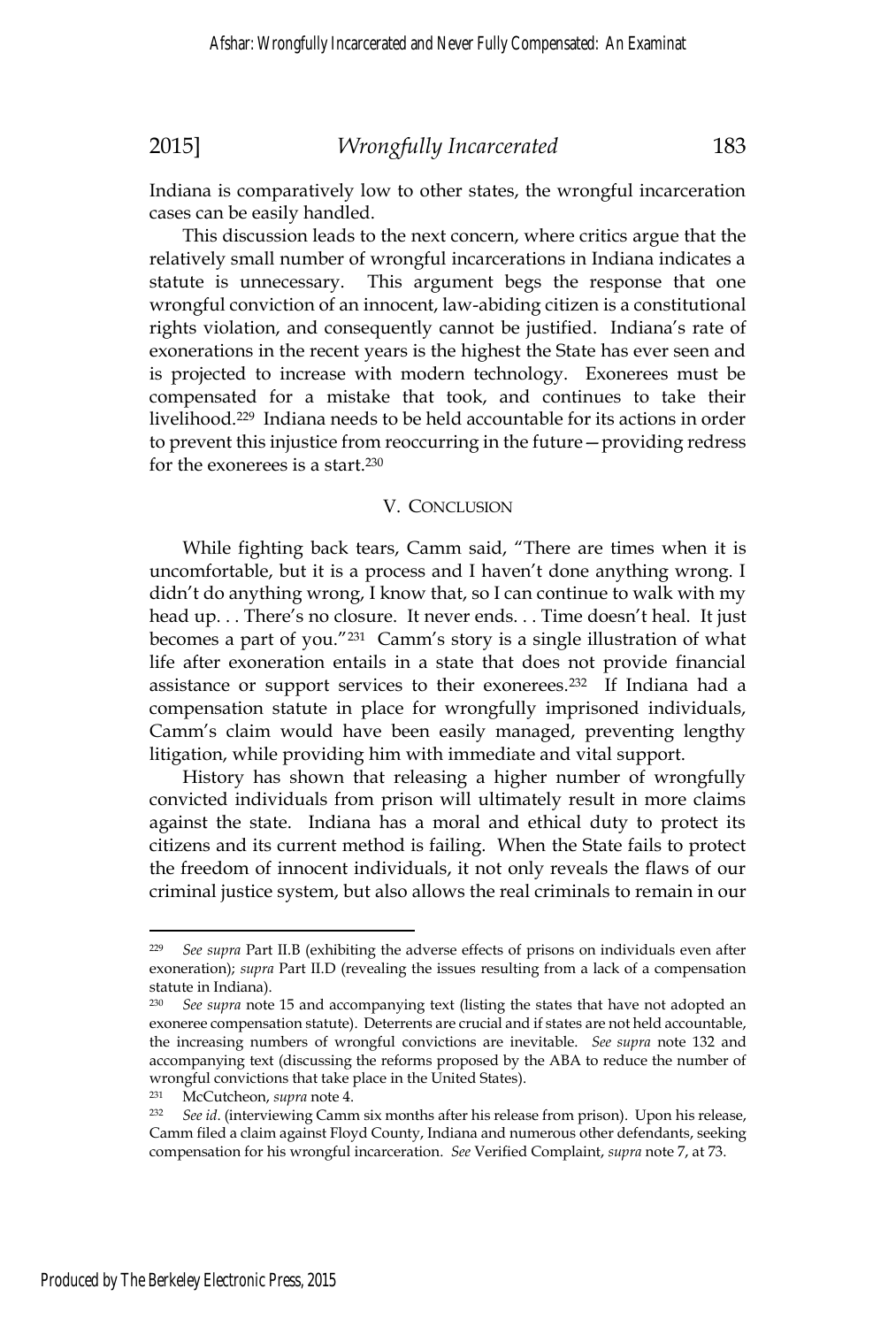Indiana is comparatively low to other states, the wrongful incarceration cases can be easily handled.

This discussion leads to the next concern, where critics argue that the relatively small number of wrongful incarcerations in Indiana indicates a statute is unnecessary. This argument begs the response that one wrongful conviction of an innocent, law-abiding citizen is a constitutional rights violation, and consequently cannot be justified. Indiana's rate of exonerations in the recent years is the highest the State has ever seen and is projected to increase with modern technology. Exonerees must be compensated for a mistake that took, and continues to take their livelihood.229 Indiana needs to be held accountable for its actions in order to prevent this injustice from reoccurring in the future—providing redress for the exonerees is a start.230

### V. CONCLUSION

While fighting back tears, Camm said, "There are times when it is uncomfortable, but it is a process and I haven't done anything wrong. I didn't do anything wrong, I know that, so I can continue to walk with my head up. . . There's no closure. It never ends. . . Time doesn't heal. It just becomes a part of you."231 Camm's story is a single illustration of what life after exoneration entails in a state that does not provide financial assistance or support services to their exonerees.232 If Indiana had a compensation statute in place for wrongfully imprisoned individuals, Camm's claim would have been easily managed, preventing lengthy litigation, while providing him with immediate and vital support.

History has shown that releasing a higher number of wrongfully convicted individuals from prison will ultimately result in more claims against the state. Indiana has a moral and ethical duty to protect its citizens and its current method is failing. When the State fails to protect the freedom of innocent individuals, it not only reveals the flaws of our criminal justice system, but also allows the real criminals to remain in our

<sup>229</sup> *See supra* Part II.B (exhibiting the adverse effects of prisons on individuals even after exoneration); *supra* Part II.D (revealing the issues resulting from a lack of a compensation statute in Indiana).

<sup>230</sup> *See supra* note 15 and accompanying text (listing the states that have not adopted an exoneree compensation statute). Deterrents are crucial and if states are not held accountable, the increasing numbers of wrongful convictions are inevitable. *See supra* note 132 and accompanying text (discussing the reforms proposed by the ABA to reduce the number of wrongful convictions that take place in the United States).

<sup>231</sup> McCutcheon, *supra* note 4. 232 *See id*. (interviewing Camm six months after his release from prison). Upon his release, Camm filed a claim against Floyd County, Indiana and numerous other defendants, seeking compensation for his wrongful incarceration. *See* Verified Complaint, *supra* note 7, at 73.